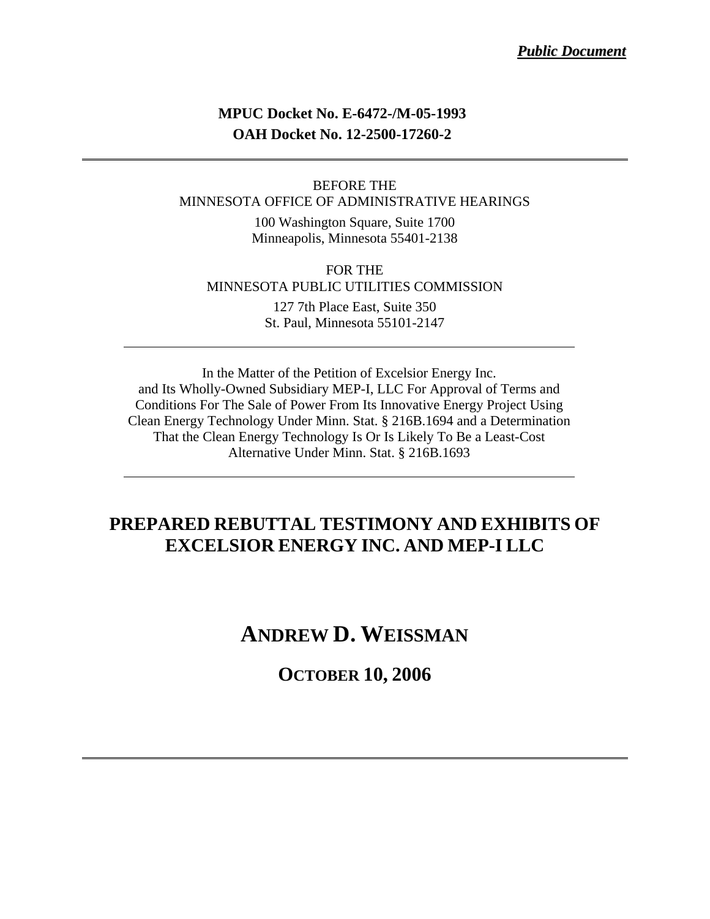### **MPUC Docket No. E-6472-/M-05-1993 OAH Docket No. 12-2500-17260-2**

#### BEFORE THE MINNESOTA OFFICE OF ADMINISTRATIVE HEARINGS

100 Washington Square, Suite 1700 Minneapolis, Minnesota 55401-2138

FOR THE MINNESOTA PUBLIC UTILITIES COMMISSION

> 127 7th Place East, Suite 350 St. Paul, Minnesota 55101-2147

In the Matter of the Petition of Excelsior Energy Inc. and Its Wholly-Owned Subsidiary MEP-I, LLC For Approval of Terms and Conditions For The Sale of Power From Its Innovative Energy Project Using Clean Energy Technology Under Minn. Stat. § 216B.1694 and a Determination That the Clean Energy Technology Is Or Is Likely To Be a Least-Cost Alternative Under Minn. Stat. § 216B.1693

### **PREPARED REBUTTAL TESTIMONY AND EXHIBITS OF EXCELSIOR ENERGY INC. AND MEP-I LLC**

### **ANDREW D. WEISSMAN**

### **OCTOBER 10, 2006**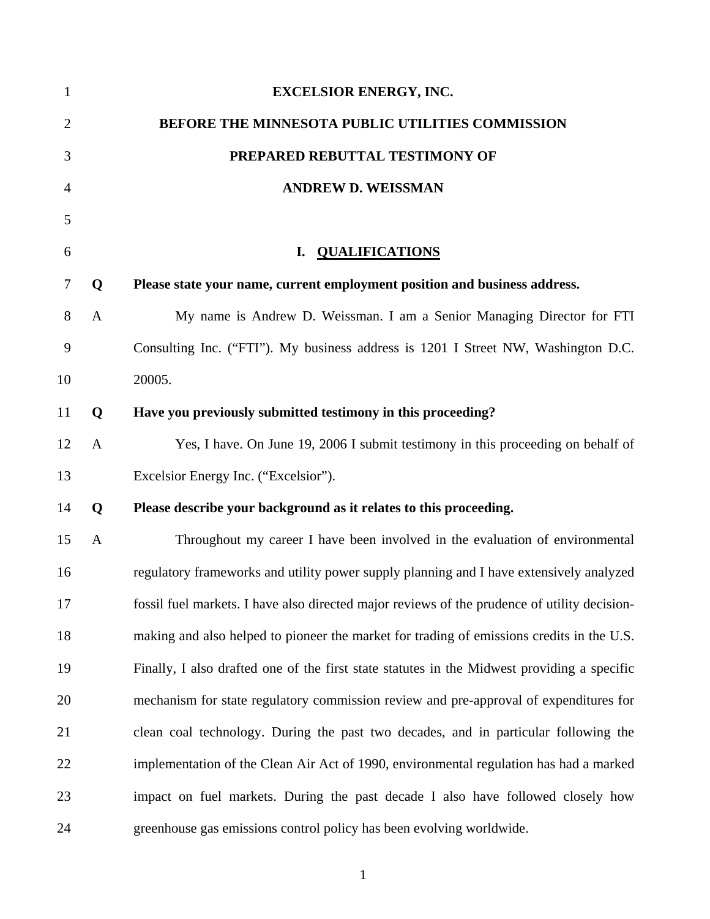| $\mathbf{1}$   |              | <b>EXCELSIOR ENERGY, INC.</b>                                                                |
|----------------|--------------|----------------------------------------------------------------------------------------------|
| $\overline{2}$ |              | BEFORE THE MINNESOTA PUBLIC UTILITIES COMMISSION                                             |
| 3              |              | PREPARED REBUTTAL TESTIMONY OF                                                               |
| 4              |              | <b>ANDREW D. WEISSMAN</b>                                                                    |
| 5              |              |                                                                                              |
| 6              |              | <b>QUALIFICATIONS</b><br>I.                                                                  |
| 7              | Q            | Please state your name, current employment position and business address.                    |
| 8              | $\mathbf{A}$ | My name is Andrew D. Weissman. I am a Senior Managing Director for FTI                       |
| 9              |              | Consulting Inc. ("FTI"). My business address is 1201 I Street NW, Washington D.C.            |
| 10             |              | 20005.                                                                                       |
| 11             | Q            | Have you previously submitted testimony in this proceeding?                                  |
| 12             | $\mathbf{A}$ | Yes, I have. On June 19, 2006 I submit testimony in this proceeding on behalf of             |
| 13             |              | Excelsior Energy Inc. ("Excelsior").                                                         |
| 14             | Q            | Please describe your background as it relates to this proceeding.                            |
| 15             | A            | Throughout my career I have been involved in the evaluation of environmental                 |
| 16             |              | regulatory frameworks and utility power supply planning and I have extensively analyzed      |
| 17             |              | fossil fuel markets. I have also directed major reviews of the prudence of utility decision- |
| 18             |              | making and also helped to pioneer the market for trading of emissions credits in the U.S.    |
| 19             |              | Finally, I also drafted one of the first state statutes in the Midwest providing a specific  |
| 20             |              | mechanism for state regulatory commission review and pre-approval of expenditures for        |
| 21             |              | clean coal technology. During the past two decades, and in particular following the          |
| 22             |              | implementation of the Clean Air Act of 1990, environmental regulation has had a marked       |
| 23             |              | impact on fuel markets. During the past decade I also have followed closely how              |
| 24             |              | greenhouse gas emissions control policy has been evolving worldwide.                         |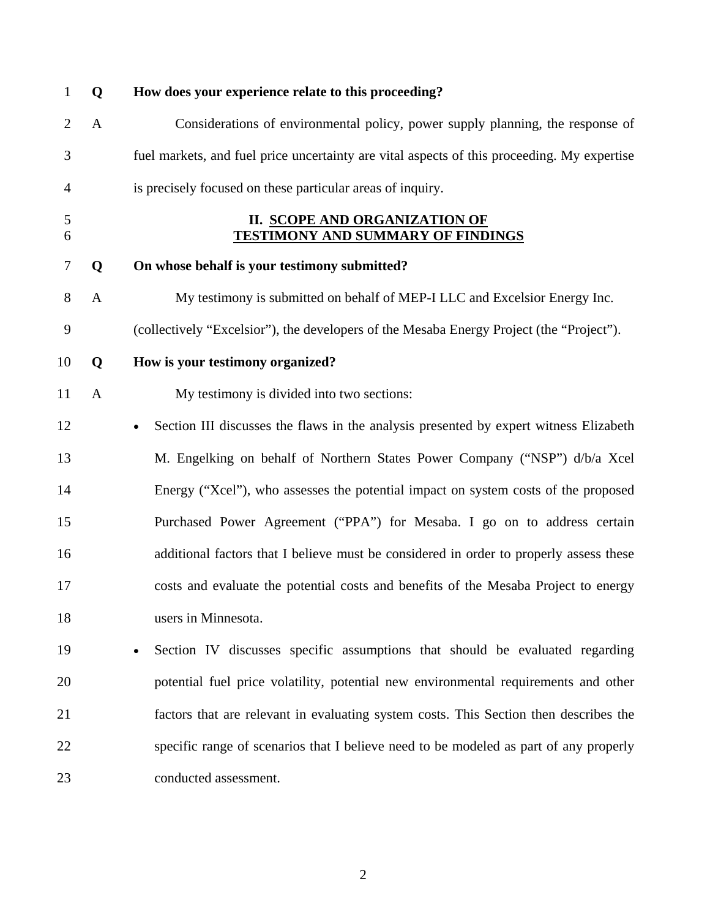| $\mathbf{1}$   | Q            | How does your experience relate to this proceeding?                                         |
|----------------|--------------|---------------------------------------------------------------------------------------------|
| $\overline{2}$ | A            | Considerations of environmental policy, power supply planning, the response of              |
| 3              |              | fuel markets, and fuel price uncertainty are vital aspects of this proceeding. My expertise |
| 4              |              | is precisely focused on these particular areas of inquiry.                                  |
| 5<br>6         |              | <b>II. SCOPE AND ORGANIZATION OF</b><br><b>TESTIMONY AND SUMMARY OF FINDINGS</b>            |
| $\tau$         | Q            | On whose behalf is your testimony submitted?                                                |
| 8              | $\mathbf{A}$ | My testimony is submitted on behalf of MEP-I LLC and Excelsior Energy Inc.                  |
| 9              |              | (collectively "Excelsior"), the developers of the Mesaba Energy Project (the "Project").    |
| 10             | Q            | How is your testimony organized?                                                            |
| 11             | $\mathbf{A}$ | My testimony is divided into two sections:                                                  |
| 12             |              | Section III discusses the flaws in the analysis presented by expert witness Elizabeth       |
| 13             |              | M. Engelking on behalf of Northern States Power Company ("NSP") d/b/a Xcel                  |
| 14             |              | Energy ("Xcel"), who assesses the potential impact on system costs of the proposed          |
| 15             |              | Purchased Power Agreement ("PPA") for Mesaba. I go on to address certain                    |
| 16             |              | additional factors that I believe must be considered in order to properly assess these      |
| 17             |              | costs and evaluate the potential costs and benefits of the Mesaba Project to energy         |
| 18             |              | users in Minnesota.                                                                         |
| 19             |              | Section IV discusses specific assumptions that should be evaluated regarding                |
| 20             |              | potential fuel price volatility, potential new environmental requirements and other         |
| 21             |              | factors that are relevant in evaluating system costs. This Section then describes the       |
| 22             |              | specific range of scenarios that I believe need to be modeled as part of any properly       |
| 23             |              | conducted assessment.                                                                       |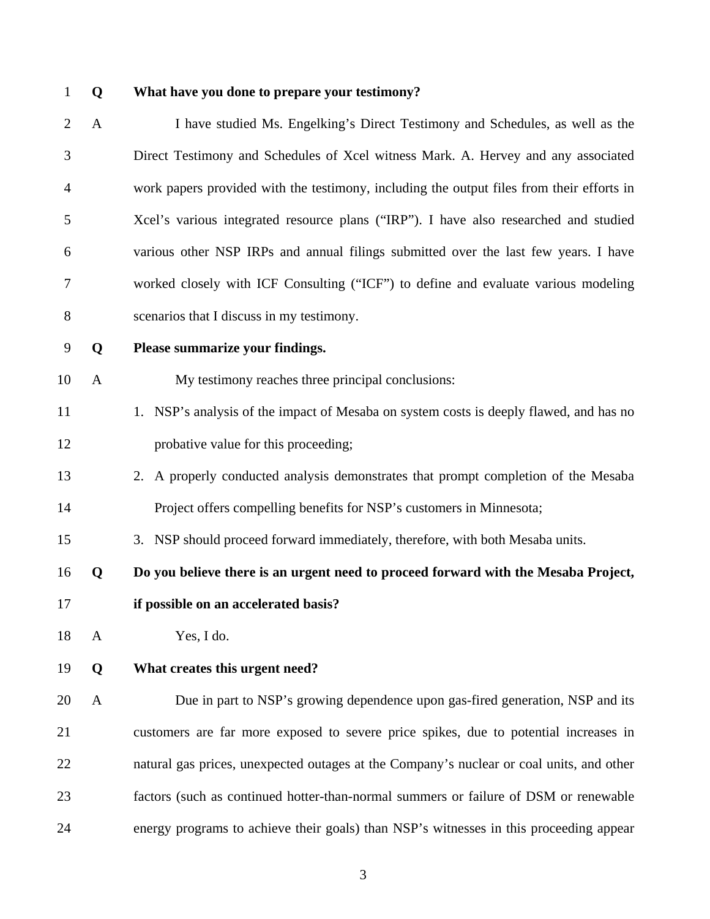#### 1 **Q What have you done to prepare your testimony?**

2 A I have studied Ms. Engelking's Direct Testimony and Schedules, as well as the 3 Direct Testimony and Schedules of Xcel witness Mark. A. Hervey and any associated 4 work papers provided with the testimony, including the output files from their efforts in 5 Xcel's various integrated resource plans ("IRP"). I have also researched and studied 6 various other NSP IRPs and annual filings submitted over the last few years. I have 7 worked closely with ICF Consulting ("ICF") to define and evaluate various modeling 8 scenarios that I discuss in my testimony.

9 **Q Please summarize your findings.** 

- 10 A My testimony reaches three principal conclusions:
- 11 1. NSP's analysis of the impact of Mesaba on system costs is deeply flawed, and has no 12 probative value for this proceeding;
- 13 2. A properly conducted analysis demonstrates that prompt completion of the Mesaba 14 Project offers compelling benefits for NSP's customers in Minnesota;
- 15 3. NSP should proceed forward immediately, therefore, with both Mesaba units.

16 **Q Do you believe there is an urgent need to proceed forward with the Mesaba Project,** 

17 **if possible on an accelerated basis?** 

18 A Yes, I do.

19 **Q What creates this urgent need?** 

20 A Due in part to NSP's growing dependence upon gas-fired generation, NSP and its 21 customers are far more exposed to severe price spikes, due to potential increases in 22 natural gas prices, unexpected outages at the Company's nuclear or coal units, and other 23 factors (such as continued hotter-than-normal summers or failure of DSM or renewable 24 energy programs to achieve their goals) than NSP's witnesses in this proceeding appear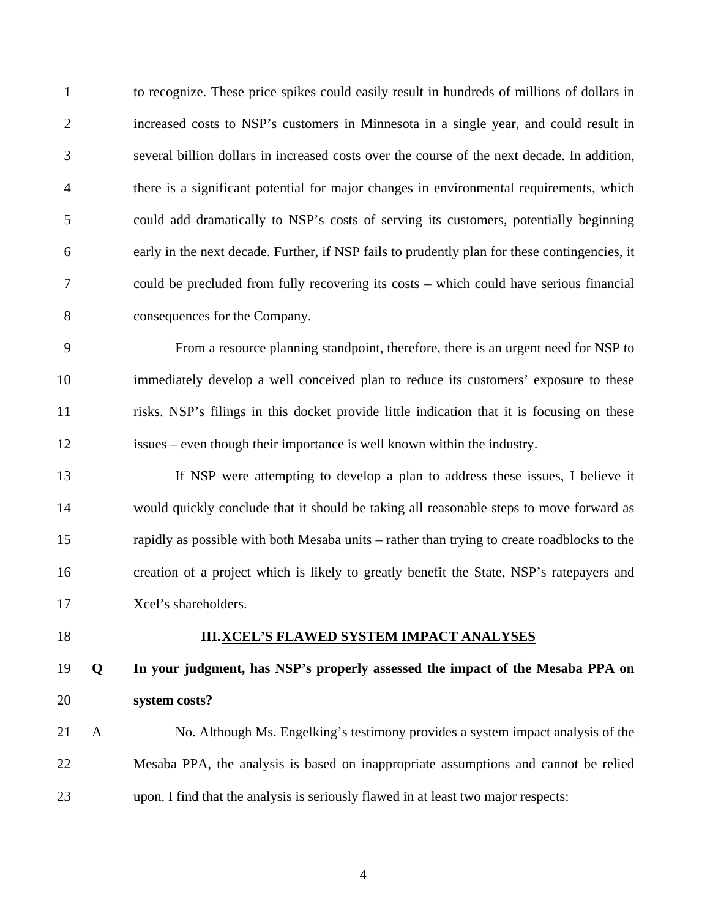1 to recognize. These price spikes could easily result in hundreds of millions of dollars in 2 increased costs to NSP's customers in Minnesota in a single year, and could result in 3 several billion dollars in increased costs over the course of the next decade. In addition, 4 there is a significant potential for major changes in environmental requirements, which 5 could add dramatically to NSP's costs of serving its customers, potentially beginning 6 early in the next decade. Further, if NSP fails to prudently plan for these contingencies, it 7 could be precluded from fully recovering its costs – which could have serious financial 8 consequences for the Company.

9 From a resource planning standpoint, therefore, there is an urgent need for NSP to 10 immediately develop a well conceived plan to reduce its customers' exposure to these 11 risks. NSP's filings in this docket provide little indication that it is focusing on these 12 issues – even though their importance is well known within the industry.

13 If NSP were attempting to develop a plan to address these issues, I believe it 14 would quickly conclude that it should be taking all reasonable steps to move forward as 15 rapidly as possible with both Mesaba units – rather than trying to create roadblocks to the 16 creation of a project which is likely to greatly benefit the State, NSP's ratepayers and 17 Xcel's shareholders.

#### 18 **III.XCEL'S FLAWED SYSTEM IMPACT ANALYSES**

19 **Q In your judgment, has NSP's properly assessed the impact of the Mesaba PPA on**  20 **system costs?** 

21 A No. Although Ms. Engelking's testimony provides a system impact analysis of the 22 Mesaba PPA, the analysis is based on inappropriate assumptions and cannot be relied 23 upon. I find that the analysis is seriously flawed in at least two major respects: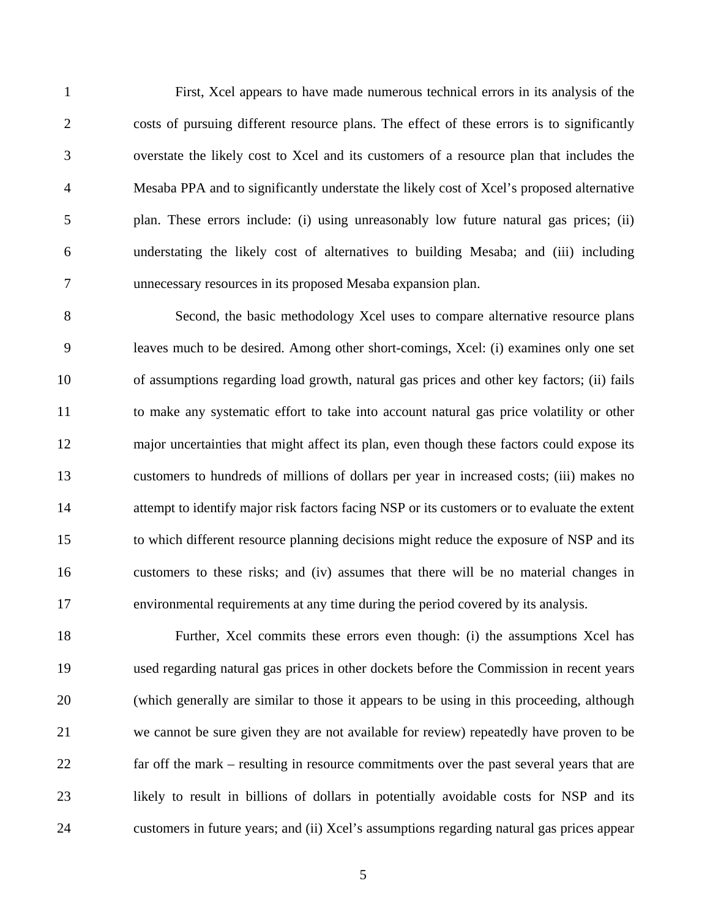1 First, Xcel appears to have made numerous technical errors in its analysis of the 2 costs of pursuing different resource plans. The effect of these errors is to significantly 3 overstate the likely cost to Xcel and its customers of a resource plan that includes the 4 Mesaba PPA and to significantly understate the likely cost of Xcel's proposed alternative 5 plan. These errors include: (i) using unreasonably low future natural gas prices; (ii) 6 understating the likely cost of alternatives to building Mesaba; and (iii) including 7 unnecessary resources in its proposed Mesaba expansion plan.

8 Second, the basic methodology Xcel uses to compare alternative resource plans 9 leaves much to be desired. Among other short-comings, Xcel: (i) examines only one set 10 of assumptions regarding load growth, natural gas prices and other key factors; (ii) fails 11 to make any systematic effort to take into account natural gas price volatility or other 12 major uncertainties that might affect its plan, even though these factors could expose its 13 customers to hundreds of millions of dollars per year in increased costs; (iii) makes no 14 attempt to identify major risk factors facing NSP or its customers or to evaluate the extent 15 to which different resource planning decisions might reduce the exposure of NSP and its 16 customers to these risks; and (iv) assumes that there will be no material changes in 17 environmental requirements at any time during the period covered by its analysis.

18 Further, Xcel commits these errors even though: (i) the assumptions Xcel has 19 used regarding natural gas prices in other dockets before the Commission in recent years 20 (which generally are similar to those it appears to be using in this proceeding, although 21 we cannot be sure given they are not available for review) repeatedly have proven to be 22 far off the mark – resulting in resource commitments over the past several years that are 23 likely to result in billions of dollars in potentially avoidable costs for NSP and its 24 customers in future years; and (ii) Xcel's assumptions regarding natural gas prices appear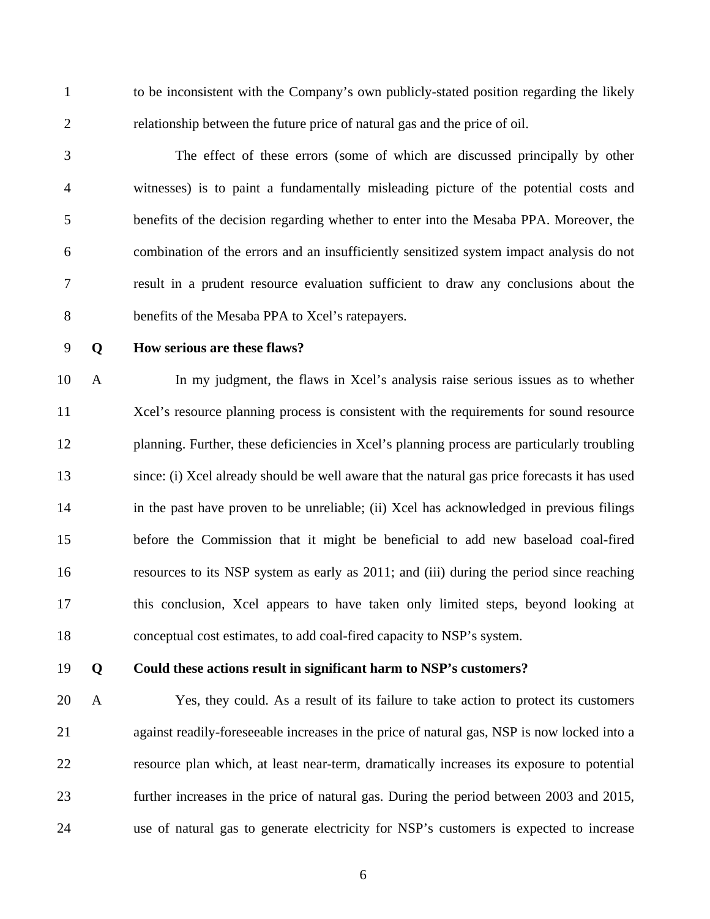1 to be inconsistent with the Company's own publicly-stated position regarding the likely 2 relationship between the future price of natural gas and the price of oil.

3 The effect of these errors (some of which are discussed principally by other 4 witnesses) is to paint a fundamentally misleading picture of the potential costs and 5 benefits of the decision regarding whether to enter into the Mesaba PPA. Moreover, the 6 combination of the errors and an insufficiently sensitized system impact analysis do not 7 result in a prudent resource evaluation sufficient to draw any conclusions about the 8 benefits of the Mesaba PPA to Xcel's ratepayers.

#### 9 **Q How serious are these flaws?**

10 A In my judgment, the flaws in Xcel's analysis raise serious issues as to whether 11 Xcel's resource planning process is consistent with the requirements for sound resource 12 planning. Further, these deficiencies in Xcel's planning process are particularly troubling 13 since: (i) Xcel already should be well aware that the natural gas price forecasts it has used 14 in the past have proven to be unreliable; (ii) Xcel has acknowledged in previous filings 15 before the Commission that it might be beneficial to add new baseload coal-fired 16 resources to its NSP system as early as 2011; and (iii) during the period since reaching 17 this conclusion, Xcel appears to have taken only limited steps, beyond looking at 18 conceptual cost estimates, to add coal-fired capacity to NSP's system.

#### 19 **Q Could these actions result in significant harm to NSP's customers?**

20 A Yes, they could. As a result of its failure to take action to protect its customers 21 against readily-foreseeable increases in the price of natural gas, NSP is now locked into a 22 resource plan which, at least near-term, dramatically increases its exposure to potential 23 further increases in the price of natural gas. During the period between 2003 and 2015, 24 use of natural gas to generate electricity for NSP's customers is expected to increase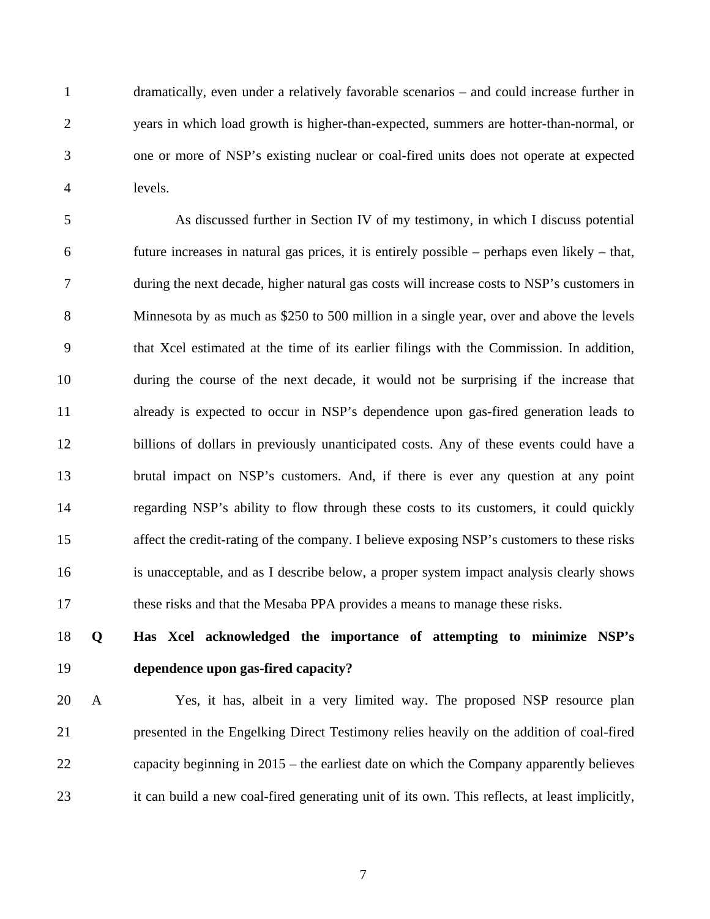1 dramatically, even under a relatively favorable scenarios – and could increase further in 2 years in which load growth is higher-than-expected, summers are hotter-than-normal, or 3 one or more of NSP's existing nuclear or coal-fired units does not operate at expected 4 levels.

5 As discussed further in Section IV of my testimony, in which I discuss potential 6 future increases in natural gas prices, it is entirely possible – perhaps even likely – that, 7 during the next decade, higher natural gas costs will increase costs to NSP's customers in 8 Minnesota by as much as \$250 to 500 million in a single year, over and above the levels 9 that Xcel estimated at the time of its earlier filings with the Commission. In addition, 10 during the course of the next decade, it would not be surprising if the increase that 11 already is expected to occur in NSP's dependence upon gas-fired generation leads to 12 billions of dollars in previously unanticipated costs. Any of these events could have a 13 brutal impact on NSP's customers. And, if there is ever any question at any point 14 regarding NSP's ability to flow through these costs to its customers, it could quickly 15 affect the credit-rating of the company. I believe exposing NSP's customers to these risks 16 is unacceptable, and as I describe below, a proper system impact analysis clearly shows 17 these risks and that the Mesaba PPA provides a means to manage these risks.

## 18 **Q Has Xcel acknowledged the importance of attempting to minimize NSP's**  19 **dependence upon gas-fired capacity?**

20 A Yes, it has, albeit in a very limited way. The proposed NSP resource plan 21 presented in the Engelking Direct Testimony relies heavily on the addition of coal-fired 22 capacity beginning in 2015 – the earliest date on which the Company apparently believes 23 it can build a new coal-fired generating unit of its own. This reflects, at least implicitly,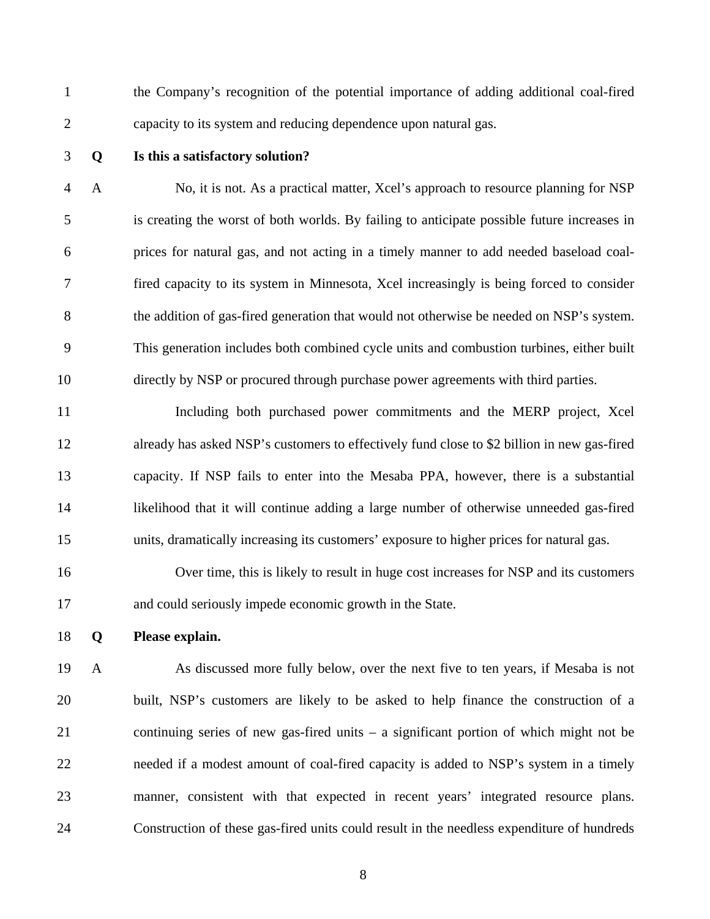1 the Company's recognition of the potential importance of adding additional coal-fired 2 capacity to its system and reducing dependence upon natural gas.

#### 3 **Q Is this a satisfactory solution?**

4 A No, it is not. As a practical matter, Xcel's approach to resource planning for NSP 5 is creating the worst of both worlds. By failing to anticipate possible future increases in 6 prices for natural gas, and not acting in a timely manner to add needed baseload coal-7 fired capacity to its system in Minnesota, Xcel increasingly is being forced to consider 8 the addition of gas-fired generation that would not otherwise be needed on NSP's system. 9 This generation includes both combined cycle units and combustion turbines, either built 10 directly by NSP or procured through purchase power agreements with third parties.

11 Including both purchased power commitments and the MERP project, Xcel 12 already has asked NSP's customers to effectively fund close to \$2 billion in new gas-fired 13 capacity. If NSP fails to enter into the Mesaba PPA, however, there is a substantial 14 likelihood that it will continue adding a large number of otherwise unneeded gas-fired 15 units, dramatically increasing its customers' exposure to higher prices for natural gas.

16 Over time, this is likely to result in huge cost increases for NSP and its customers 17 and could seriously impede economic growth in the State.

18 **Q Please explain.** 

19 A As discussed more fully below, over the next five to ten years, if Mesaba is not 20 built, NSP's customers are likely to be asked to help finance the construction of a 21 continuing series of new gas-fired units – a significant portion of which might not be 22 needed if a modest amount of coal-fired capacity is added to NSP's system in a timely 23 manner, consistent with that expected in recent years' integrated resource plans. 24 Construction of these gas-fired units could result in the needless expenditure of hundreds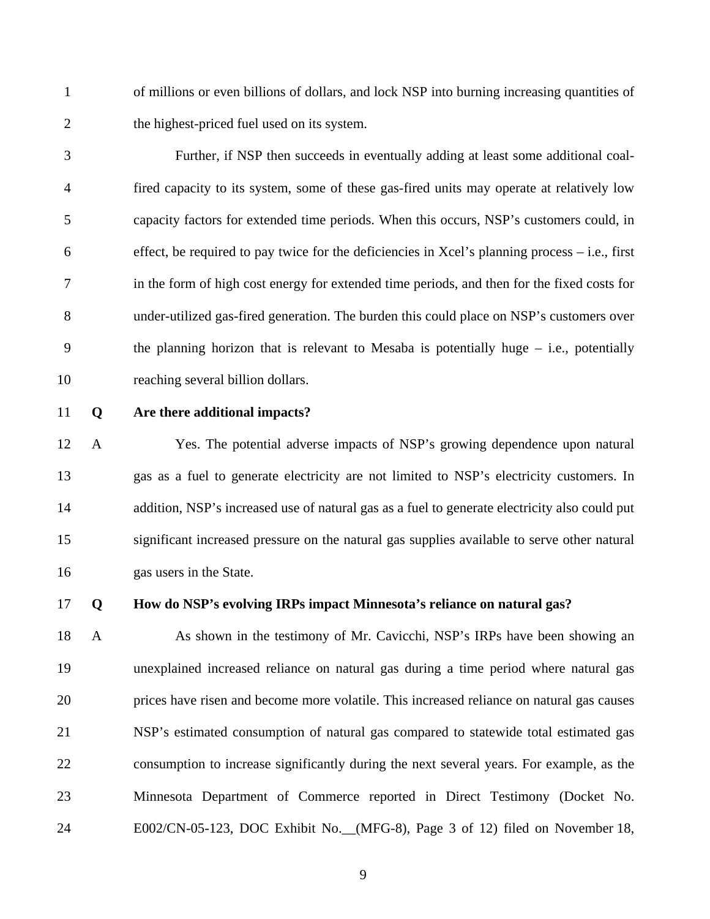1 of millions or even billions of dollars, and lock NSP into burning increasing quantities of 2 the highest-priced fuel used on its system.

3 Further, if NSP then succeeds in eventually adding at least some additional coal-4 fired capacity to its system, some of these gas-fired units may operate at relatively low 5 capacity factors for extended time periods. When this occurs, NSP's customers could, in  $6$  effect, be required to pay twice for the deficiencies in Xcel's planning process – i.e., first 7 in the form of high cost energy for extended time periods, and then for the fixed costs for 8 under-utilized gas-fired generation. The burden this could place on NSP's customers over 9 the planning horizon that is relevant to Mesaba is potentially huge – i.e., potentially 10 reaching several billion dollars.

#### 11 **Q Are there additional impacts?**

12 A Yes. The potential adverse impacts of NSP's growing dependence upon natural 13 gas as a fuel to generate electricity are not limited to NSP's electricity customers. In 14 addition, NSP's increased use of natural gas as a fuel to generate electricity also could put 15 significant increased pressure on the natural gas supplies available to serve other natural 16 gas users in the State.

#### 17 **Q How do NSP's evolving IRPs impact Minnesota's reliance on natural gas?**

18 A As shown in the testimony of Mr. Cavicchi, NSP's IRPs have been showing an 19 unexplained increased reliance on natural gas during a time period where natural gas 20 prices have risen and become more volatile. This increased reliance on natural gas causes 21 NSP's estimated consumption of natural gas compared to statewide total estimated gas 22 consumption to increase significantly during the next several years. For example, as the 23 Minnesota Department of Commerce reported in Direct Testimony (Docket No. 24 E002/CN-05-123, DOC Exhibit No.\_\_(MFG-8), Page 3 of 12) filed on November 18,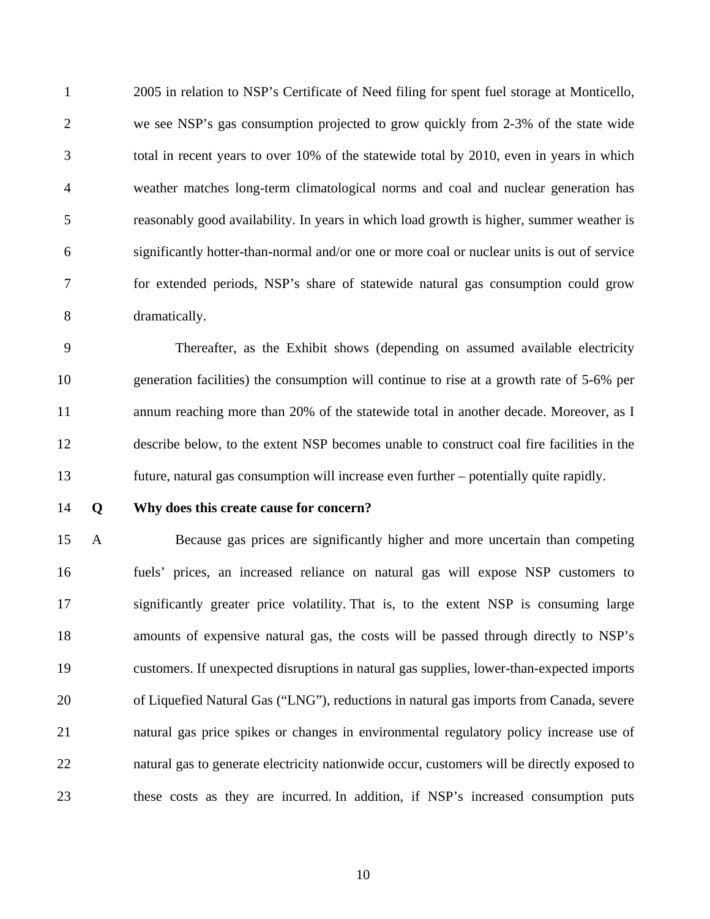1 2005 in relation to NSP's Certificate of Need filing for spent fuel storage at Monticello, 2 we see NSP's gas consumption projected to grow quickly from 2-3% of the state wide 3 total in recent years to over 10% of the statewide total by 2010, even in years in which 4 weather matches long-term climatological norms and coal and nuclear generation has 5 reasonably good availability. In years in which load growth is higher, summer weather is 6 significantly hotter-than-normal and/or one or more coal or nuclear units is out of service 7 for extended periods, NSP's share of statewide natural gas consumption could grow 8 dramatically.

9 Thereafter, as the Exhibit shows (depending on assumed available electricity 10 generation facilities) the consumption will continue to rise at a growth rate of 5-6% per 11 annum reaching more than 20% of the statewide total in another decade. Moreover, as I 12 describe below, to the extent NSP becomes unable to construct coal fire facilities in the 13 future, natural gas consumption will increase even further – potentially quite rapidly.

14 **Q Why does this create cause for concern?** 

15 A Because gas prices are significantly higher and more uncertain than competing 16 fuels' prices, an increased reliance on natural gas will expose NSP customers to 17 significantly greater price volatility. That is, to the extent NSP is consuming large 18 amounts of expensive natural gas, the costs will be passed through directly to NSP's 19 customers. If unexpected disruptions in natural gas supplies, lower-than-expected imports 20 of Liquefied Natural Gas ("LNG"), reductions in natural gas imports from Canada, severe 21 natural gas price spikes or changes in environmental regulatory policy increase use of 22 natural gas to generate electricity nationwide occur, customers will be directly exposed to 23 these costs as they are incurred. In addition, if NSP's increased consumption puts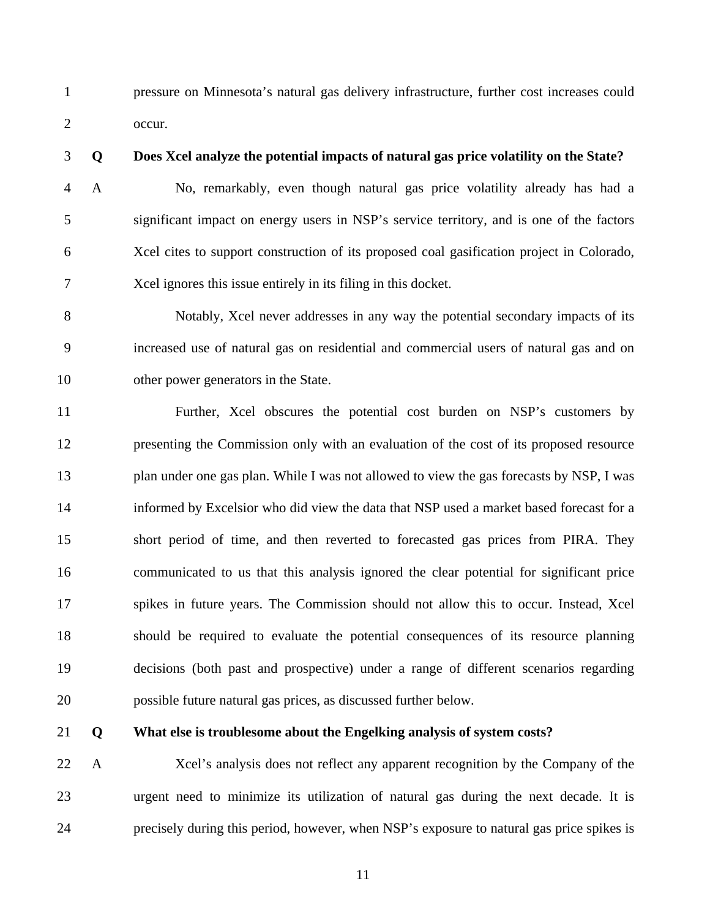1 pressure on Minnesota's natural gas delivery infrastructure, further cost increases could 2 occur.

3 **Q Does Xcel analyze the potential impacts of natural gas price volatility on the State?** 

4 A No, remarkably, even though natural gas price volatility already has had a 5 significant impact on energy users in NSP's service territory, and is one of the factors 6 Xcel cites to support construction of its proposed coal gasification project in Colorado, 7 Xcel ignores this issue entirely in its filing in this docket.

8 Notably, Xcel never addresses in any way the potential secondary impacts of its 9 increased use of natural gas on residential and commercial users of natural gas and on 10 other power generators in the State.

11 Further, Xcel obscures the potential cost burden on NSP's customers by 12 presenting the Commission only with an evaluation of the cost of its proposed resource 13 plan under one gas plan. While I was not allowed to view the gas forecasts by NSP, I was 14 informed by Excelsior who did view the data that NSP used a market based forecast for a 15 short period of time, and then reverted to forecasted gas prices from PIRA. They 16 communicated to us that this analysis ignored the clear potential for significant price 17 spikes in future years. The Commission should not allow this to occur. Instead, Xcel 18 should be required to evaluate the potential consequences of its resource planning 19 decisions (both past and prospective) under a range of different scenarios regarding 20 possible future natural gas prices, as discussed further below.

#### 21 **Q What else is troublesome about the Engelking analysis of system costs?**

22 A Xcel's analysis does not reflect any apparent recognition by the Company of the 23 urgent need to minimize its utilization of natural gas during the next decade. It is 24 precisely during this period, however, when NSP's exposure to natural gas price spikes is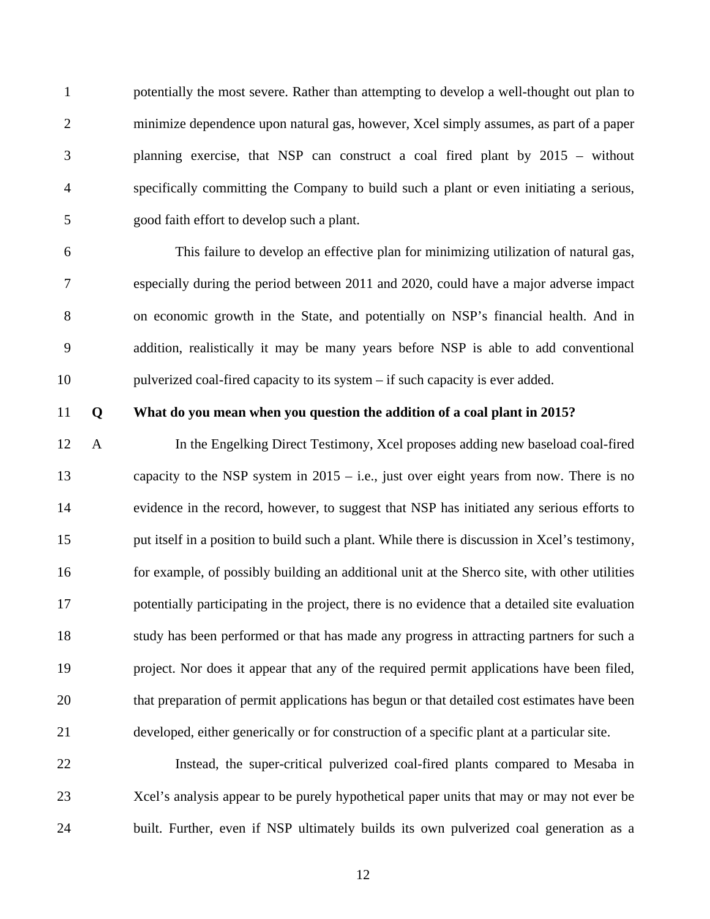1 potentially the most severe. Rather than attempting to develop a well-thought out plan to 2 minimize dependence upon natural gas, however, Xcel simply assumes, as part of a paper 3 planning exercise, that NSP can construct a coal fired plant by 2015 – without 4 specifically committing the Company to build such a plant or even initiating a serious, 5 good faith effort to develop such a plant.

6 This failure to develop an effective plan for minimizing utilization of natural gas, 7 especially during the period between 2011 and 2020, could have a major adverse impact 8 on economic growth in the State, and potentially on NSP's financial health. And in 9 addition, realistically it may be many years before NSP is able to add conventional 10 pulverized coal-fired capacity to its system – if such capacity is ever added.

#### 11 **Q What do you mean when you question the addition of a coal plant in 2015?**

12 A In the Engelking Direct Testimony, Xcel proposes adding new baseload coal-fired 13 capacity to the NSP system in 2015 – i.e., just over eight years from now. There is no 14 evidence in the record, however, to suggest that NSP has initiated any serious efforts to 15 put itself in a position to build such a plant. While there is discussion in Xcel's testimony, 16 for example, of possibly building an additional unit at the Sherco site, with other utilities 17 potentially participating in the project, there is no evidence that a detailed site evaluation 18 study has been performed or that has made any progress in attracting partners for such a 19 project. Nor does it appear that any of the required permit applications have been filed, 20 that preparation of permit applications has begun or that detailed cost estimates have been 21 developed, either generically or for construction of a specific plant at a particular site.

22 Instead, the super-critical pulverized coal-fired plants compared to Mesaba in 23 Xcel's analysis appear to be purely hypothetical paper units that may or may not ever be 24 built. Further, even if NSP ultimately builds its own pulverized coal generation as a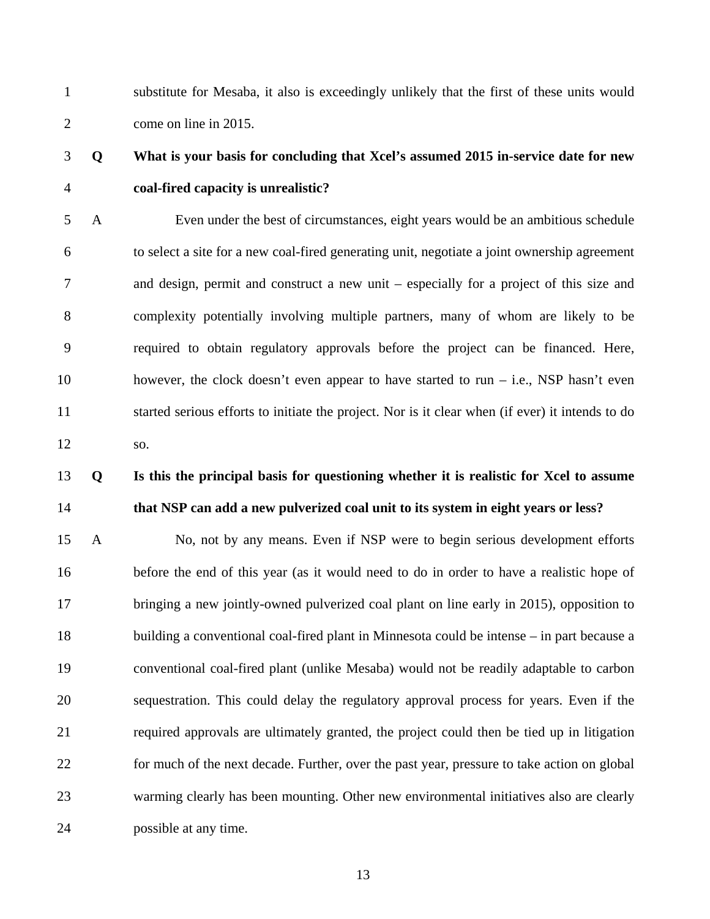1 substitute for Mesaba, it also is exceedingly unlikely that the first of these units would 2 come on line in 2015.

## 3 **Q What is your basis for concluding that Xcel's assumed 2015 in-service date for new**  4 **coal-fired capacity is unrealistic?**

5 A Even under the best of circumstances, eight years would be an ambitious schedule 6 to select a site for a new coal-fired generating unit, negotiate a joint ownership agreement 7 and design, permit and construct a new unit – especially for a project of this size and 8 complexity potentially involving multiple partners, many of whom are likely to be 9 required to obtain regulatory approvals before the project can be financed. Here, 10 however, the clock doesn't even appear to have started to run – i.e., NSP hasn't even 11 started serious efforts to initiate the project. Nor is it clear when (if ever) it intends to do 12 so.

## 13 **Q Is this the principal basis for questioning whether it is realistic for Xcel to assume**  14 **that NSP can add a new pulverized coal unit to its system in eight years or less?**

15 A No, not by any means. Even if NSP were to begin serious development efforts 16 before the end of this year (as it would need to do in order to have a realistic hope of 17 bringing a new jointly-owned pulverized coal plant on line early in 2015), opposition to 18 building a conventional coal-fired plant in Minnesota could be intense – in part because a 19 conventional coal-fired plant (unlike Mesaba) would not be readily adaptable to carbon 20 sequestration. This could delay the regulatory approval process for years. Even if the 21 required approvals are ultimately granted, the project could then be tied up in litigation 22 for much of the next decade. Further, over the past year, pressure to take action on global 23 warming clearly has been mounting. Other new environmental initiatives also are clearly 24 possible at any time.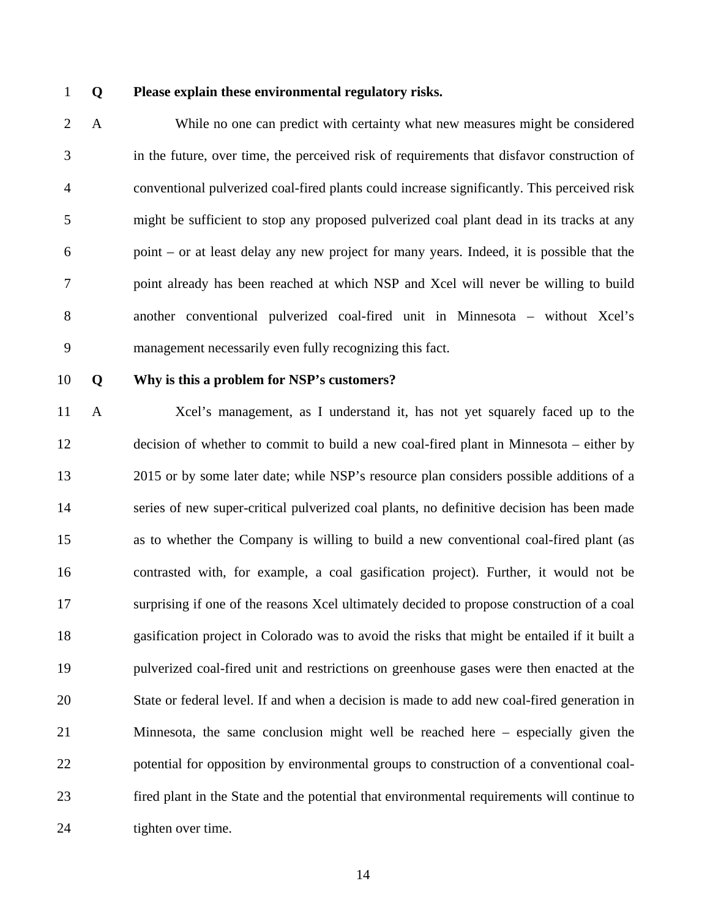#### 1 **Q Please explain these environmental regulatory risks.**

2 A While no one can predict with certainty what new measures might be considered 3 in the future, over time, the perceived risk of requirements that disfavor construction of 4 conventional pulverized coal-fired plants could increase significantly. This perceived risk 5 might be sufficient to stop any proposed pulverized coal plant dead in its tracks at any 6 point – or at least delay any new project for many years. Indeed, it is possible that the 7 point already has been reached at which NSP and Xcel will never be willing to build 8 another conventional pulverized coal-fired unit in Minnesota – without Xcel's 9 management necessarily even fully recognizing this fact.

#### 10 **Q Why is this a problem for NSP's customers?**

11 A Xcel's management, as I understand it, has not yet squarely faced up to the 12 decision of whether to commit to build a new coal-fired plant in Minnesota – either by 13 2015 or by some later date; while NSP's resource plan considers possible additions of a 14 series of new super-critical pulverized coal plants, no definitive decision has been made 15 as to whether the Company is willing to build a new conventional coal-fired plant (as 16 contrasted with, for example, a coal gasification project). Further, it would not be 17 surprising if one of the reasons Xcel ultimately decided to propose construction of a coal 18 gasification project in Colorado was to avoid the risks that might be entailed if it built a 19 pulverized coal-fired unit and restrictions on greenhouse gases were then enacted at the 20 State or federal level. If and when a decision is made to add new coal-fired generation in 21 Minnesota, the same conclusion might well be reached here – especially given the 22 potential for opposition by environmental groups to construction of a conventional coal-23 fired plant in the State and the potential that environmental requirements will continue to 24 tighten over time.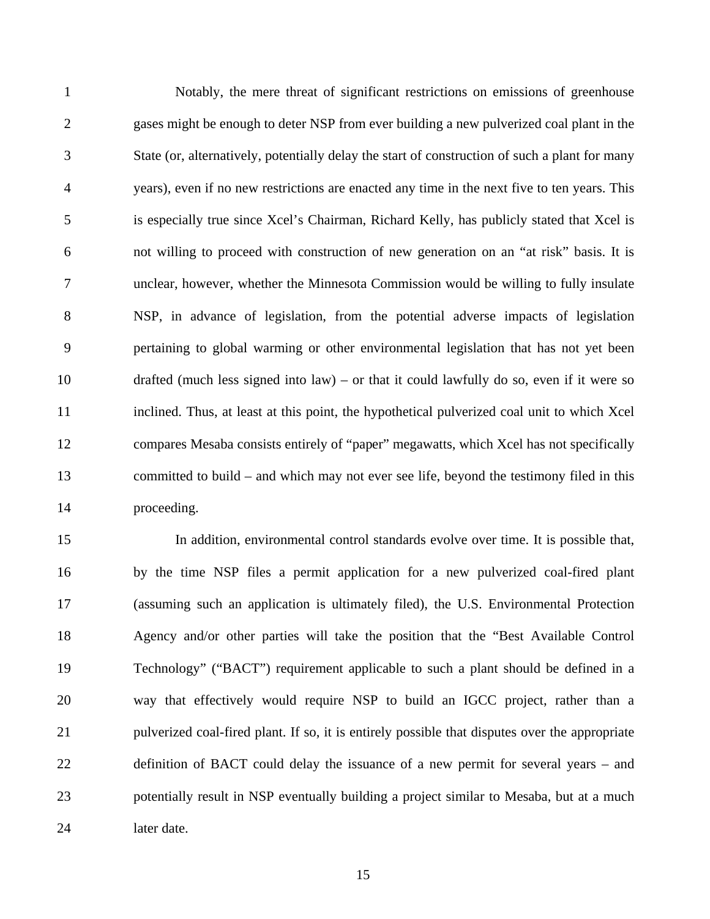1 Notably, the mere threat of significant restrictions on emissions of greenhouse 2 gases might be enough to deter NSP from ever building a new pulverized coal plant in the 3 State (or, alternatively, potentially delay the start of construction of such a plant for many 4 years), even if no new restrictions are enacted any time in the next five to ten years. This 5 is especially true since Xcel's Chairman, Richard Kelly, has publicly stated that Xcel is 6 not willing to proceed with construction of new generation on an "at risk" basis. It is 7 unclear, however, whether the Minnesota Commission would be willing to fully insulate 8 NSP, in advance of legislation, from the potential adverse impacts of legislation 9 pertaining to global warming or other environmental legislation that has not yet been 10 drafted (much less signed into law) – or that it could lawfully do so, even if it were so 11 inclined. Thus, at least at this point, the hypothetical pulverized coal unit to which Xcel 12 compares Mesaba consists entirely of "paper" megawatts, which Xcel has not specifically 13 committed to build – and which may not ever see life, beyond the testimony filed in this 14 proceeding.

15 In addition, environmental control standards evolve over time. It is possible that, 16 by the time NSP files a permit application for a new pulverized coal-fired plant 17 (assuming such an application is ultimately filed), the U.S. Environmental Protection 18 Agency and/or other parties will take the position that the "Best Available Control 19 Technology" ("BACT") requirement applicable to such a plant should be defined in a 20 way that effectively would require NSP to build an IGCC project, rather than a 21 pulverized coal-fired plant. If so, it is entirely possible that disputes over the appropriate 22 definition of BACT could delay the issuance of a new permit for several years – and 23 potentially result in NSP eventually building a project similar to Mesaba, but at a much 24 later date.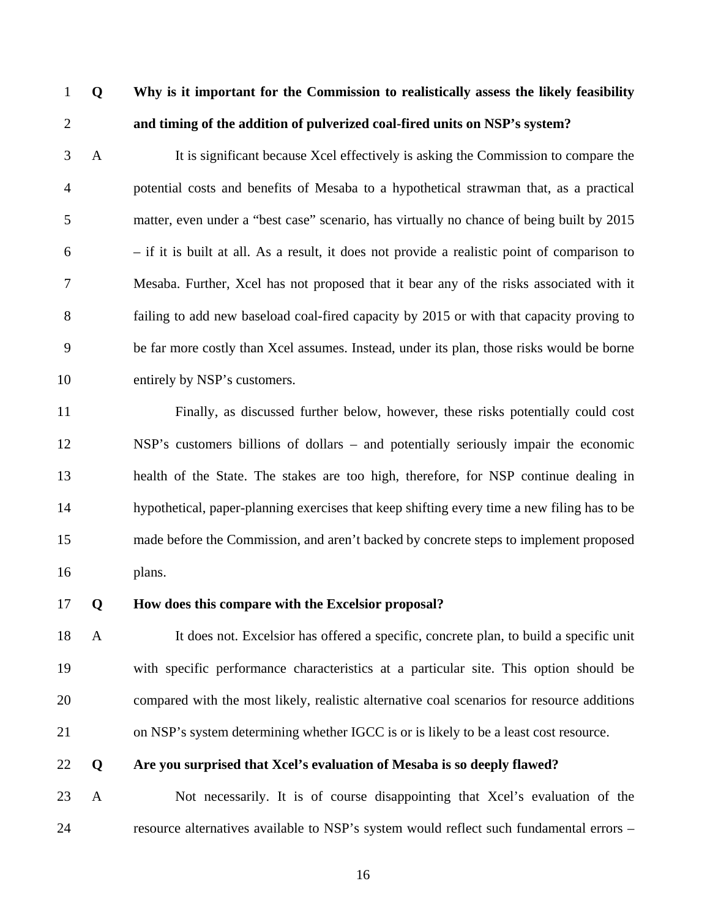## 1 **Q Why is it important for the Commission to realistically assess the likely feasibility**  2 **and timing of the addition of pulverized coal-fired units on NSP's system?**

3 A It is significant because Xcel effectively is asking the Commission to compare the 4 potential costs and benefits of Mesaba to a hypothetical strawman that, as a practical 5 matter, even under a "best case" scenario, has virtually no chance of being built by 2015  $6$  – if it is built at all. As a result, it does not provide a realistic point of comparison to 7 Mesaba. Further, Xcel has not proposed that it bear any of the risks associated with it 8 failing to add new baseload coal-fired capacity by 2015 or with that capacity proving to 9 be far more costly than Xcel assumes. Instead, under its plan, those risks would be borne 10 entirely by NSP's customers.

11 Finally, as discussed further below, however, these risks potentially could cost 12 NSP's customers billions of dollars – and potentially seriously impair the economic 13 health of the State. The stakes are too high, therefore, for NSP continue dealing in 14 hypothetical, paper-planning exercises that keep shifting every time a new filing has to be 15 made before the Commission, and aren't backed by concrete steps to implement proposed 16 plans.

#### 17 **Q How does this compare with the Excelsior proposal?**

18 A It does not. Excelsior has offered a specific, concrete plan, to build a specific unit 19 with specific performance characteristics at a particular site. This option should be 20 compared with the most likely, realistic alternative coal scenarios for resource additions 21 on NSP's system determining whether IGCC is or is likely to be a least cost resource.

#### 22 **Q Are you surprised that Xcel's evaluation of Mesaba is so deeply flawed?**

23 A Not necessarily. It is of course disappointing that Xcel's evaluation of the 24 resource alternatives available to NSP's system would reflect such fundamental errors –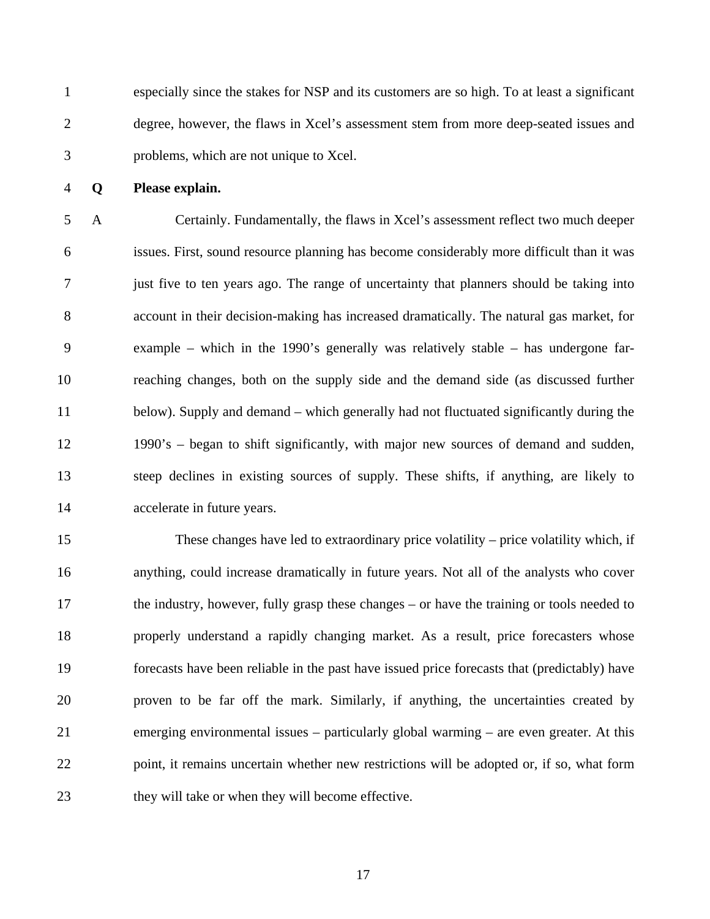1 especially since the stakes for NSP and its customers are so high. To at least a significant 2 degree, however, the flaws in Xcel's assessment stem from more deep-seated issues and 3 problems, which are not unique to Xcel.

4 **Q Please explain.** 

5 A Certainly. Fundamentally, the flaws in Xcel's assessment reflect two much deeper 6 issues. First, sound resource planning has become considerably more difficult than it was 7 just five to ten years ago. The range of uncertainty that planners should be taking into 8 account in their decision-making has increased dramatically. The natural gas market, for 9 example – which in the 1990's generally was relatively stable – has undergone far-10 reaching changes, both on the supply side and the demand side (as discussed further 11 below). Supply and demand – which generally had not fluctuated significantly during the 12 1990's – began to shift significantly, with major new sources of demand and sudden, 13 steep declines in existing sources of supply. These shifts, if anything, are likely to 14 accelerate in future years.

15 These changes have led to extraordinary price volatility – price volatility which, if 16 anything, could increase dramatically in future years. Not all of the analysts who cover 17 the industry, however, fully grasp these changes – or have the training or tools needed to 18 properly understand a rapidly changing market. As a result, price forecasters whose 19 forecasts have been reliable in the past have issued price forecasts that (predictably) have 20 proven to be far off the mark. Similarly, if anything, the uncertainties created by 21 emerging environmental issues – particularly global warming – are even greater. At this 22 point, it remains uncertain whether new restrictions will be adopted or, if so, what form 23 they will take or when they will become effective.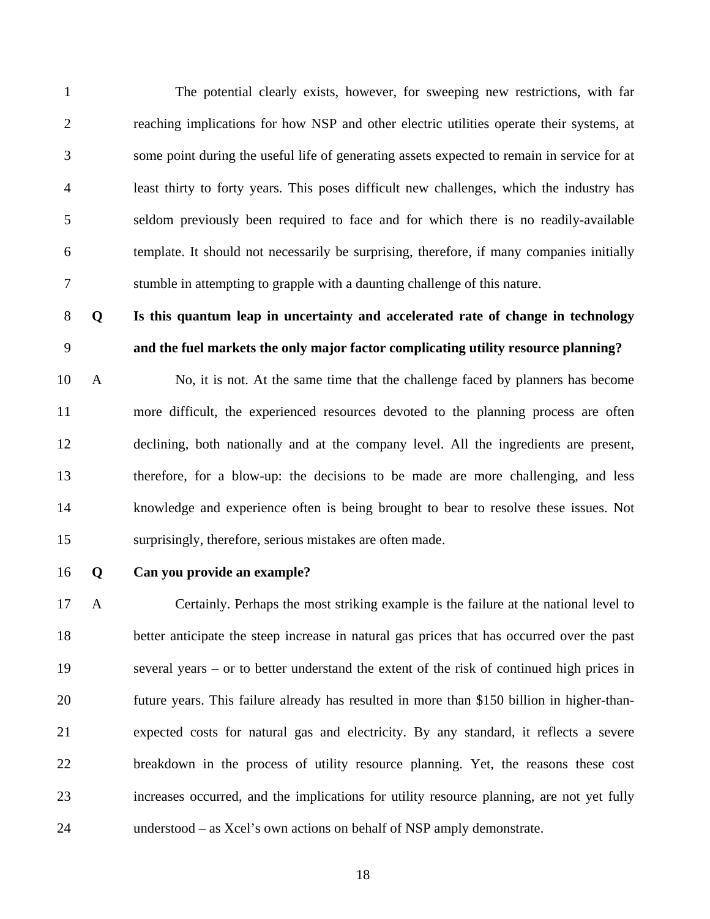1 The potential clearly exists, however, for sweeping new restrictions, with far 2 reaching implications for how NSP and other electric utilities operate their systems, at 3 some point during the useful life of generating assets expected to remain in service for at 4 least thirty to forty years. This poses difficult new challenges, which the industry has 5 seldom previously been required to face and for which there is no readily-available 6 template. It should not necessarily be surprising, therefore, if many companies initially 7 stumble in attempting to grapple with a daunting challenge of this nature.

### 8 **Q Is this quantum leap in uncertainty and accelerated rate of change in technology**  9 **and the fuel markets the only major factor complicating utility resource planning?**

10 A No, it is not. At the same time that the challenge faced by planners has become 11 more difficult, the experienced resources devoted to the planning process are often 12 declining, both nationally and at the company level. All the ingredients are present, 13 therefore, for a blow-up: the decisions to be made are more challenging, and less 14 knowledge and experience often is being brought to bear to resolve these issues. Not 15 surprisingly, therefore, serious mistakes are often made.

#### 16 **Q Can you provide an example?**

17 A Certainly. Perhaps the most striking example is the failure at the national level to 18 better anticipate the steep increase in natural gas prices that has occurred over the past 19 several years – or to better understand the extent of the risk of continued high prices in 20 future years. This failure already has resulted in more than \$150 billion in higher-than-21 expected costs for natural gas and electricity. By any standard, it reflects a severe 22 breakdown in the process of utility resource planning. Yet, the reasons these cost 23 increases occurred, and the implications for utility resource planning, are not yet fully 24 understood – as Xcel's own actions on behalf of NSP amply demonstrate.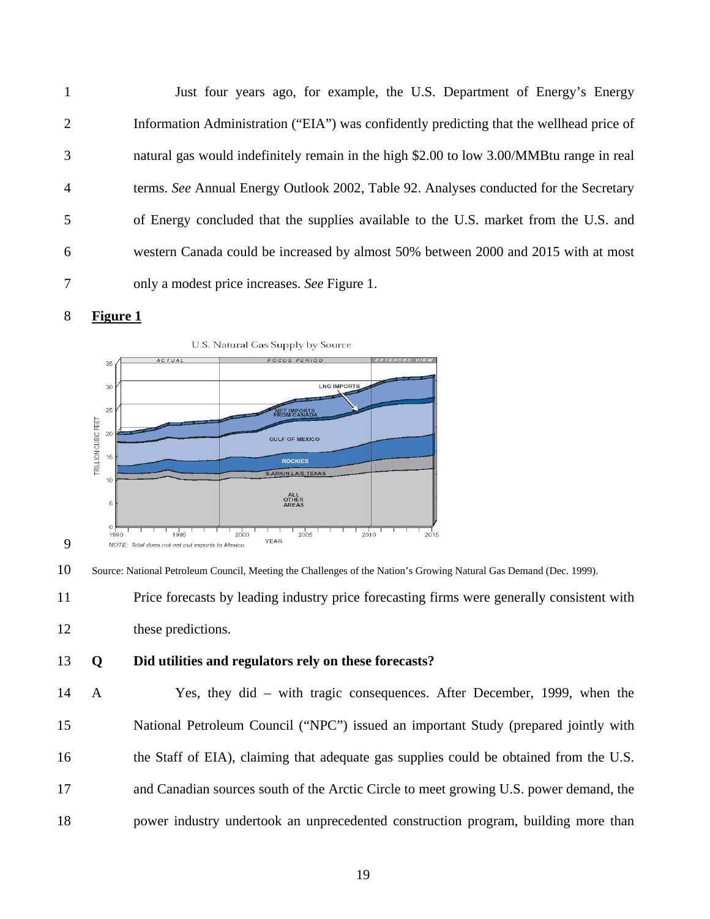1 Just four years ago, for example, the U.S. Department of Energy's Energy 2 Information Administration ("EIA") was confidently predicting that the wellhead price of 3 natural gas would indefinitely remain in the high \$2.00 to low 3.00/MMBtu range in real 4 terms. *See* Annual Energy Outlook 2002, Table 92. Analyses conducted for the Secretary 5 of Energy concluded that the supplies available to the U.S. market from the U.S. and 6 western Canada could be increased by almost 50% between 2000 and 2015 with at most 7 only a modest price increases. *See* Figure 1.



9



10 Source: National Petroleum Council, Meeting the Challenges of the Nation's Growing Natural Gas Demand (Dec. 1999).

11 Price forecasts by leading industry price forecasting firms were generally consistent with

12 these predictions.

#### 13 **Q Did utilities and regulators rely on these forecasts?**

14 A Yes, they did – with tragic consequences. After December, 1999, when the 15 National Petroleum Council ("NPC") issued an important Study (prepared jointly with 16 the Staff of EIA), claiming that adequate gas supplies could be obtained from the U.S. 17 and Canadian sources south of the Arctic Circle to meet growing U.S. power demand, the 18 power industry undertook an unprecedented construction program, building more than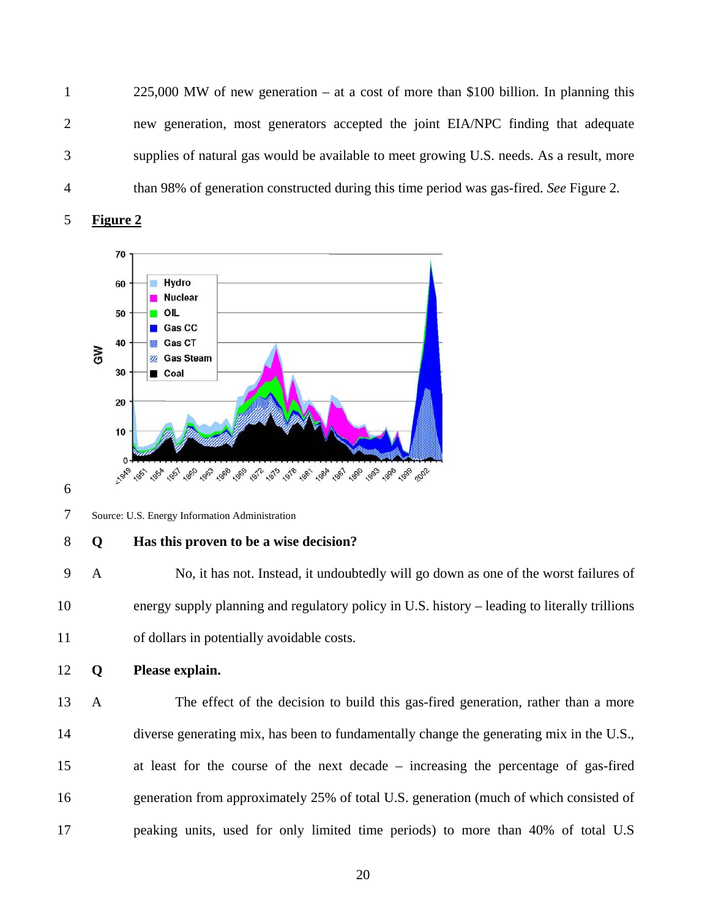1 225,000 MW of new generation – at a cost of more than \$100 billion. In planning this 2 new generation, most generators accepted the joint EIA/NPC finding that adequate 3 supplies of natural gas would be available to meet growing U.S. needs. As a result, more 4 than 98% of generation constructed during this time period was gas-fired. *See* Figure 2.





6

7 Source: U.S. Energy Information Administration

#### 8 **Q Has this proven to be a wise decision?**

9 A No, it has not. Instead, it undoubtedly will go down as one of the worst failures of 10 energy supply planning and regulatory policy in U.S. history – leading to literally trillions 11 of dollars in potentially avoidable costs.

12 **Q Please explain.** 

13 A The effect of the decision to build this gas-fired generation, rather than a more 14 diverse generating mix, has been to fundamentally change the generating mix in the U.S., 15 at least for the course of the next decade – increasing the percentage of gas-fired 16 generation from approximately 25% of total U.S. generation (much of which consisted of 17 peaking units, used for only limited time periods) to more than 40% of total U.S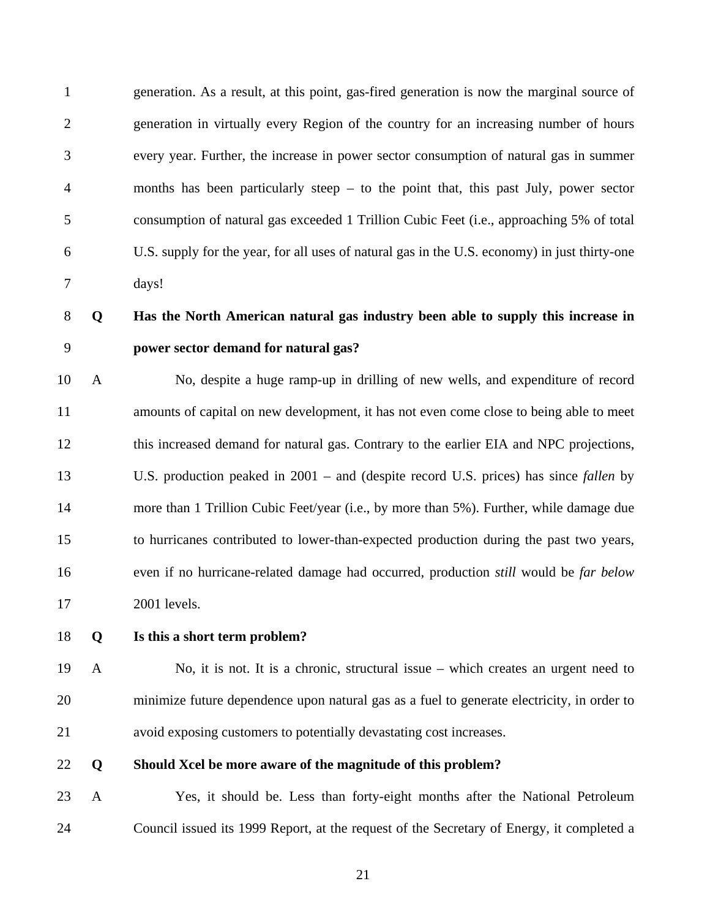1 generation. As a result, at this point, gas-fired generation is now the marginal source of 2 generation in virtually every Region of the country for an increasing number of hours 3 every year. Further, the increase in power sector consumption of natural gas in summer 4 months has been particularly steep – to the point that, this past July, power sector 5 consumption of natural gas exceeded 1 Trillion Cubic Feet (i.e., approaching 5% of total 6 U.S. supply for the year, for all uses of natural gas in the U.S. economy) in just thirty-one 7 days!

## 8 **Q Has the North American natural gas industry been able to supply this increase in**  9 **power sector demand for natural gas?**

10 A No, despite a huge ramp-up in drilling of new wells, and expenditure of record 11 amounts of capital on new development, it has not even come close to being able to meet 12 this increased demand for natural gas. Contrary to the earlier EIA and NPC projections, 13 U.S. production peaked in 2001 – and (despite record U.S. prices) has since *fallen* by 14 more than 1 Trillion Cubic Feet/year (i.e., by more than 5%). Further, while damage due 15 to hurricanes contributed to lower-than-expected production during the past two years, 16 even if no hurricane-related damage had occurred, production *still* would be *far below*  17 2001 levels.

#### 18 **Q Is this a short term problem?**

19 A No, it is not. It is a chronic, structural issue – which creates an urgent need to 20 minimize future dependence upon natural gas as a fuel to generate electricity, in order to 21 avoid exposing customers to potentially devastating cost increases.

22 **Q Should Xcel be more aware of the magnitude of this problem?** 

23 A Yes, it should be. Less than forty-eight months after the National Petroleum 24 Council issued its 1999 Report, at the request of the Secretary of Energy, it completed a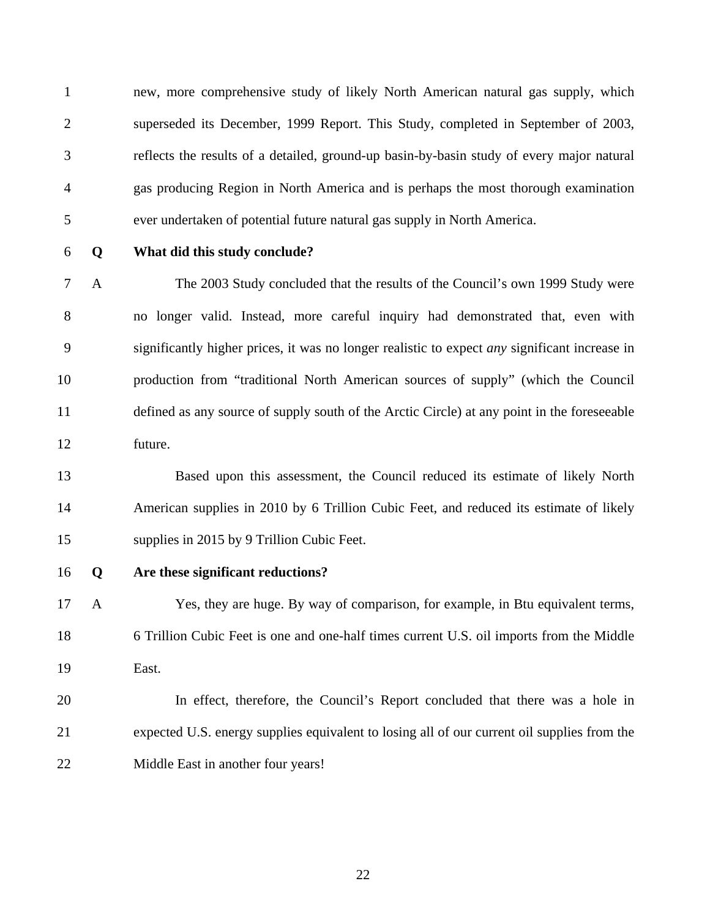1 new, more comprehensive study of likely North American natural gas supply, which 2 superseded its December, 1999 Report. This Study, completed in September of 2003, 3 reflects the results of a detailed, ground-up basin-by-basin study of every major natural 4 gas producing Region in North America and is perhaps the most thorough examination 5 ever undertaken of potential future natural gas supply in North America.

#### 6 **Q What did this study conclude?**

7 A The 2003 Study concluded that the results of the Council's own 1999 Study were 8 no longer valid. Instead, more careful inquiry had demonstrated that, even with 9 significantly higher prices, it was no longer realistic to expect *any* significant increase in 10 production from "traditional North American sources of supply" (which the Council 11 defined as any source of supply south of the Arctic Circle) at any point in the foreseeable 12 future.

13 Based upon this assessment, the Council reduced its estimate of likely North 14 American supplies in 2010 by 6 Trillion Cubic Feet, and reduced its estimate of likely 15 supplies in 2015 by 9 Trillion Cubic Feet.

#### 16 **Q Are these significant reductions?**

17 A Yes, they are huge. By way of comparison, for example, in Btu equivalent terms, 18 6 Trillion Cubic Feet is one and one-half times current U.S. oil imports from the Middle 19 East.

20 In effect, therefore, the Council's Report concluded that there was a hole in 21 expected U.S. energy supplies equivalent to losing all of our current oil supplies from the 22 Middle East in another four years!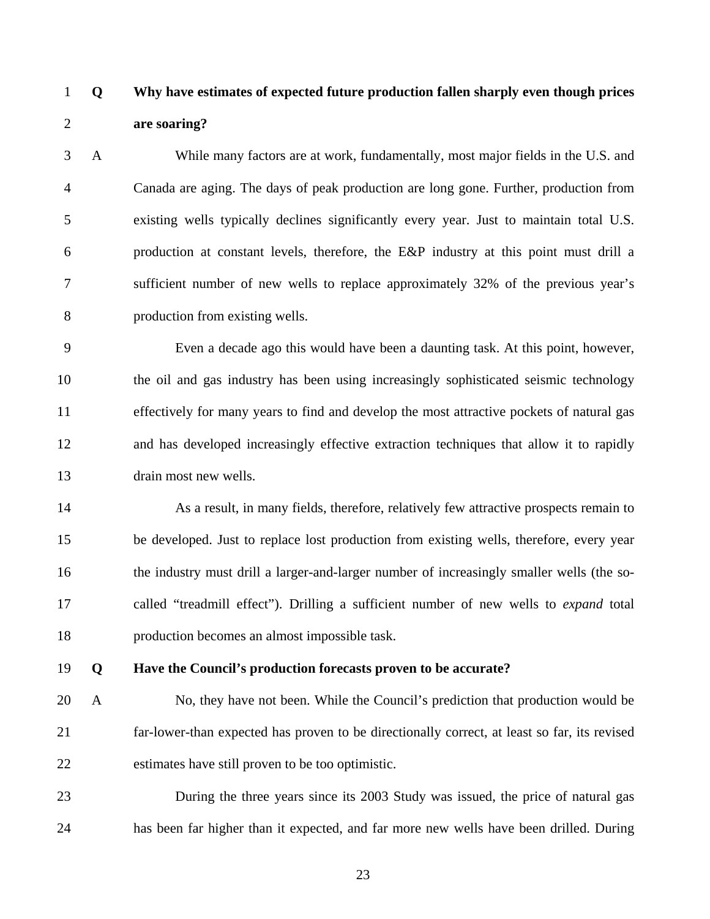### 1 **Q Why have estimates of expected future production fallen sharply even though prices**  2 **are soaring?**

3 A While many factors are at work, fundamentally, most major fields in the U.S. and 4 Canada are aging. The days of peak production are long gone. Further, production from 5 existing wells typically declines significantly every year. Just to maintain total U.S. 6 production at constant levels, therefore, the E&P industry at this point must drill a 7 sufficient number of new wells to replace approximately 32% of the previous year's 8 production from existing wells.

9 Even a decade ago this would have been a daunting task. At this point, however, 10 the oil and gas industry has been using increasingly sophisticated seismic technology 11 effectively for many years to find and develop the most attractive pockets of natural gas 12 and has developed increasingly effective extraction techniques that allow it to rapidly 13 drain most new wells.

14 As a result, in many fields, therefore, relatively few attractive prospects remain to 15 be developed. Just to replace lost production from existing wells, therefore, every year 16 the industry must drill a larger-and-larger number of increasingly smaller wells (the so-17 called "treadmill effect"). Drilling a sufficient number of new wells to *expand* total 18 production becomes an almost impossible task.

#### 19 **Q Have the Council's production forecasts proven to be accurate?**

20 A No, they have not been. While the Council's prediction that production would be 21 far-lower-than expected has proven to be directionally correct, at least so far, its revised 22 estimates have still proven to be too optimistic.

23 During the three years since its 2003 Study was issued, the price of natural gas 24 has been far higher than it expected, and far more new wells have been drilled. During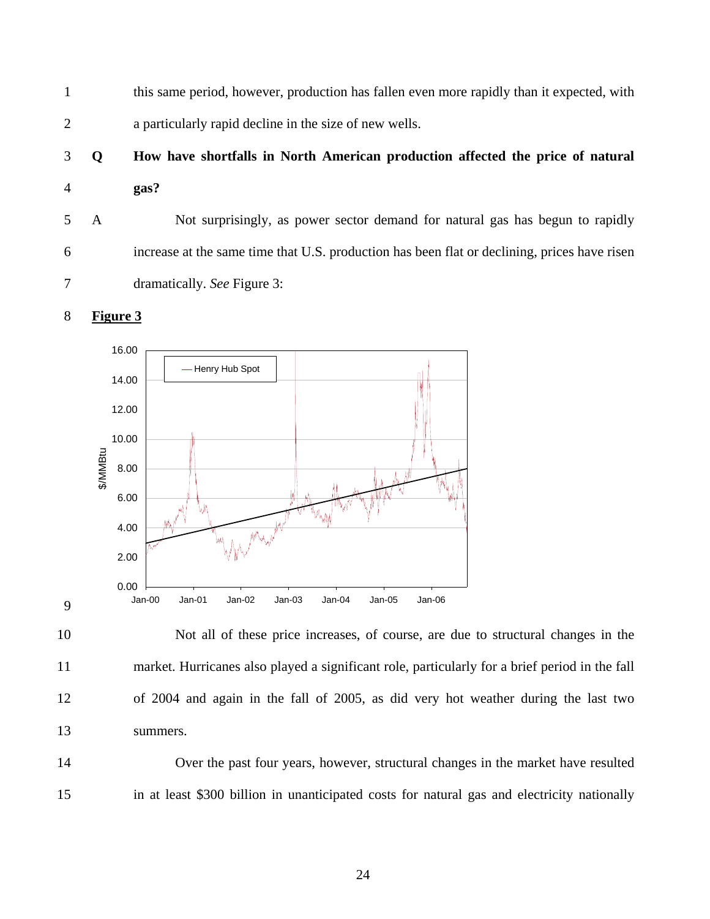1 this same period, however, production has fallen even more rapidly than it expected, with 2 a particularly rapid decline in the size of new wells.

## 3 **Q How have shortfalls in North American production affected the price of natural**  4 **gas?**

5 A Not surprisingly, as power sector demand for natural gas has begun to rapidly 6 increase at the same time that U.S. production has been flat or declining, prices have risen 7 dramatically. *See* Figure 3:





9

10 Not all of these price increases, of course, are due to structural changes in the 11 market. Hurricanes also played a significant role, particularly for a brief period in the fall 12 of 2004 and again in the fall of 2005, as did very hot weather during the last two 13 summers.

14 Over the past four years, however, structural changes in the market have resulted 15 in at least \$300 billion in unanticipated costs for natural gas and electricity nationally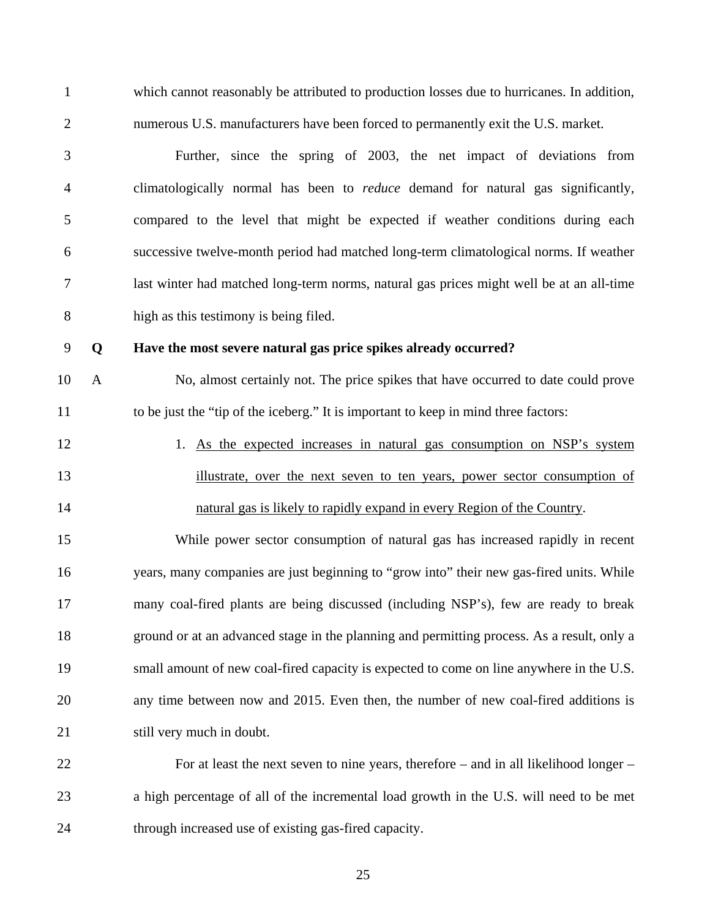1 which cannot reasonably be attributed to production losses due to hurricanes. In addition, 2 numerous U.S. manufacturers have been forced to permanently exit the U.S. market.

3 Further, since the spring of 2003, the net impact of deviations from 4 climatologically normal has been to *reduce* demand for natural gas significantly, 5 compared to the level that might be expected if weather conditions during each 6 successive twelve-month period had matched long-term climatological norms. If weather 7 last winter had matched long-term norms, natural gas prices might well be at an all-time 8 high as this testimony is being filed.

#### 9 **Q Have the most severe natural gas price spikes already occurred?**

10 A No, almost certainly not. The price spikes that have occurred to date could prove 11 to be just the "tip of the iceberg." It is important to keep in mind three factors:

12 1. As the expected increases in natural gas consumption on NSP's system 13 illustrate, over the next seven to ten years, power sector consumption of 14 natural gas is likely to rapidly expand in every Region of the Country.

15 While power sector consumption of natural gas has increased rapidly in recent 16 years, many companies are just beginning to "grow into" their new gas-fired units. While 17 many coal-fired plants are being discussed (including NSP's), few are ready to break 18 ground or at an advanced stage in the planning and permitting process. As a result, only a 19 small amount of new coal-fired capacity is expected to come on line anywhere in the U.S. 20 any time between now and 2015. Even then, the number of new coal-fired additions is 21 still very much in doubt.

22 For at least the next seven to nine years, therefore – and in all likelihood longer – 23 a high percentage of all of the incremental load growth in the U.S. will need to be met 24 through increased use of existing gas-fired capacity.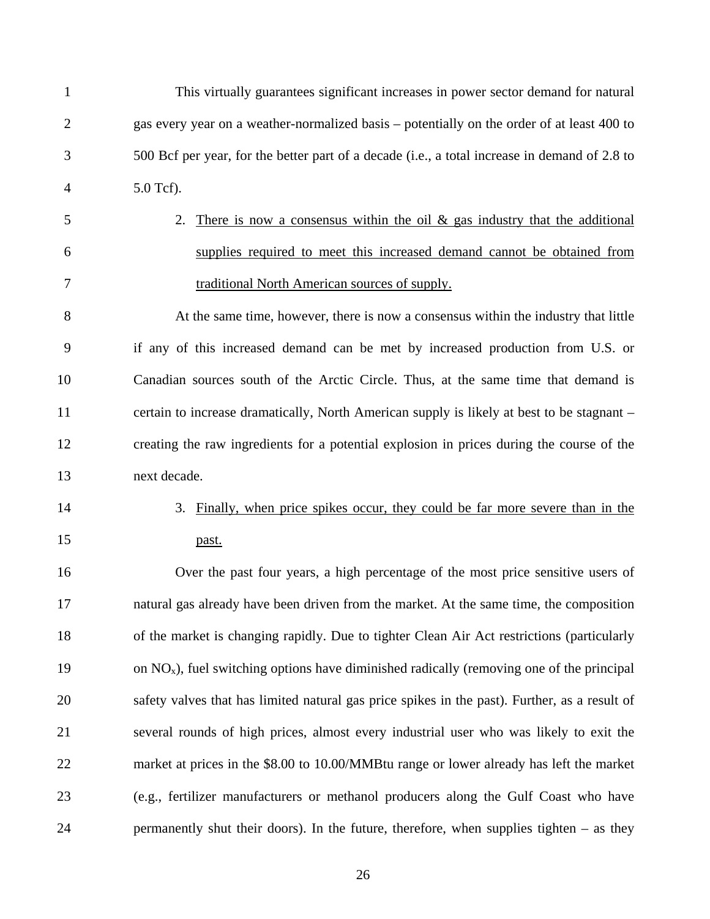| $\mathbf{1}$   | This virtually guarantees significant increases in power sector demand for natural            |
|----------------|-----------------------------------------------------------------------------------------------|
| $\overline{2}$ | gas every year on a weather-normalized basis - potentially on the order of at least 400 to    |
| 3              | 500 Bcf per year, for the better part of a decade (i.e., a total increase in demand of 2.8 to |
| 4              | 5.0 Tcf).                                                                                     |
| 5              | There is now a consensus within the oil $\&$ gas industry that the additional<br>2.           |
| 6              | supplies required to meet this increased demand cannot be obtained from                       |
| 7              | traditional North American sources of supply.                                                 |
| 8              | At the same time, however, there is now a consensus within the industry that little           |
| 9              | if any of this increased demand can be met by increased production from U.S. or               |
| 10             | Canadian sources south of the Arctic Circle. Thus, at the same time that demand is            |
| 11             | certain to increase dramatically, North American supply is likely at best to be stagnant –    |
| 12             | creating the raw ingredients for a potential explosion in prices during the course of the     |
| 13             | next decade.                                                                                  |
| 14             | 3. Finally, when price spikes occur, they could be far more severe than in the                |
| 15             | past.                                                                                         |
| 16             | Over the past four years, a high percentage of the most price sensitive users of              |
| 17             | natural gas already have been driven from the market. At the same time, the composition       |
| 18             | of the market is changing rapidly. Due to tighter Clean Air Act restrictions (particularly    |
| 19             | on $NOx$ ), fuel switching options have diminished radically (removing one of the principal   |
| 20             | safety valves that has limited natural gas price spikes in the past). Further, as a result of |
| 21             | several rounds of high prices, almost every industrial user who was likely to exit the        |
| 22             | market at prices in the \$8.00 to 10.00/MMBtu range or lower already has left the market      |
| 23             | (e.g., fertilizer manufacturers or methanol producers along the Gulf Coast who have           |
| 24             | permanently shut their doors). In the future, therefore, when supplies tighten $-$ as they    |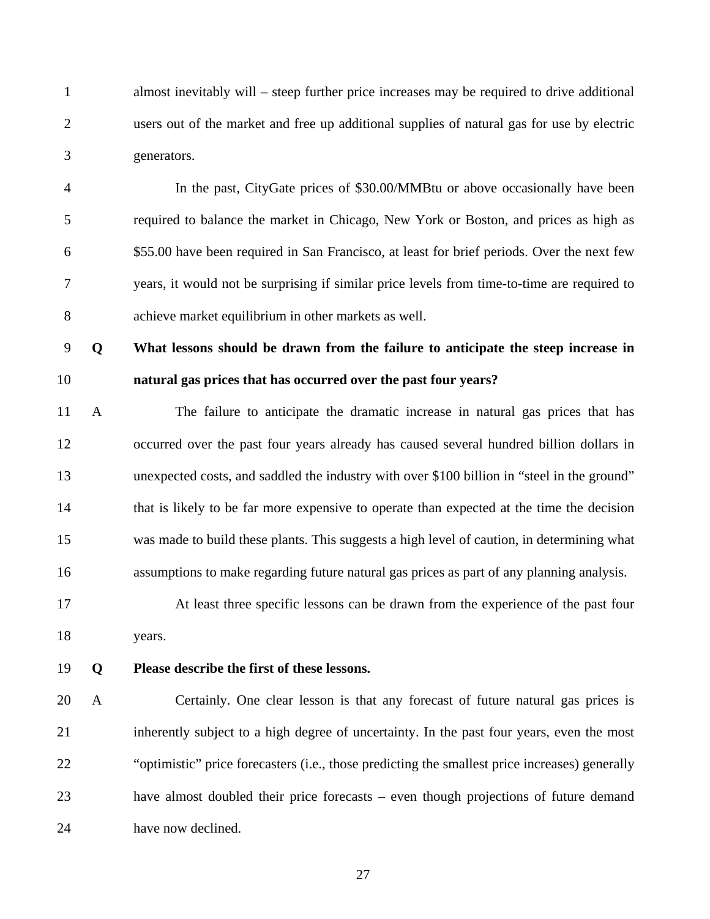1 almost inevitably will – steep further price increases may be required to drive additional 2 users out of the market and free up additional supplies of natural gas for use by electric 3 generators.

4 In the past, CityGate prices of \$30.00/MMBtu or above occasionally have been 5 required to balance the market in Chicago, New York or Boston, and prices as high as 6 \$55.00 have been required in San Francisco, at least for brief periods. Over the next few 7 years, it would not be surprising if similar price levels from time-to-time are required to 8 achieve market equilibrium in other markets as well.

9 **Q What lessons should be drawn from the failure to anticipate the steep increase in**  10 **natural gas prices that has occurred over the past four years?** 

11 A The failure to anticipate the dramatic increase in natural gas prices that has 12 occurred over the past four years already has caused several hundred billion dollars in 13 unexpected costs, and saddled the industry with over \$100 billion in "steel in the ground" 14 that is likely to be far more expensive to operate than expected at the time the decision 15 was made to build these plants. This suggests a high level of caution, in determining what 16 assumptions to make regarding future natural gas prices as part of any planning analysis.

17 At least three specific lessons can be drawn from the experience of the past four 18 years.

19 **Q Please describe the first of these lessons.** 

20 A Certainly. One clear lesson is that any forecast of future natural gas prices is 21 inherently subject to a high degree of uncertainty. In the past four years, even the most 22 "optimistic" price forecasters (i.e., those predicting the smallest price increases) generally 23 have almost doubled their price forecasts – even though projections of future demand 24 have now declined.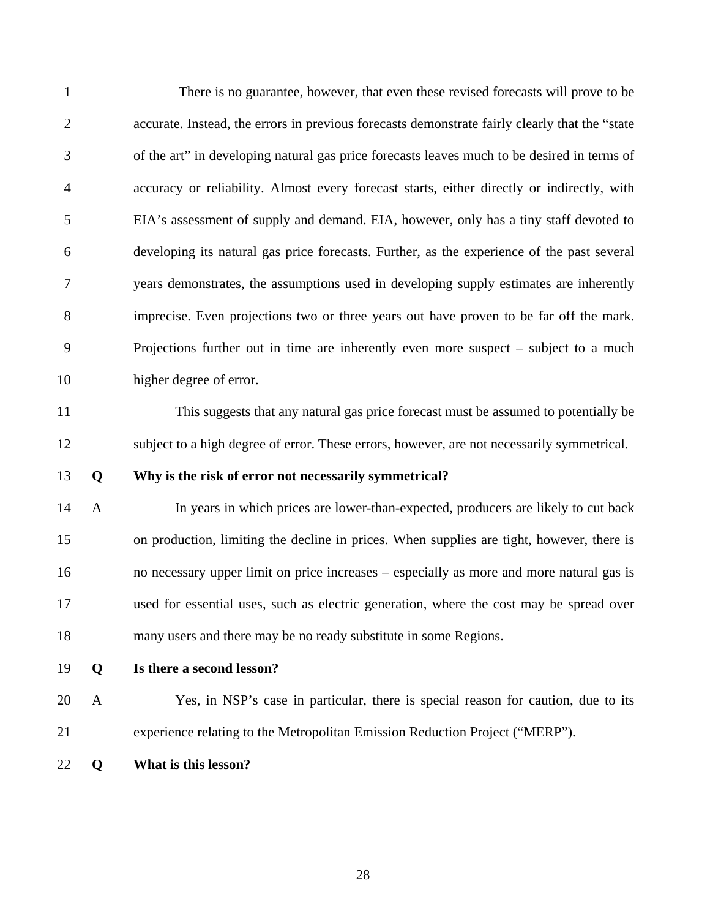| $\mathbf{1}$   |              | There is no guarantee, however, that even these revised forecasts will prove to be             |
|----------------|--------------|------------------------------------------------------------------------------------------------|
| $\overline{2}$ |              | accurate. Instead, the errors in previous forecasts demonstrate fairly clearly that the "state |
| 3              |              | of the art" in developing natural gas price forecasts leaves much to be desired in terms of    |
| $\overline{4}$ |              | accuracy or reliability. Almost every forecast starts, either directly or indirectly, with     |
| 5              |              | EIA's assessment of supply and demand. EIA, however, only has a tiny staff devoted to          |
| 6              |              | developing its natural gas price forecasts. Further, as the experience of the past several     |
| 7              |              | years demonstrates, the assumptions used in developing supply estimates are inherently         |
| 8              |              | imprecise. Even projections two or three years out have proven to be far off the mark.         |
| 9              |              | Projections further out in time are inherently even more suspect $-$ subject to a much         |
| 10             |              | higher degree of error.                                                                        |
| 11             |              | This suggests that any natural gas price forecast must be assumed to potentially be            |
| 12             |              | subject to a high degree of error. These errors, however, are not necessarily symmetrical.     |
| 13             | Q            | Why is the risk of error not necessarily symmetrical?                                          |
| 14             | $\mathbf{A}$ | In years in which prices are lower-than-expected, producers are likely to cut back             |
| 15             |              | on production, limiting the decline in prices. When supplies are tight, however, there is      |
| 16             |              | no necessary upper limit on price increases – especially as more and more natural gas is       |
| 17             |              | used for essential uses, such as electric generation, where the cost may be spread over        |
| 18             |              | many users and there may be no ready substitute in some Regions.                               |
| 19             | Q            | Is there a second lesson?                                                                      |
| 20             | A            | Yes, in NSP's case in particular, there is special reason for caution, due to its              |
| 21             |              | experience relating to the Metropolitan Emission Reduction Project ("MERP").                   |
| 22             | Q            | What is this lesson?                                                                           |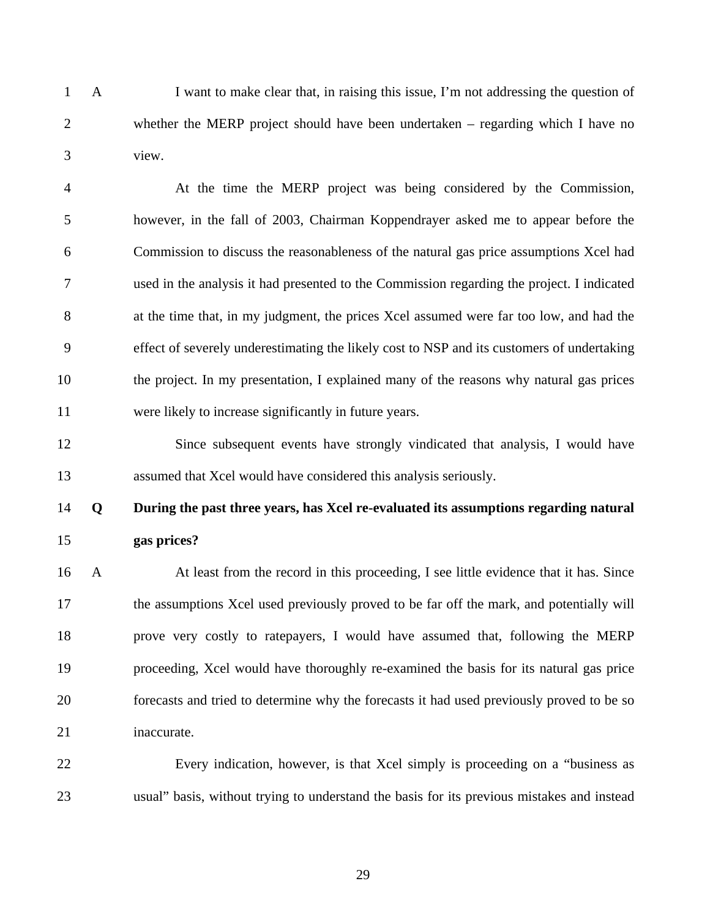1 A I want to make clear that, in raising this issue, I'm not addressing the question of 2 whether the MERP project should have been undertaken – regarding which I have no 3 view.

4 At the time the MERP project was being considered by the Commission, 5 however, in the fall of 2003, Chairman Koppendrayer asked me to appear before the 6 Commission to discuss the reasonableness of the natural gas price assumptions Xcel had 7 used in the analysis it had presented to the Commission regarding the project. I indicated 8 at the time that, in my judgment, the prices Xcel assumed were far too low, and had the 9 effect of severely underestimating the likely cost to NSP and its customers of undertaking 10 the project. In my presentation, I explained many of the reasons why natural gas prices 11 were likely to increase significantly in future years.

12 Since subsequent events have strongly vindicated that analysis, I would have 13 assumed that Xcel would have considered this analysis seriously.

### 14 **Q During the past three years, has Xcel re-evaluated its assumptions regarding natural**  15 **gas prices?**

16 A At least from the record in this proceeding, I see little evidence that it has. Since 17 the assumptions Xcel used previously proved to be far off the mark, and potentially will 18 prove very costly to ratepayers, I would have assumed that, following the MERP 19 proceeding, Xcel would have thoroughly re-examined the basis for its natural gas price 20 forecasts and tried to determine why the forecasts it had used previously proved to be so 21 inaccurate.

22 Every indication, however, is that Xcel simply is proceeding on a "business as 23 usual" basis, without trying to understand the basis for its previous mistakes and instead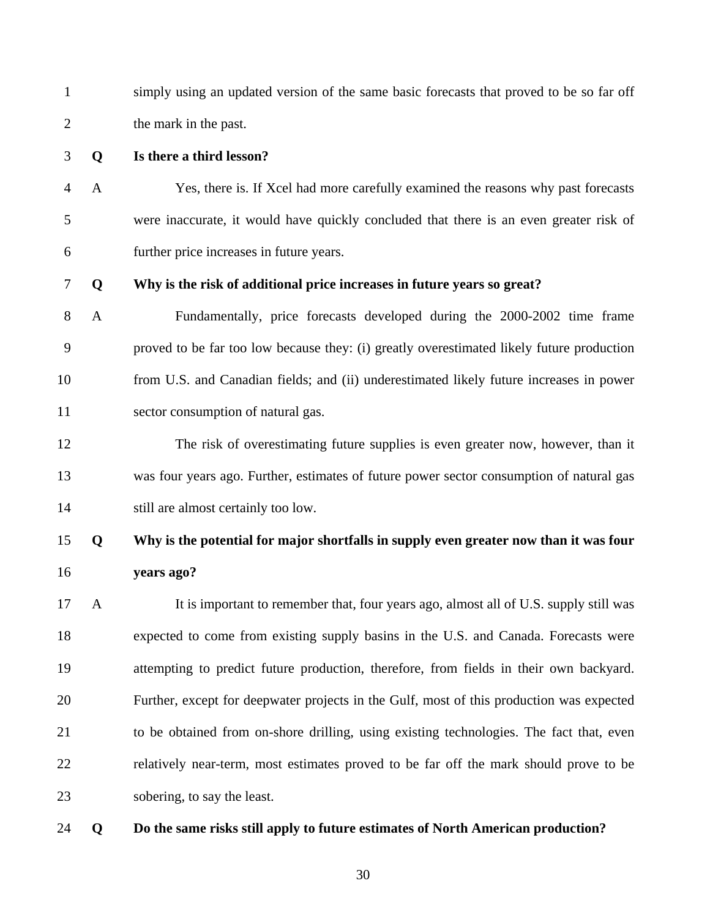1 simply using an updated version of the same basic forecasts that proved to be so far off 2 the mark in the past.

- 3 **Q Is there a third lesson?**
- 4 A Yes, there is. If Xcel had more carefully examined the reasons why past forecasts 5 were inaccurate, it would have quickly concluded that there is an even greater risk of 6 further price increases in future years.

#### 7 **Q Why is the risk of additional price increases in future years so great?**

- 8 A Fundamentally, price forecasts developed during the 2000-2002 time frame 9 proved to be far too low because they: (i) greatly overestimated likely future production 10 from U.S. and Canadian fields; and (ii) underestimated likely future increases in power 11 sector consumption of natural gas.
- 12 The risk of overestimating future supplies is even greater now, however, than it 13 was four years ago. Further, estimates of future power sector consumption of natural gas 14 still are almost certainly too low.

### 15 **Q Why is the potential for major shortfalls in supply even greater now than it was four**  16 **years ago?**

17 A It is important to remember that, four years ago, almost all of U.S. supply still was 18 expected to come from existing supply basins in the U.S. and Canada. Forecasts were 19 attempting to predict future production, therefore, from fields in their own backyard. 20 Further, except for deepwater projects in the Gulf, most of this production was expected 21 to be obtained from on-shore drilling, using existing technologies. The fact that, even 22 relatively near-term, most estimates proved to be far off the mark should prove to be 23 sobering, to say the least.

#### 24 **Q Do the same risks still apply to future estimates of North American production?**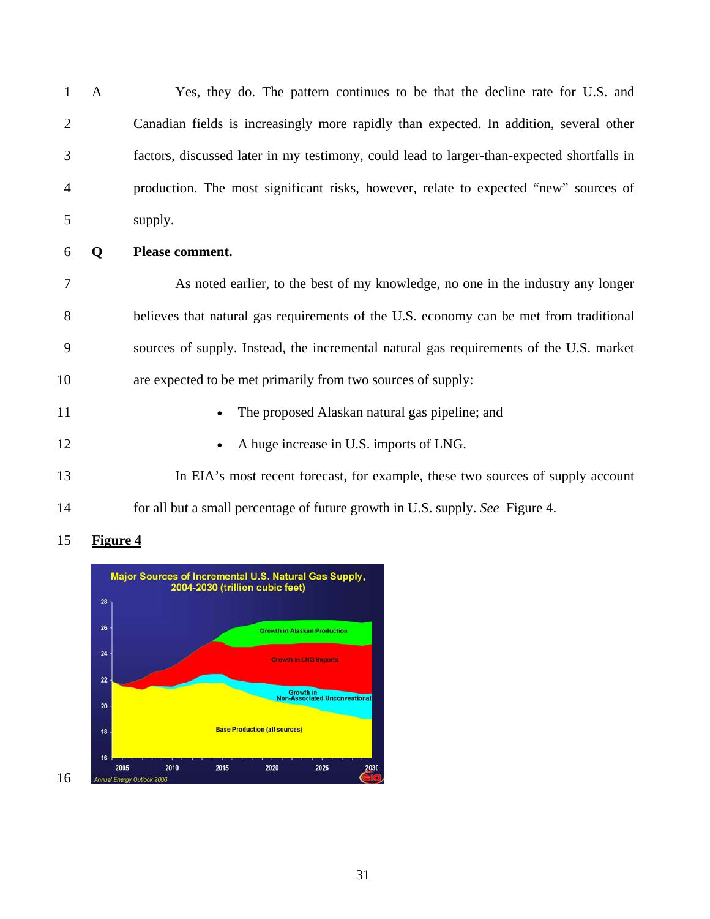1 A Yes, they do. The pattern continues to be that the decline rate for U.S. and 2 Canadian fields is increasingly more rapidly than expected. In addition, several other 3 factors, discussed later in my testimony, could lead to larger-than-expected shortfalls in 4 production. The most significant risks, however, relate to expected "new" sources of 5 supply.

6 **Q Please comment.** 

7 As noted earlier, to the best of my knowledge, no one in the industry any longer 8 believes that natural gas requirements of the U.S. economy can be met from traditional 9 sources of supply. Instead, the incremental natural gas requirements of the U.S. market 10 are expected to be met primarily from two sources of supply:

- 11 The proposed Alaskan natural gas pipeline; and
- 12 A huge increase in U.S. imports of LNG.
- 13 In EIA's most recent forecast, for example, these two sources of supply account 14 for all but a small percentage of future growth in U.S. supply. *See* Figure 4.



#### 15 **Figure 4**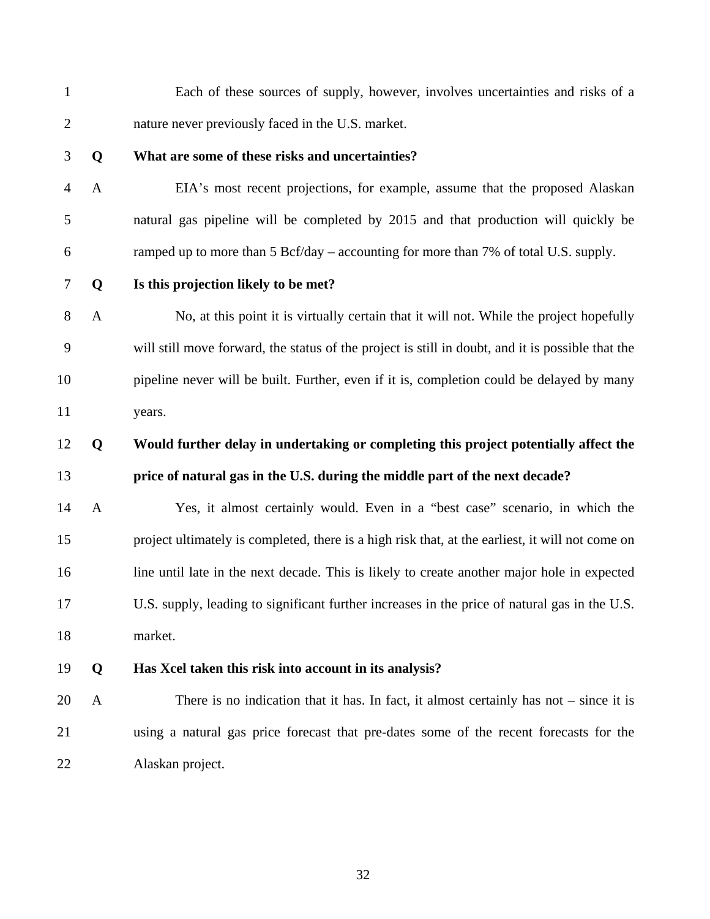- 1 Each of these sources of supply, however, involves uncertainties and risks of a 2 nature never previously faced in the U.S. market. 3 **Q What are some of these risks and uncertainties?**  4 A EIA's most recent projections, for example, assume that the proposed Alaskan 5 natural gas pipeline will be completed by 2015 and that production will quickly be 6 ramped up to more than  $5 \text{ Bcf/day}$  – accounting for more than  $7\%$  of total U.S. supply. 7 **Q Is this projection likely to be met?**  8 A No, at this point it is virtually certain that it will not. While the project hopefully 9 will still move forward, the status of the project is still in doubt, and it is possible that the 10 pipeline never will be built. Further, even if it is, completion could be delayed by many 11 years. 12 **Q Would further delay in undertaking or completing this project potentially affect the**  13 **price of natural gas in the U.S. during the middle part of the next decade?**  14 A Yes, it almost certainly would. Even in a "best case" scenario, in which the 15 project ultimately is completed, there is a high risk that, at the earliest, it will not come on 16 line until late in the next decade. This is likely to create another major hole in expected 17 U.S. supply, leading to significant further increases in the price of natural gas in the U.S. 18 market. 19 **Q Has Xcel taken this risk into account in its analysis?**  20 A There is no indication that it has. In fact, it almost certainly has not – since it is 21 using a natural gas price forecast that pre-dates some of the recent forecasts for the
- 22 Alaskan project.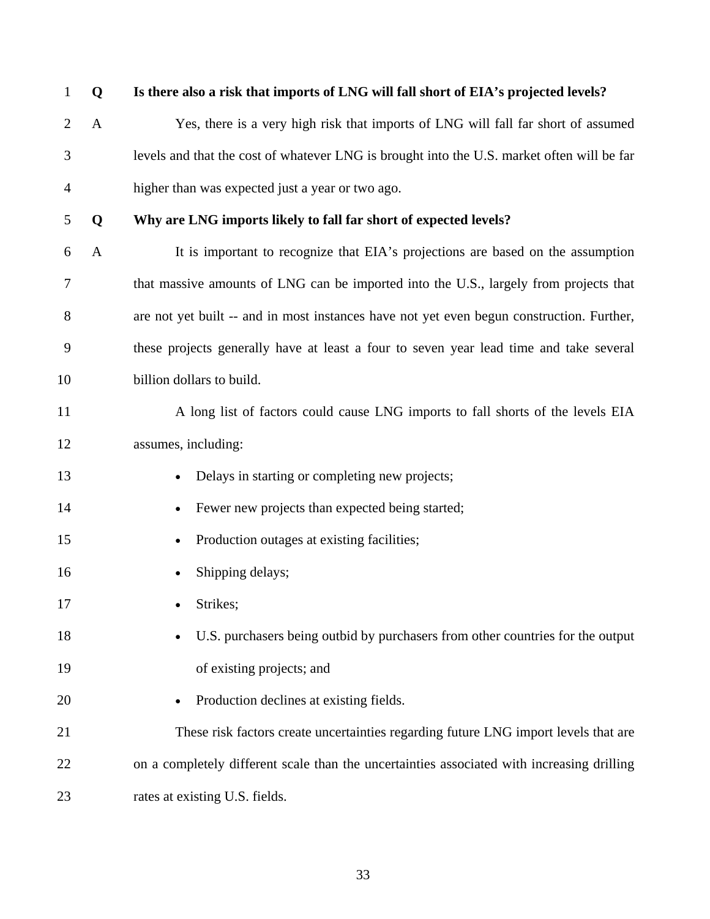| $\mathbf{1}$   | Q            | Is there also a risk that imports of LNG will fall short of EIA's projected levels?        |
|----------------|--------------|--------------------------------------------------------------------------------------------|
| $\overline{2}$ | A            | Yes, there is a very high risk that imports of LNG will fall far short of assumed          |
| 3              |              | levels and that the cost of whatever LNG is brought into the U.S. market often will be far |
| 4              |              | higher than was expected just a year or two ago.                                           |
| 5              | Q            | Why are LNG imports likely to fall far short of expected levels?                           |
| 6              | $\mathbf{A}$ | It is important to recognize that EIA's projections are based on the assumption            |
| 7              |              | that massive amounts of LNG can be imported into the U.S., largely from projects that      |
| 8              |              | are not yet built -- and in most instances have not yet even begun construction. Further,  |
| 9              |              | these projects generally have at least a four to seven year lead time and take several     |
| 10             |              | billion dollars to build.                                                                  |
| 11             |              | A long list of factors could cause LNG imports to fall shorts of the levels EIA            |
| 12             |              | assumes, including:                                                                        |
| 13             |              | Delays in starting or completing new projects;                                             |
| 14             |              | Fewer new projects than expected being started;<br>$\bullet$                               |
| 15             |              | Production outages at existing facilities;<br>٠                                            |
| 16             |              | Shipping delays;                                                                           |
| 17             |              | Strikes;                                                                                   |
| 18             |              | U.S. purchasers being outbid by purchasers from other countries for the output             |
| 19             |              | of existing projects; and                                                                  |
| 20             |              | Production declines at existing fields.                                                    |
| 21             |              | These risk factors create uncertainties regarding future LNG import levels that are        |
| 22             |              | on a completely different scale than the uncertainties associated with increasing drilling |
| 23             |              | rates at existing U.S. fields.                                                             |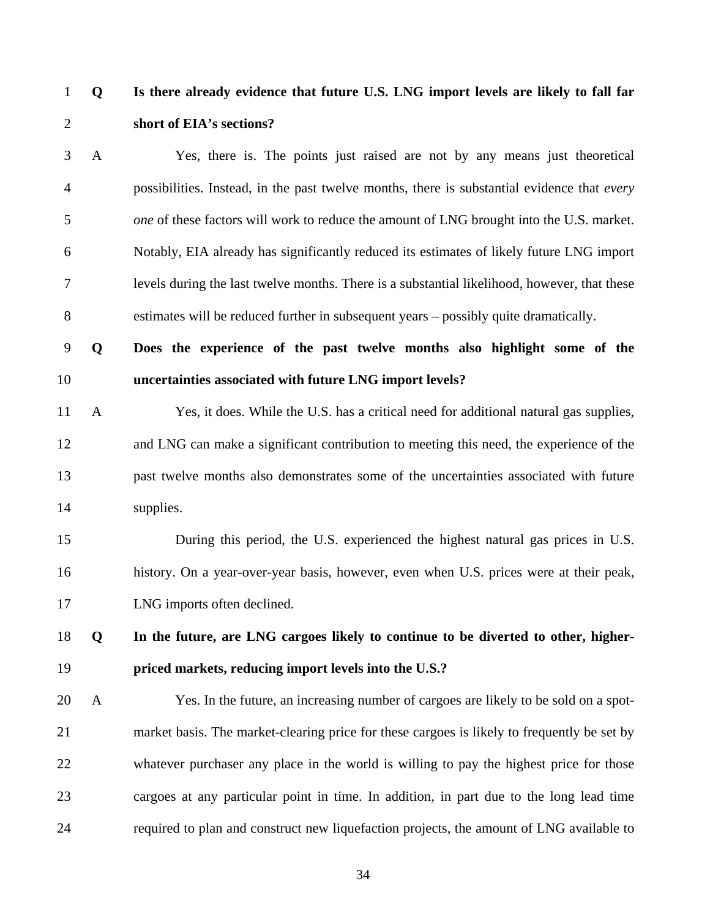### 1 **Q Is there already evidence that future U.S. LNG import levels are likely to fall far**  2 **short of EIA's sections?**

3 A Yes, there is. The points just raised are not by any means just theoretical 4 possibilities. Instead, in the past twelve months, there is substantial evidence that *every*  5 *one* of these factors will work to reduce the amount of LNG brought into the U.S. market. 6 Notably, EIA already has significantly reduced its estimates of likely future LNG import 7 levels during the last twelve months. There is a substantial likelihood, however, that these 8 estimates will be reduced further in subsequent years – possibly quite dramatically.

## 9 **Q Does the experience of the past twelve months also highlight some of the**  10 **uncertainties associated with future LNG import levels?**

11 A Yes, it does. While the U.S. has a critical need for additional natural gas supplies, 12 and LNG can make a significant contribution to meeting this need, the experience of the 13 past twelve months also demonstrates some of the uncertainties associated with future 14 supplies.

# 15 During this period, the U.S. experienced the highest natural gas prices in U.S. 16 history. On a year-over-year basis, however, even when U.S. prices were at their peak, 17 LNG imports often declined.

## 18 **Q In the future, are LNG cargoes likely to continue to be diverted to other, higher-**19 **priced markets, reducing import levels into the U.S.?**

20 A Yes. In the future, an increasing number of cargoes are likely to be sold on a spot-21 market basis. The market-clearing price for these cargoes is likely to frequently be set by 22 whatever purchaser any place in the world is willing to pay the highest price for those 23 cargoes at any particular point in time. In addition, in part due to the long lead time 24 required to plan and construct new liquefaction projects, the amount of LNG available to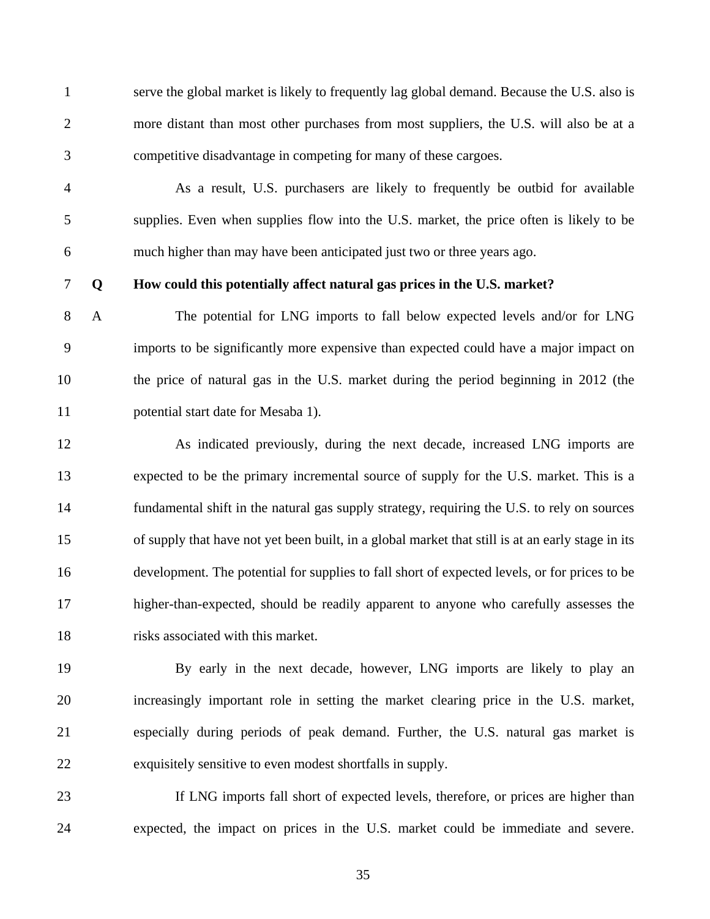1 serve the global market is likely to frequently lag global demand. Because the U.S. also is 2 more distant than most other purchases from most suppliers, the U.S. will also be at a 3 competitive disadvantage in competing for many of these cargoes.

4 As a result, U.S. purchasers are likely to frequently be outbid for available 5 supplies. Even when supplies flow into the U.S. market, the price often is likely to be 6 much higher than may have been anticipated just two or three years ago.

#### 7 **Q How could this potentially affect natural gas prices in the U.S. market?**

8 A The potential for LNG imports to fall below expected levels and/or for LNG 9 imports to be significantly more expensive than expected could have a major impact on 10 the price of natural gas in the U.S. market during the period beginning in 2012 (the 11 potential start date for Mesaba 1).

12 As indicated previously, during the next decade, increased LNG imports are 13 expected to be the primary incremental source of supply for the U.S. market. This is a 14 fundamental shift in the natural gas supply strategy, requiring the U.S. to rely on sources 15 of supply that have not yet been built, in a global market that still is at an early stage in its 16 development. The potential for supplies to fall short of expected levels, or for prices to be 17 higher-than-expected, should be readily apparent to anyone who carefully assesses the 18 risks associated with this market.

19 By early in the next decade, however, LNG imports are likely to play an 20 increasingly important role in setting the market clearing price in the U.S. market, 21 especially during periods of peak demand. Further, the U.S. natural gas market is 22 exquisitely sensitive to even modest shortfalls in supply.

23 If LNG imports fall short of expected levels, therefore, or prices are higher than 24 expected, the impact on prices in the U.S. market could be immediate and severe.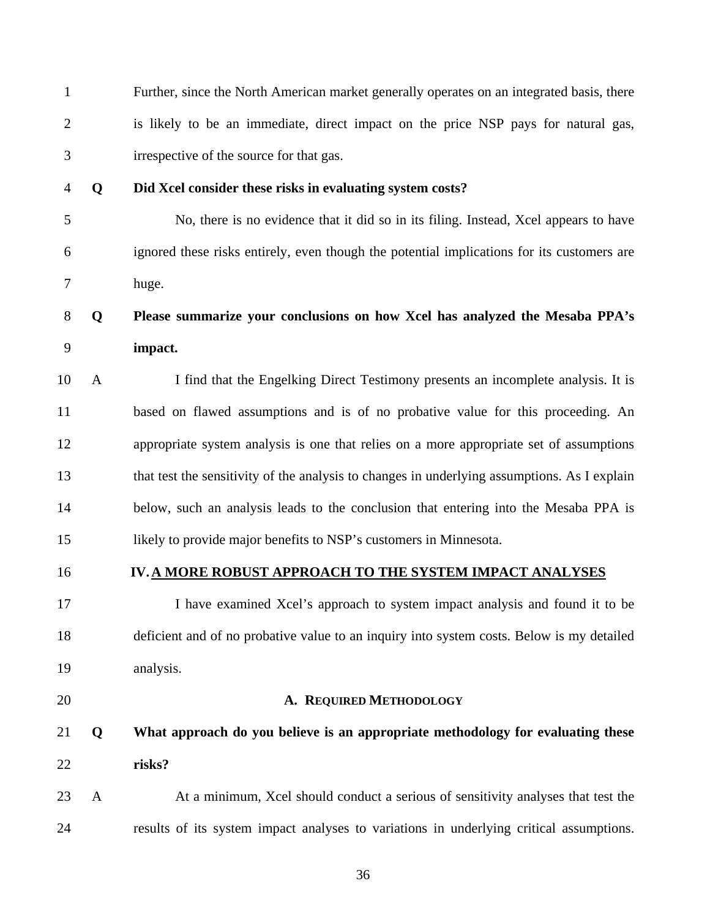| $\mathbf{1}$   |              | Further, since the North American market generally operates on an integrated basis, there    |
|----------------|--------------|----------------------------------------------------------------------------------------------|
| $\overline{2}$ |              | is likely to be an immediate, direct impact on the price NSP pays for natural gas,           |
| 3              |              | irrespective of the source for that gas.                                                     |
| $\overline{4}$ | Q            | Did Xcel consider these risks in evaluating system costs?                                    |
| 5              |              | No, there is no evidence that it did so in its filing. Instead, Xcel appears to have         |
| 6              |              | ignored these risks entirely, even though the potential implications for its customers are   |
| 7              |              | huge.                                                                                        |
| $8\,$          | Q            | Please summarize your conclusions on how Xcel has analyzed the Mesaba PPA's                  |
| 9              |              | impact.                                                                                      |
| 10             | $\mathbf{A}$ | I find that the Engelking Direct Testimony presents an incomplete analysis. It is            |
| 11             |              | based on flawed assumptions and is of no probative value for this proceeding. An             |
| 12             |              | appropriate system analysis is one that relies on a more appropriate set of assumptions      |
| 13             |              | that test the sensitivity of the analysis to changes in underlying assumptions. As I explain |
| 14             |              | below, such an analysis leads to the conclusion that entering into the Mesaba PPA is         |
| 15             |              | likely to provide major benefits to NSP's customers in Minnesota.                            |
| 16             |              | IV. A MORE ROBUST APPROACH TO THE SYSTEM IMPACT ANALYSES                                     |
| 17             |              | I have examined Xcel's approach to system impact analysis and found it to be                 |
| 18             |              | deficient and of no probative value to an inquiry into system costs. Below is my detailed    |
| 19             |              | analysis.                                                                                    |
| 20             |              | A. REQUIRED METHODOLOGY                                                                      |
| 21             | Q            | What approach do you believe is an appropriate methodology for evaluating these              |
| 22             |              | risks?                                                                                       |
| 23             | $\mathbf{A}$ | At a minimum, Xcel should conduct a serious of sensitivity analyses that test the            |
| 24             |              | results of its system impact analyses to variations in underlying critical assumptions.      |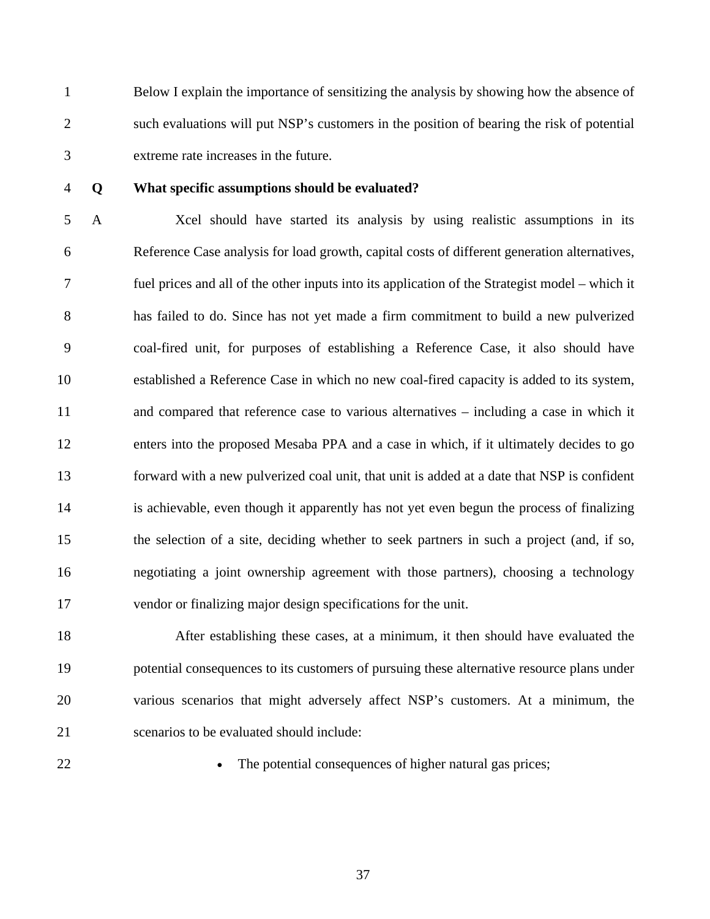1 Below I explain the importance of sensitizing the analysis by showing how the absence of 2 such evaluations will put NSP's customers in the position of bearing the risk of potential 3 extreme rate increases in the future.

### 4 **Q What specific assumptions should be evaluated?**

5 A Xcel should have started its analysis by using realistic assumptions in its 6 Reference Case analysis for load growth, capital costs of different generation alternatives, 7 fuel prices and all of the other inputs into its application of the Strategist model – which it 8 has failed to do. Since has not yet made a firm commitment to build a new pulverized 9 coal-fired unit, for purposes of establishing a Reference Case, it also should have 10 established a Reference Case in which no new coal-fired capacity is added to its system, 11 and compared that reference case to various alternatives – including a case in which it 12 enters into the proposed Mesaba PPA and a case in which, if it ultimately decides to go 13 forward with a new pulverized coal unit, that unit is added at a date that NSP is confident 14 is achievable, even though it apparently has not yet even begun the process of finalizing 15 the selection of a site, deciding whether to seek partners in such a project (and, if so, 16 negotiating a joint ownership agreement with those partners), choosing a technology 17 vendor or finalizing major design specifications for the unit.

18 After establishing these cases, at a minimum, it then should have evaluated the 19 potential consequences to its customers of pursuing these alternative resource plans under 20 various scenarios that might adversely affect NSP's customers. At a minimum, the 21 scenarios to be evaluated should include:

22 • The potential consequences of higher natural gas prices;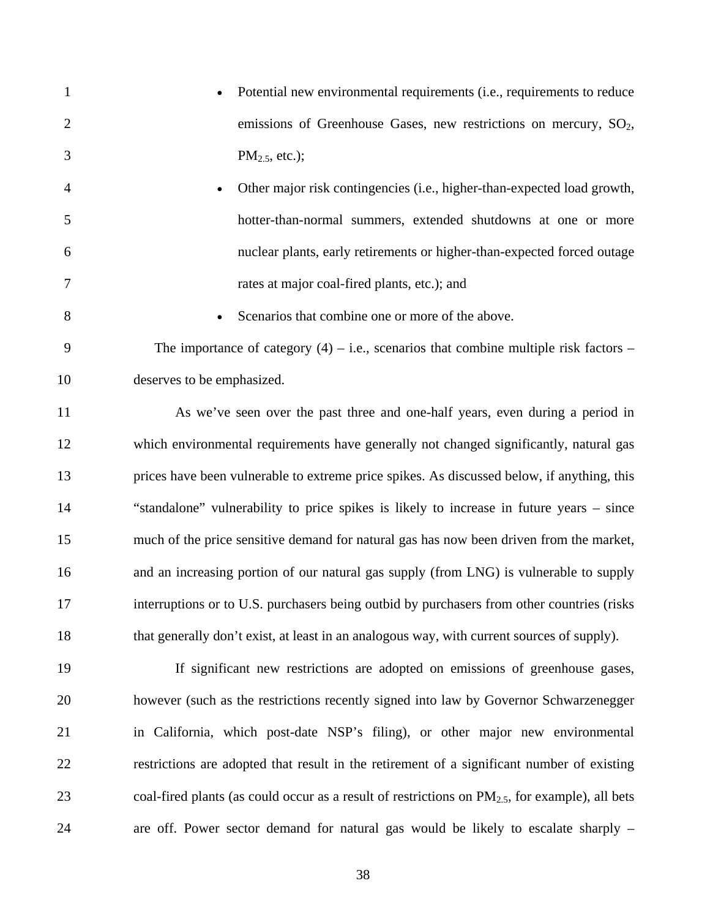- 1 Potential new environmental requirements (i.e., requirements to reduce 2 emissions of Greenhouse Gases, new restrictions on mercury,  $SO_2$ , 3 PM<sub>2.5</sub>, etc.);
- 4 Other major risk contingencies (i.e., higher-than-expected load growth, 5 hotter-than-normal summers, extended shutdowns at one or more 6 nuclear plants, early retirements or higher-than-expected forced outage 7 rates at major coal-fired plants, etc.); and
- 
- 8 Scenarios that combine one or more of the above.

9 The importance of category  $(4)$  – i.e., scenarios that combine multiple risk factors – 10 deserves to be emphasized.

11 As we've seen over the past three and one-half years, even during a period in 12 which environmental requirements have generally not changed significantly, natural gas 13 prices have been vulnerable to extreme price spikes. As discussed below, if anything, this 14 "standalone" vulnerability to price spikes is likely to increase in future years – since 15 much of the price sensitive demand for natural gas has now been driven from the market, 16 and an increasing portion of our natural gas supply (from LNG) is vulnerable to supply 17 interruptions or to U.S. purchasers being outbid by purchasers from other countries (risks 18 that generally don't exist, at least in an analogous way, with current sources of supply).

19 If significant new restrictions are adopted on emissions of greenhouse gases, 20 however (such as the restrictions recently signed into law by Governor Schwarzenegger 21 in California, which post-date NSP's filing), or other major new environmental 22 restrictions are adopted that result in the retirement of a significant number of existing 23 coal-fired plants (as could occur as a result of restrictions on  $PM_{2.5}$ , for example), all bets 24 are off. Power sector demand for natural gas would be likely to escalate sharply –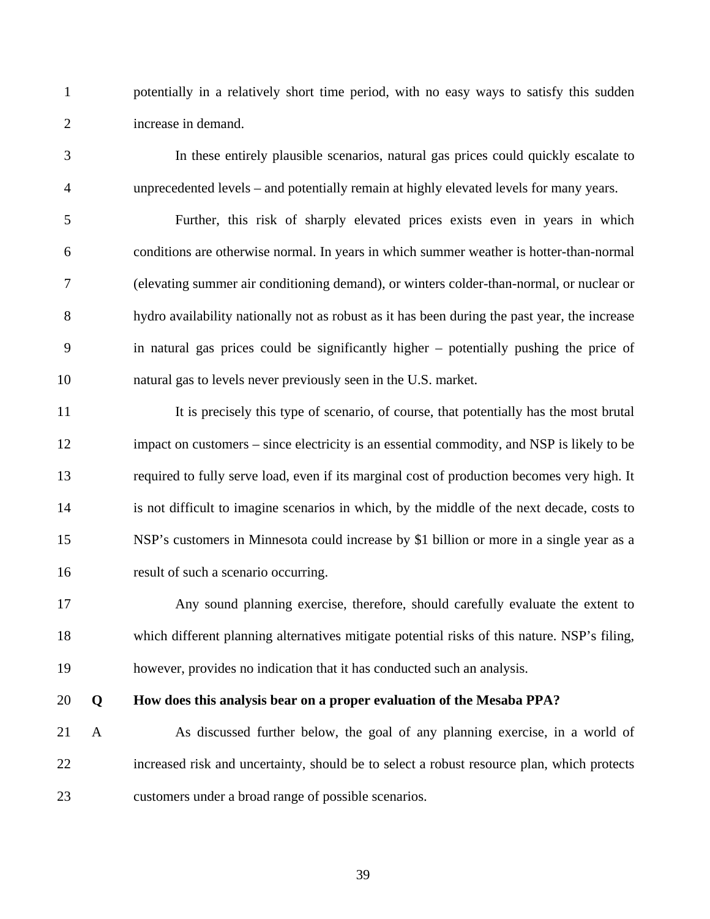1 potentially in a relatively short time period, with no easy ways to satisfy this sudden 2 increase in demand.

3 In these entirely plausible scenarios, natural gas prices could quickly escalate to 4 unprecedented levels – and potentially remain at highly elevated levels for many years.

5 Further, this risk of sharply elevated prices exists even in years in which 6 conditions are otherwise normal. In years in which summer weather is hotter-than-normal 7 (elevating summer air conditioning demand), or winters colder-than-normal, or nuclear or 8 hydro availability nationally not as robust as it has been during the past year, the increase 9 in natural gas prices could be significantly higher – potentially pushing the price of 10 natural gas to levels never previously seen in the U.S. market.

11 It is precisely this type of scenario, of course, that potentially has the most brutal 12 impact on customers – since electricity is an essential commodity, and NSP is likely to be 13 required to fully serve load, even if its marginal cost of production becomes very high. It 14 is not difficult to imagine scenarios in which, by the middle of the next decade, costs to 15 NSP's customers in Minnesota could increase by \$1 billion or more in a single year as a 16 result of such a scenario occurring.

17 Any sound planning exercise, therefore, should carefully evaluate the extent to 18 which different planning alternatives mitigate potential risks of this nature. NSP's filing, 19 however, provides no indication that it has conducted such an analysis.

### 20 **Q How does this analysis bear on a proper evaluation of the Mesaba PPA?**

21 A As discussed further below, the goal of any planning exercise, in a world of 22 increased risk and uncertainty, should be to select a robust resource plan, which protects 23 customers under a broad range of possible scenarios.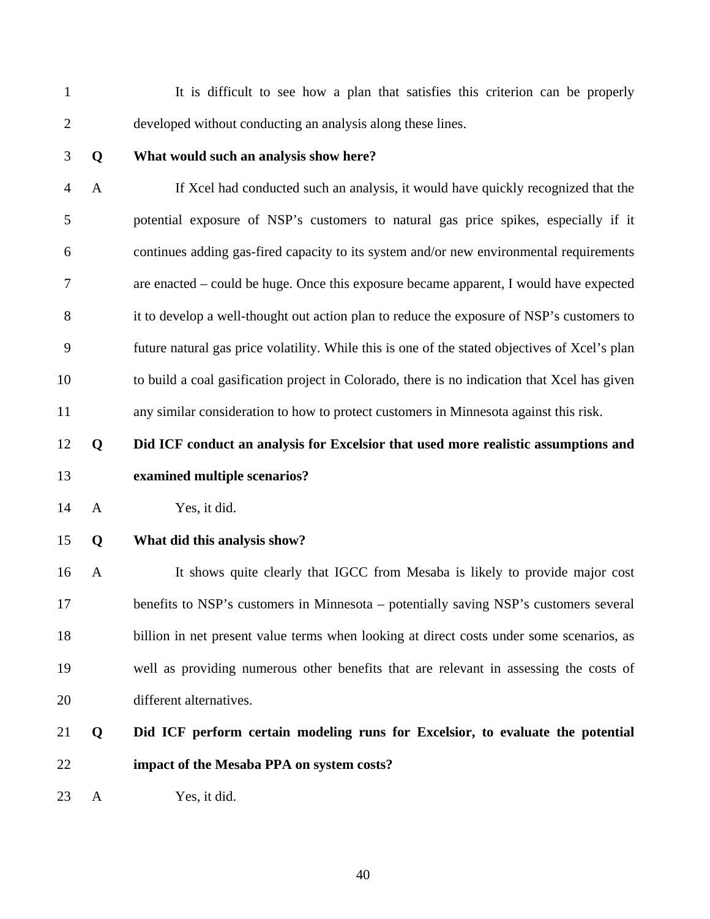1 It is difficult to see how a plan that satisfies this criterion can be properly 2 developed without conducting an analysis along these lines.

### 3 **Q What would such an analysis show here?**

4 A If Xcel had conducted such an analysis, it would have quickly recognized that the 5 potential exposure of NSP's customers to natural gas price spikes, especially if it 6 continues adding gas-fired capacity to its system and/or new environmental requirements 7 are enacted – could be huge. Once this exposure became apparent, I would have expected 8 it to develop a well-thought out action plan to reduce the exposure of NSP's customers to 9 future natural gas price volatility. While this is one of the stated objectives of Xcel's plan 10 to build a coal gasification project in Colorado, there is no indication that Xcel has given 11 any similar consideration to how to protect customers in Minnesota against this risk.

12 **Q Did ICF conduct an analysis for Excelsior that used more realistic assumptions and**  13 **examined multiple scenarios?** 

14 A Yes, it did.

### 15 **Q What did this analysis show?**

16 A It shows quite clearly that IGCC from Mesaba is likely to provide major cost 17 benefits to NSP's customers in Minnesota – potentially saving NSP's customers several 18 billion in net present value terms when looking at direct costs under some scenarios, as 19 well as providing numerous other benefits that are relevant in assessing the costs of 20 different alternatives.

# 21 **Q Did ICF perform certain modeling runs for Excelsior, to evaluate the potential**  22 **impact of the Mesaba PPA on system costs?**

23 A Yes, it did.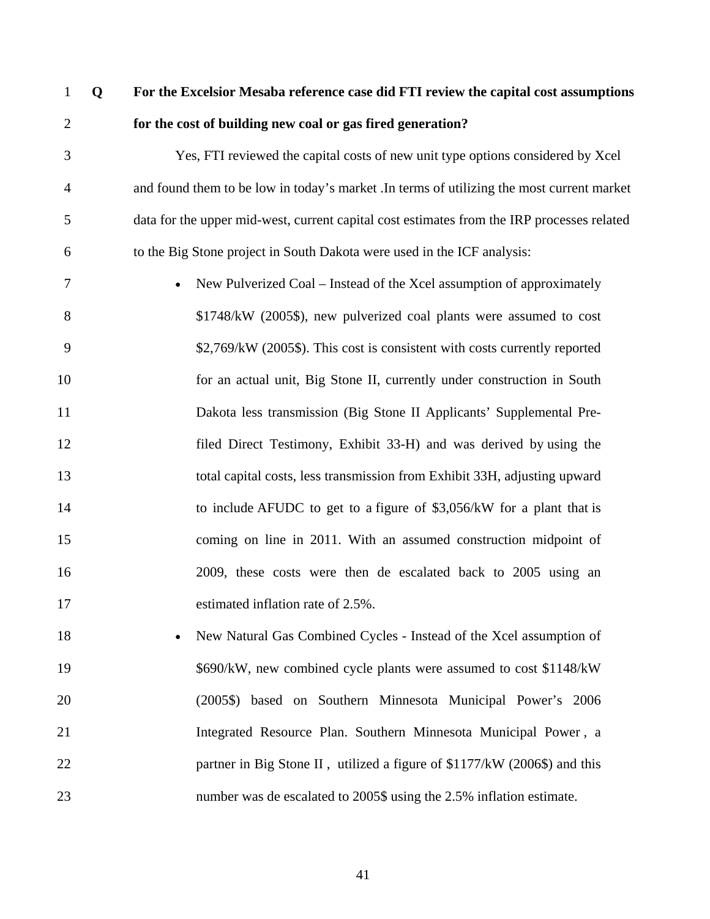## 1 **Q For the Excelsior Mesaba reference case did FTI review the capital cost assumptions**  2 **for the cost of building new coal or gas fired generation?**

3 Yes, FTI reviewed the capital costs of new unit type options considered by Xcel 4 and found them to be low in today's market .In terms of utilizing the most current market 5 data for the upper mid-west, current capital cost estimates from the IRP processes related 6 to the Big Stone project in South Dakota were used in the ICF analysis:

7 • New Pulverized Coal – Instead of the Xcel assumption of approximately 8 \$1748/kW (2005\$), new pulverized coal plants were assumed to cost 9 \$2,769/kW (2005\$). This cost is consistent with costs currently reported 10 for an actual unit, Big Stone II, currently under construction in South 11 Dakota less transmission (Big Stone II Applicants' Supplemental Pre-12 filed Direct Testimony, Exhibit 33-H) and was derived by using the 13 total capital costs, less transmission from Exhibit 33H, adjusting upward 14 to include AFUDC to get to a figure of \$3,056/kW for a plant that is 15 coming on line in 2011. With an assumed construction midpoint of 16 2009, these costs were then de escalated back to 2005 using an 17 estimated inflation rate of 2.5%.

18 • New Natural Gas Combined Cycles - Instead of the Xcel assumption of 19 \$690/kW, new combined cycle plants were assumed to cost \$1148/kW 20 (2005\$) based on Southern Minnesota Municipal Power's 2006 21 Integrated Resource Plan. Southern Minnesota Municipal Power , a 22 partner in Big Stone II, utilized a figure of \$1177/kW (2006\$) and this 23 number was de escalated to 2005\$ using the 2.5% inflation estimate.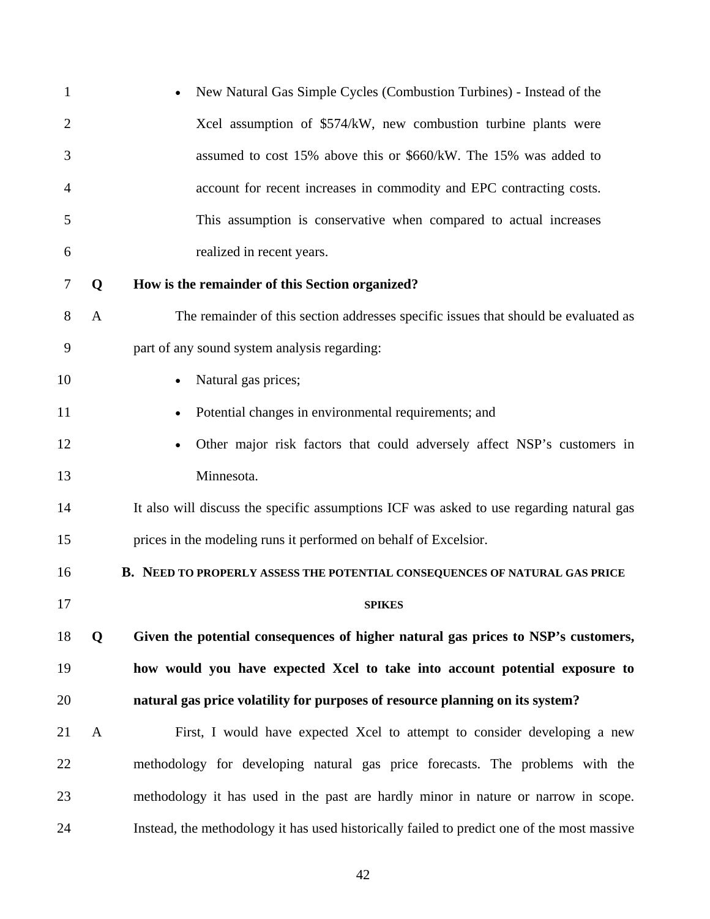| $\mathbf{1}$   |              | New Natural Gas Simple Cycles (Combustion Turbines) - Instead of the                        |
|----------------|--------------|---------------------------------------------------------------------------------------------|
| $\overline{2}$ |              | Xcel assumption of \$574/kW, new combustion turbine plants were                             |
| 3              |              | assumed to cost 15% above this or \$660/kW. The 15% was added to                            |
| 4              |              | account for recent increases in commodity and EPC contracting costs.                        |
| 5              |              | This assumption is conservative when compared to actual increases                           |
| 6              |              | realized in recent years.                                                                   |
| 7              | Q            | How is the remainder of this Section organized?                                             |
| 8              | $\mathbf{A}$ | The remainder of this section addresses specific issues that should be evaluated as         |
| 9              |              | part of any sound system analysis regarding:                                                |
| 10             |              | Natural gas prices;                                                                         |
| 11             |              | Potential changes in environmental requirements; and                                        |
| 12             |              | Other major risk factors that could adversely affect NSP's customers in<br>$\bullet$        |
| 13             |              | Minnesota.                                                                                  |
| 14             |              | It also will discuss the specific assumptions ICF was asked to use regarding natural gas    |
| 15             |              | prices in the modeling runs it performed on behalf of Excelsior.                            |
| 16             |              | B. NEED TO PROPERLY ASSESS THE POTENTIAL CONSEQUENCES OF NATURAL GAS PRICE                  |
| 17             |              | <b>SPIKES</b>                                                                               |
| 18             | Q            | Given the potential consequences of higher natural gas prices to NSP's customers,           |
| 19             |              | how would you have expected Xcel to take into account potential exposure to                 |
| 20             |              | natural gas price volatility for purposes of resource planning on its system?               |
| 21             | $\mathbf{A}$ | First, I would have expected Xcel to attempt to consider developing a new                   |
| 22             |              | methodology for developing natural gas price forecasts. The problems with the               |
| 23             |              | methodology it has used in the past are hardly minor in nature or narrow in scope.          |
| 24             |              | Instead, the methodology it has used historically failed to predict one of the most massive |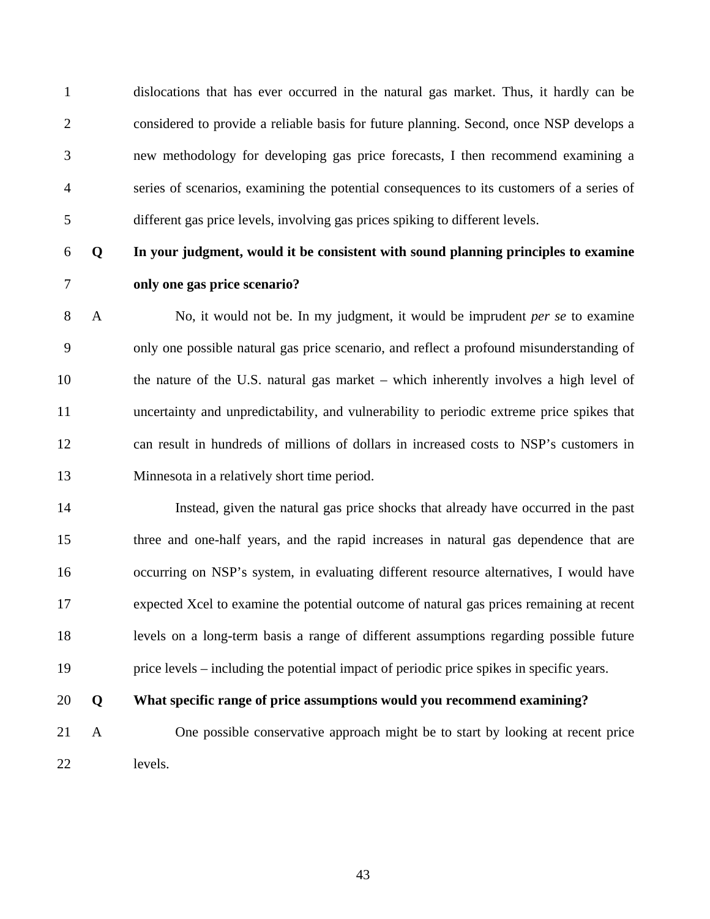1 dislocations that has ever occurred in the natural gas market. Thus, it hardly can be 2 considered to provide a reliable basis for future planning. Second, once NSP develops a 3 new methodology for developing gas price forecasts, I then recommend examining a 4 series of scenarios, examining the potential consequences to its customers of a series of 5 different gas price levels, involving gas prices spiking to different levels.

### 6 **Q In your judgment, would it be consistent with sound planning principles to examine**

### 7 **only one gas price scenario?**

8 A No, it would not be. In my judgment, it would be imprudent *per se* to examine 9 only one possible natural gas price scenario, and reflect a profound misunderstanding of 10 the nature of the U.S. natural gas market – which inherently involves a high level of 11 uncertainty and unpredictability, and vulnerability to periodic extreme price spikes that 12 can result in hundreds of millions of dollars in increased costs to NSP's customers in 13 Minnesota in a relatively short time period.

14 Instead, given the natural gas price shocks that already have occurred in the past 15 three and one-half years, and the rapid increases in natural gas dependence that are 16 occurring on NSP's system, in evaluating different resource alternatives, I would have 17 expected Xcel to examine the potential outcome of natural gas prices remaining at recent 18 levels on a long-term basis a range of different assumptions regarding possible future 19 price levels – including the potential impact of periodic price spikes in specific years.

### 20 **Q What specific range of price assumptions would you recommend examining?**

21 A One possible conservative approach might be to start by looking at recent price 22 levels.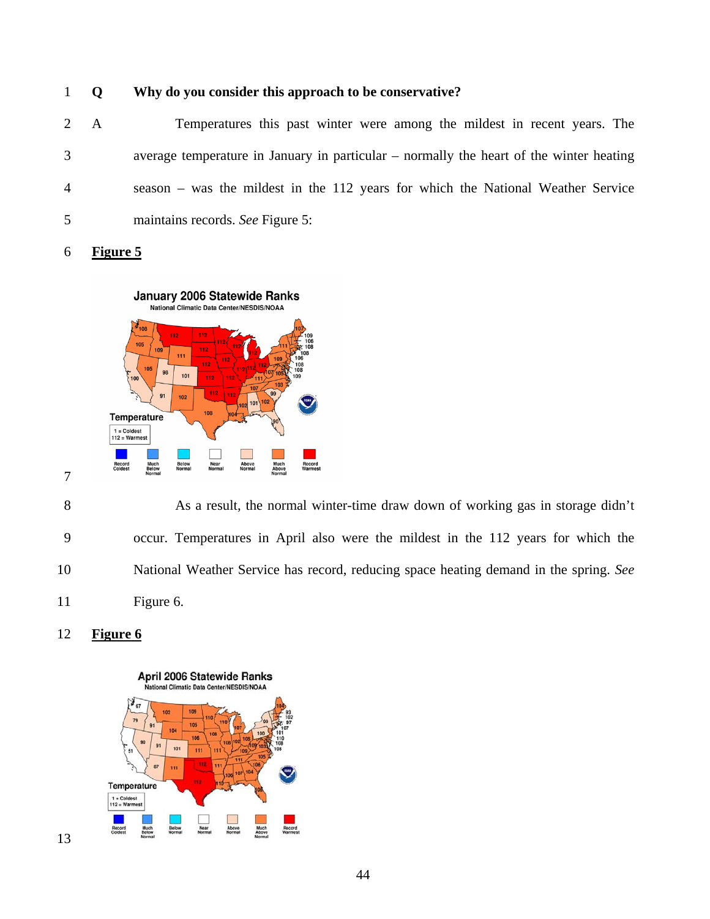### 1 **Q Why do you consider this approach to be conservative?**

2 A Temperatures this past winter were among the mildest in recent years. The 3 average temperature in January in particular – normally the heart of the winter heating 4 season – was the mildest in the 112 years for which the National Weather Service 5 maintains records. *See* Figure 5:

6 **Figure 5**



8 As a result, the normal winter-time draw down of working gas in storage didn't 9 occur. Temperatures in April also were the mildest in the 112 years for which the 10 National Weather Service has record, reducing space heating demand in the spring. *See* 11 Figure 6.



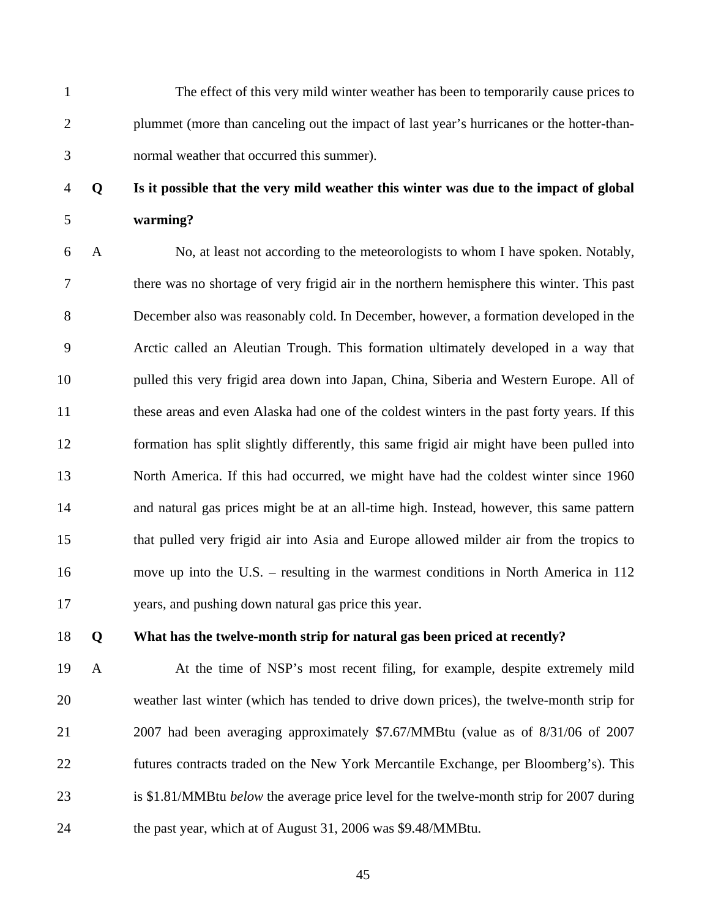1 The effect of this very mild winter weather has been to temporarily cause prices to 2 plummet (more than canceling out the impact of last year's hurricanes or the hotter-than-3 normal weather that occurred this summer).

4 **Q Is it possible that the very mild weather this winter was due to the impact of global** 

5 **warming?** 

6 A No, at least not according to the meteorologists to whom I have spoken. Notably, 7 there was no shortage of very frigid air in the northern hemisphere this winter. This past 8 December also was reasonably cold. In December, however, a formation developed in the 9 Arctic called an Aleutian Trough. This formation ultimately developed in a way that 10 pulled this very frigid area down into Japan, China, Siberia and Western Europe. All of 11 these areas and even Alaska had one of the coldest winters in the past forty years. If this 12 formation has split slightly differently, this same frigid air might have been pulled into 13 North America. If this had occurred, we might have had the coldest winter since 1960 14 and natural gas prices might be at an all-time high. Instead, however, this same pattern 15 that pulled very frigid air into Asia and Europe allowed milder air from the tropics to 16 move up into the U.S. – resulting in the warmest conditions in North America in 112 17 years, and pushing down natural gas price this year.

### 18 **Q What has the twelve-month strip for natural gas been priced at recently?**

19 A At the time of NSP's most recent filing, for example, despite extremely mild 20 weather last winter (which has tended to drive down prices), the twelve-month strip for 21 2007 had been averaging approximately \$7.67/MMBtu (value as of 8/31/06 of 2007 22 futures contracts traded on the New York Mercantile Exchange, per Bloomberg's). This 23 is \$1.81/MMBtu *below* the average price level for the twelve-month strip for 2007 during 24 the past year, which at of August 31, 2006 was \$9.48/MMBtu.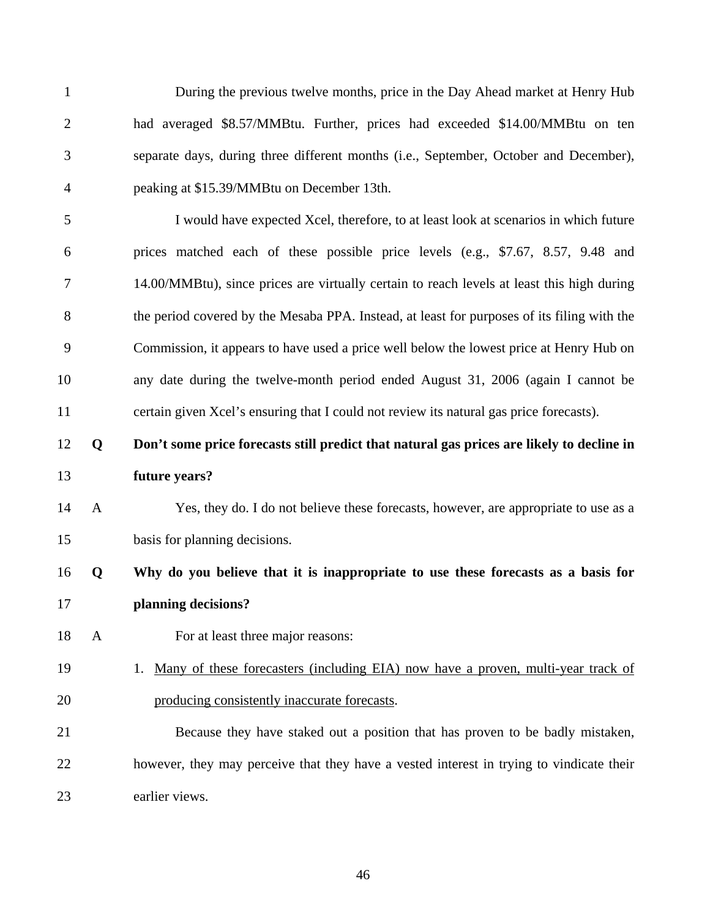1 During the previous twelve months, price in the Day Ahead market at Henry Hub 2 had averaged \$8.57/MMBtu. Further, prices had exceeded \$14.00/MMBtu on ten 3 separate days, during three different months (i.e., September, October and December), 4 peaking at \$15.39/MMBtu on December 13th. 5 I would have expected Xcel, therefore, to at least look at scenarios in which future 6 prices matched each of these possible price levels (e.g., \$7.67, 8.57, 9.48 and 7 14.00/MMBtu), since prices are virtually certain to reach levels at least this high during 8 the period covered by the Mesaba PPA. Instead, at least for purposes of its filing with the 9 Commission, it appears to have used a price well below the lowest price at Henry Hub on 10 any date during the twelve-month period ended August 31, 2006 (again I cannot be 11 certain given Xcel's ensuring that I could not review its natural gas price forecasts). 12 **Q Don't some price forecasts still predict that natural gas prices are likely to decline in**  13 **future years?**  14 A Yes, they do. I do not believe these forecasts, however, are appropriate to use as a 15 basis for planning decisions. 16 **Q Why do you believe that it is inappropriate to use these forecasts as a basis for**  17 **planning decisions?**  18 A For at least three major reasons: 19 1. Many of these forecasters (including EIA) now have a proven, multi-year track of 20 producing consistently inaccurate forecasts. 21 Because they have staked out a position that has proven to be badly mistaken, 22 however, they may perceive that they have a vested interest in trying to vindicate their 23 earlier views.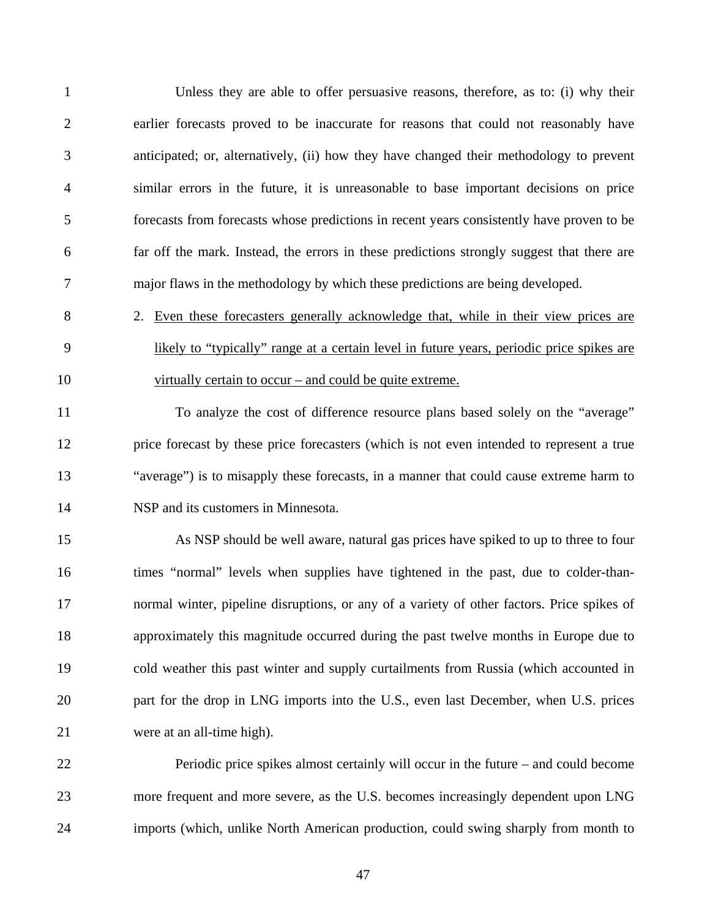| $\mathbf{1}$   | Unless they are able to offer persuasive reasons, therefore, as to: (i) why their          |
|----------------|--------------------------------------------------------------------------------------------|
| $\overline{2}$ | earlier forecasts proved to be inaccurate for reasons that could not reasonably have       |
| 3              | anticipated; or, alternatively, (ii) how they have changed their methodology to prevent    |
| $\overline{4}$ | similar errors in the future, it is unreasonable to base important decisions on price      |
| 5              | forecasts from forecasts whose predictions in recent years consistently have proven to be  |
| 6              | far off the mark. Instead, the errors in these predictions strongly suggest that there are |
| 7              | major flaws in the methodology by which these predictions are being developed.             |
| 8              | 2. Even these forecasters generally acknowledge that, while in their view prices are       |
| 9              | likely to "typically" range at a certain level in future years, periodic price spikes are  |
| 10             | virtually certain to occur – and could be quite extreme.                                   |
| 11             | To analyze the cost of difference resource plans based solely on the "average"             |
| 12             | price forecast by these price forecasters (which is not even intended to represent a true  |
| 13             | "average") is to misapply these forecasts, in a manner that could cause extreme harm to    |
| 14             | NSP and its customers in Minnesota.                                                        |
| 15             | As NSP should be well aware, natural gas prices have spiked to up to three to four         |
| 16             | times "normal" levels when supplies have tightened in the past, due to colder-than-        |
| 17             | normal winter, pipeline disruptions, or any of a variety of other factors. Price spikes of |
| 18             | approximately this magnitude occurred during the past twelve months in Europe due to       |
| 19             | cold weather this past winter and supply curtailments from Russia (which accounted in      |
| 20             | part for the drop in LNG imports into the U.S., even last December, when U.S. prices       |
| 21             | were at an all-time high).                                                                 |
| 22             | Periodic price spikes almost certainly will occur in the future – and could become         |
| 23             | more frequent and more severe, as the U.S. becomes increasingly dependent upon LNG         |
| 24             | imports (which, unlike North American production, could swing sharply from month to        |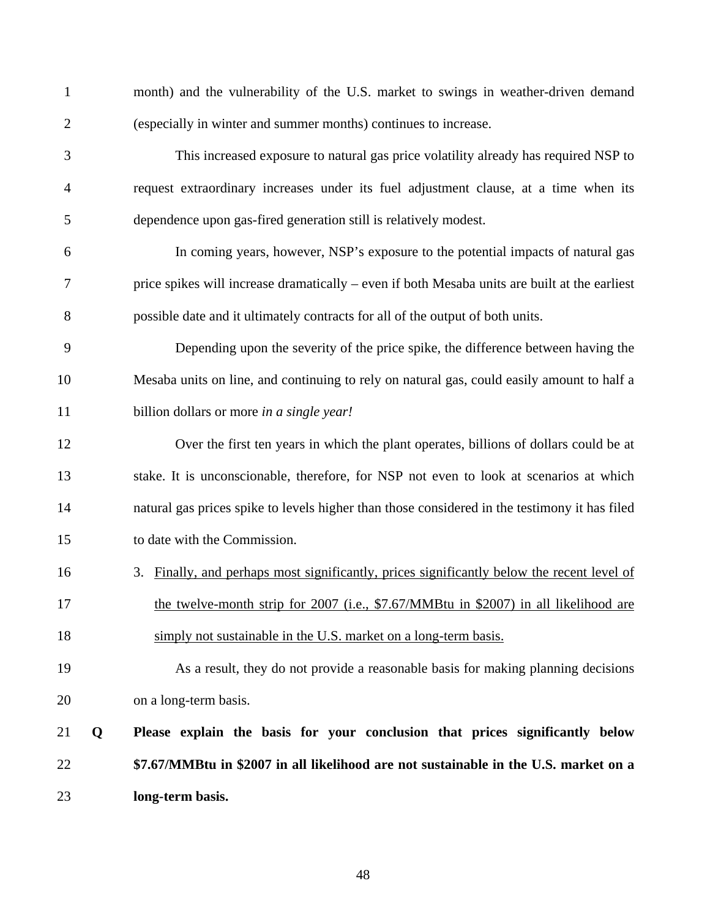| $\mathbf{1}$   |   | month) and the vulnerability of the U.S. market to swings in weather-driven demand            |
|----------------|---|-----------------------------------------------------------------------------------------------|
| $\mathbf{2}$   |   | (especially in winter and summer months) continues to increase.                               |
| 3              |   | This increased exposure to natural gas price volatility already has required NSP to           |
| $\overline{4}$ |   | request extraordinary increases under its fuel adjustment clause, at a time when its          |
| 5              |   | dependence upon gas-fired generation still is relatively modest.                              |
| 6              |   | In coming years, however, NSP's exposure to the potential impacts of natural gas              |
| 7              |   | price spikes will increase dramatically – even if both Mesaba units are built at the earliest |
| 8              |   | possible date and it ultimately contracts for all of the output of both units.                |
| 9              |   | Depending upon the severity of the price spike, the difference between having the             |
| 10             |   | Mesaba units on line, and continuing to rely on natural gas, could easily amount to half a    |
| 11             |   | billion dollars or more in a single year!                                                     |
| 12             |   | Over the first ten years in which the plant operates, billions of dollars could be at         |
| 13             |   | stake. It is unconscionable, therefore, for NSP not even to look at scenarios at which        |
| 14             |   | natural gas prices spike to levels higher than those considered in the testimony it has filed |
| 15             |   | to date with the Commission.                                                                  |
| 16             |   | Finally, and perhaps most significantly, prices significantly below the recent level of<br>3. |
| 17             |   | the twelve-month strip for 2007 (i.e., \$7.67/MMBtu in \$2007) in all likelihood are          |
| 18             |   | simply not sustainable in the U.S. market on a long-term basis.                               |
| 19             |   | As a result, they do not provide a reasonable basis for making planning decisions             |
| 20             |   | on a long-term basis.                                                                         |
| 21             | Q | Please explain the basis for your conclusion that prices significantly below                  |
| 22             |   | \$7.67/MMBtu in \$2007 in all likelihood are not sustainable in the U.S. market on a          |
| 23             |   | long-term basis.                                                                              |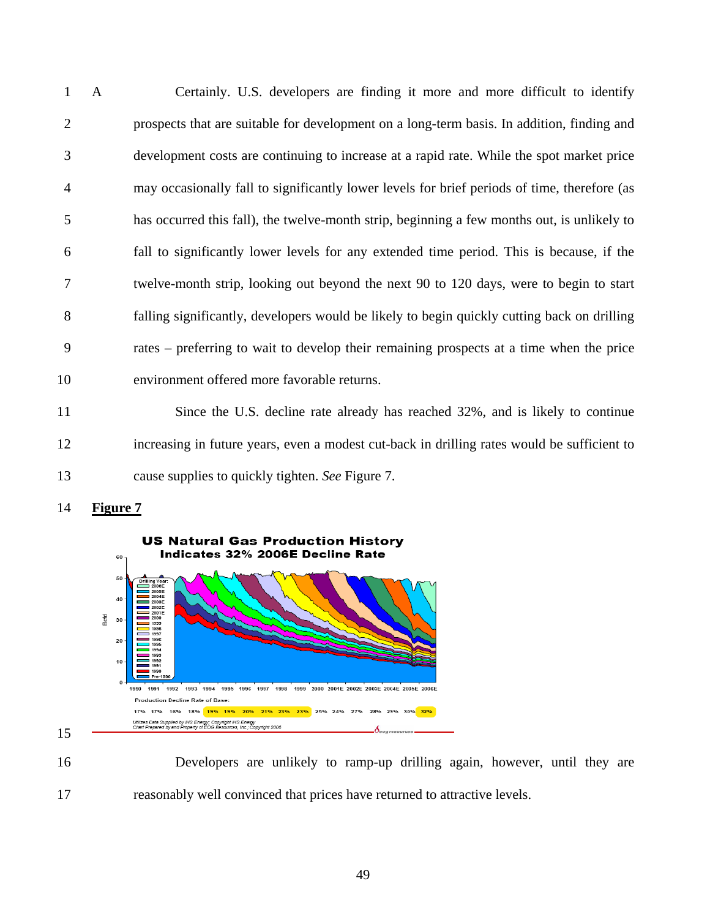1 A Certainly. U.S. developers are finding it more and more difficult to identify 2 prospects that are suitable for development on a long-term basis. In addition, finding and 3 development costs are continuing to increase at a rapid rate. While the spot market price 4 may occasionally fall to significantly lower levels for brief periods of time, therefore (as 5 has occurred this fall), the twelve-month strip, beginning a few months out, is unlikely to 6 fall to significantly lower levels for any extended time period. This is because, if the 7 twelve-month strip, looking out beyond the next 90 to 120 days, were to begin to start 8 falling significantly, developers would be likely to begin quickly cutting back on drilling 9 rates – preferring to wait to develop their remaining prospects at a time when the price 10 environment offered more favorable returns.

11 Since the U.S. decline rate already has reached 32%, and is likely to continue 12 increasing in future years, even a modest cut-back in drilling rates would be sufficient to 13 cause supplies to quickly tighten. *See* Figure 7.

14 **Figure 7**

15



16 Developers are unlikely to ramp-up drilling again, however, until they are 17 reasonably well convinced that prices have returned to attractive levels.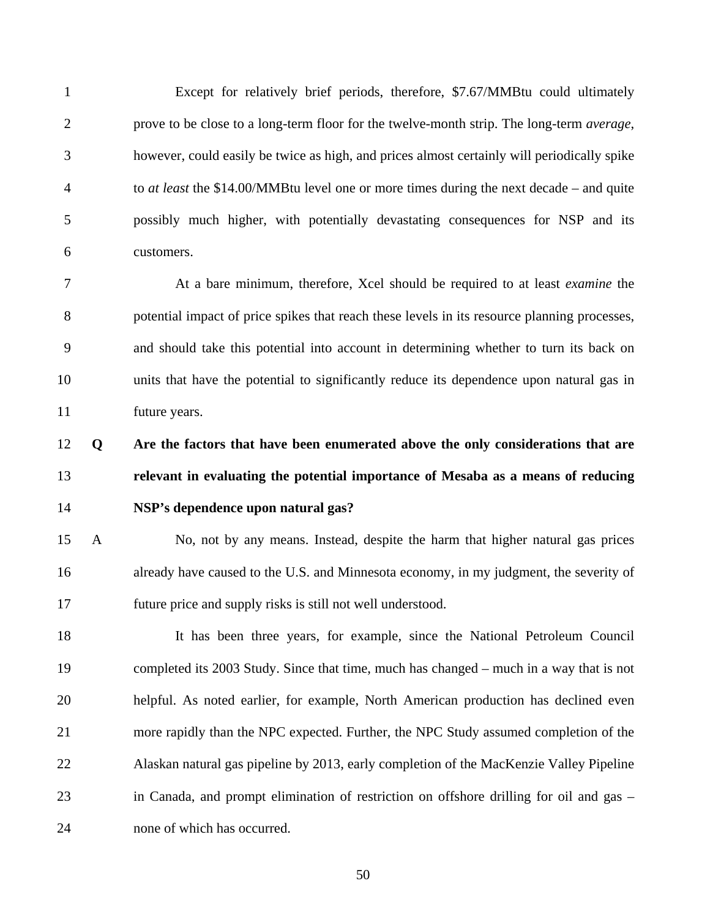1 Except for relatively brief periods, therefore, \$7.67/MMBtu could ultimately 2 prove to be close to a long-term floor for the twelve-month strip. The long-term *average*, 3 however, could easily be twice as high, and prices almost certainly will periodically spike 4 to *at least* the \$14.00/MMBtu level one or more times during the next decade – and quite 5 possibly much higher, with potentially devastating consequences for NSP and its 6 customers.

7 At a bare minimum, therefore, Xcel should be required to at least *examine* the 8 potential impact of price spikes that reach these levels in its resource planning processes, 9 and should take this potential into account in determining whether to turn its back on 10 units that have the potential to significantly reduce its dependence upon natural gas in 11 future years.

# 12 **Q Are the factors that have been enumerated above the only considerations that are**  13 **relevant in evaluating the potential importance of Mesaba as a means of reducing**  14 **NSP's dependence upon natural gas?**

15 A No, not by any means. Instead, despite the harm that higher natural gas prices 16 already have caused to the U.S. and Minnesota economy, in my judgment, the severity of 17 future price and supply risks is still not well understood.

18 It has been three years, for example, since the National Petroleum Council 19 completed its 2003 Study. Since that time, much has changed – much in a way that is not 20 helpful. As noted earlier, for example, North American production has declined even 21 more rapidly than the NPC expected. Further, the NPC Study assumed completion of the 22 Alaskan natural gas pipeline by 2013, early completion of the MacKenzie Valley Pipeline 23 in Canada, and prompt elimination of restriction on offshore drilling for oil and gas – 24 none of which has occurred.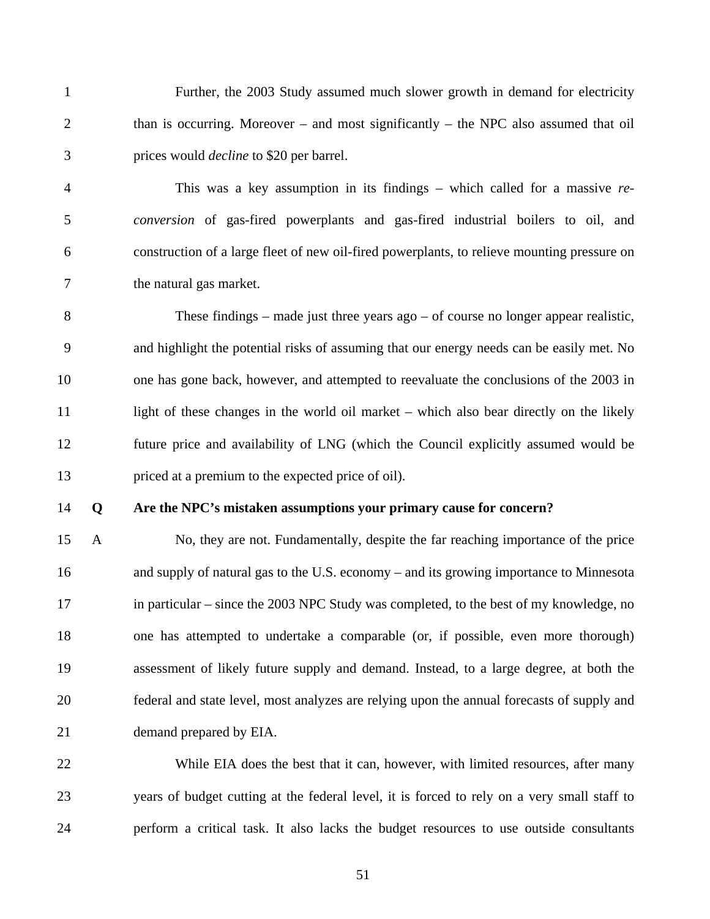1 Further, the 2003 Study assumed much slower growth in demand for electricity 2 than is occurring. Moreover – and most significantly – the NPC also assumed that oil 3 prices would *decline* to \$20 per barrel.

4 This was a key assumption in its findings – which called for a massive *re-*5 *conversion* of gas-fired powerplants and gas-fired industrial boilers to oil, and 6 construction of a large fleet of new oil-fired powerplants, to relieve mounting pressure on 7 the natural gas market.

8 These findings – made just three years ago – of course no longer appear realistic, 9 and highlight the potential risks of assuming that our energy needs can be easily met. No 10 one has gone back, however, and attempted to reevaluate the conclusions of the 2003 in 11 light of these changes in the world oil market – which also bear directly on the likely 12 future price and availability of LNG (which the Council explicitly assumed would be 13 priced at a premium to the expected price of oil).

#### 14 **Q Are the NPC's mistaken assumptions your primary cause for concern?**

15 A No, they are not. Fundamentally, despite the far reaching importance of the price 16 and supply of natural gas to the U.S. economy – and its growing importance to Minnesota 17 in particular – since the 2003 NPC Study was completed, to the best of my knowledge, no 18 one has attempted to undertake a comparable (or, if possible, even more thorough) 19 assessment of likely future supply and demand. Instead, to a large degree, at both the 20 federal and state level, most analyzes are relying upon the annual forecasts of supply and 21 demand prepared by EIA.

22 While EIA does the best that it can, however, with limited resources, after many 23 years of budget cutting at the federal level, it is forced to rely on a very small staff to 24 perform a critical task. It also lacks the budget resources to use outside consultants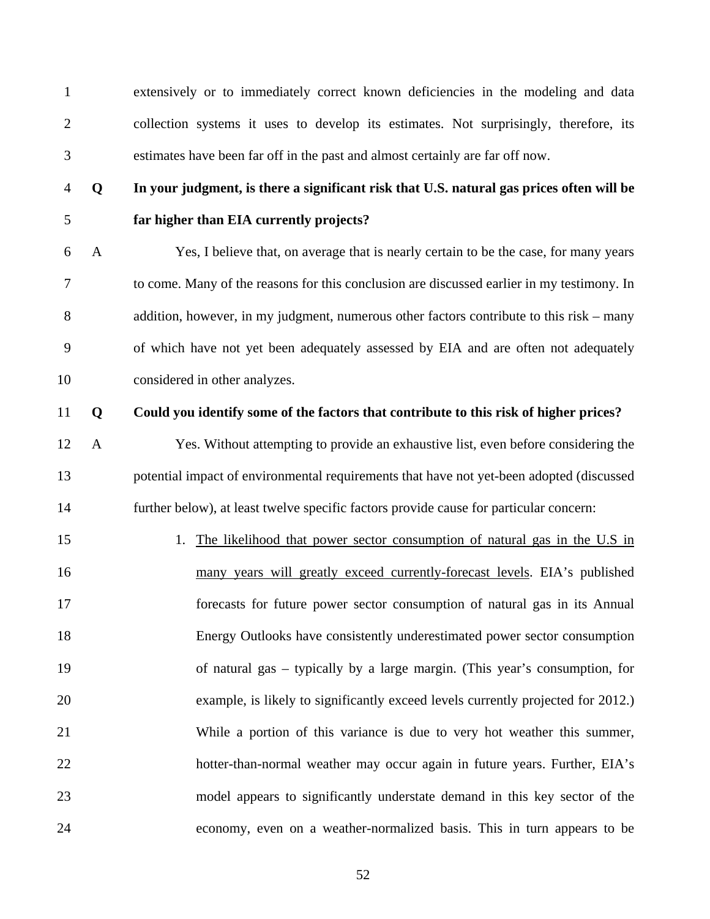1 extensively or to immediately correct known deficiencies in the modeling and data 2 collection systems it uses to develop its estimates. Not surprisingly, therefore, its 3 estimates have been far off in the past and almost certainly are far off now.

## 4 **Q In your judgment, is there a significant risk that U.S. natural gas prices often will be**  5 **far higher than EIA currently projects?**

6 A Yes, I believe that, on average that is nearly certain to be the case, for many years 7 to come. Many of the reasons for this conclusion are discussed earlier in my testimony. In 8 addition, however, in my judgment, numerous other factors contribute to this risk – many 9 of which have not yet been adequately assessed by EIA and are often not adequately 10 considered in other analyzes.

#### 11 **Q Could you identify some of the factors that contribute to this risk of higher prices?**

12 A Yes. Without attempting to provide an exhaustive list, even before considering the 13 potential impact of environmental requirements that have not yet-been adopted (discussed 14 further below), at least twelve specific factors provide cause for particular concern:

15 1. The likelihood that power sector consumption of natural gas in the U.S in 16 many years will greatly exceed currently-forecast levels. EIA's published 17 forecasts for future power sector consumption of natural gas in its Annual 18 Energy Outlooks have consistently underestimated power sector consumption 19 of natural gas – typically by a large margin. (This year's consumption, for 20 example, is likely to significantly exceed levels currently projected for 2012.) 21 While a portion of this variance is due to very hot weather this summer, 22 hotter-than-normal weather may occur again in future years. Further, EIA's 23 model appears to significantly understate demand in this key sector of the 24 economy, even on a weather-normalized basis. This in turn appears to be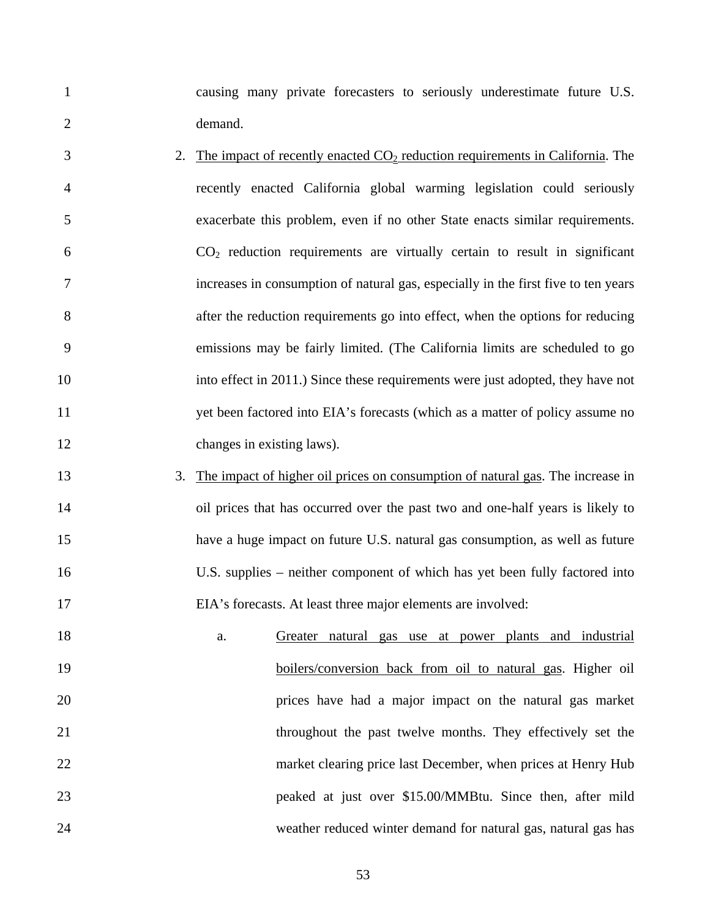1 causing many private forecasters to seriously underestimate future U.S. 2 demand.

- $3 \t2.$  The impact of recently enacted  $CO<sub>2</sub>$  reduction requirements in California. The 4 recently enacted California global warming legislation could seriously 5 exacerbate this problem, even if no other State enacts similar requirements.  $6 \qquad \qquad CO_2$  reduction requirements are virtually certain to result in significant 7 increases in consumption of natural gas, especially in the first five to ten years 8 after the reduction requirements go into effect, when the options for reducing 9 emissions may be fairly limited. (The California limits are scheduled to go 10 into effect in 2011.) Since these requirements were just adopted, they have not 11 yet been factored into EIA's forecasts (which as a matter of policy assume no 12 changes in existing laws).
- 13 3. The impact of higher oil prices on consumption of natural gas. The increase in 14 oil prices that has occurred over the past two and one-half years is likely to 15 have a huge impact on future U.S. natural gas consumption, as well as future 16 U.S. supplies – neither component of which has yet been fully factored into 17 EIA's forecasts. At least three major elements are involved:
- 18 a. Greater natural gas use at power plants and industrial 19 boilers/conversion back from oil to natural gas. Higher oil 20 prices have had a major impact on the natural gas market 21 throughout the past twelve months. They effectively set the 22 market clearing price last December, when prices at Henry Hub 23 peaked at just over \$15.00/MMBtu. Since then, after mild 24 weather reduced winter demand for natural gas, natural gas has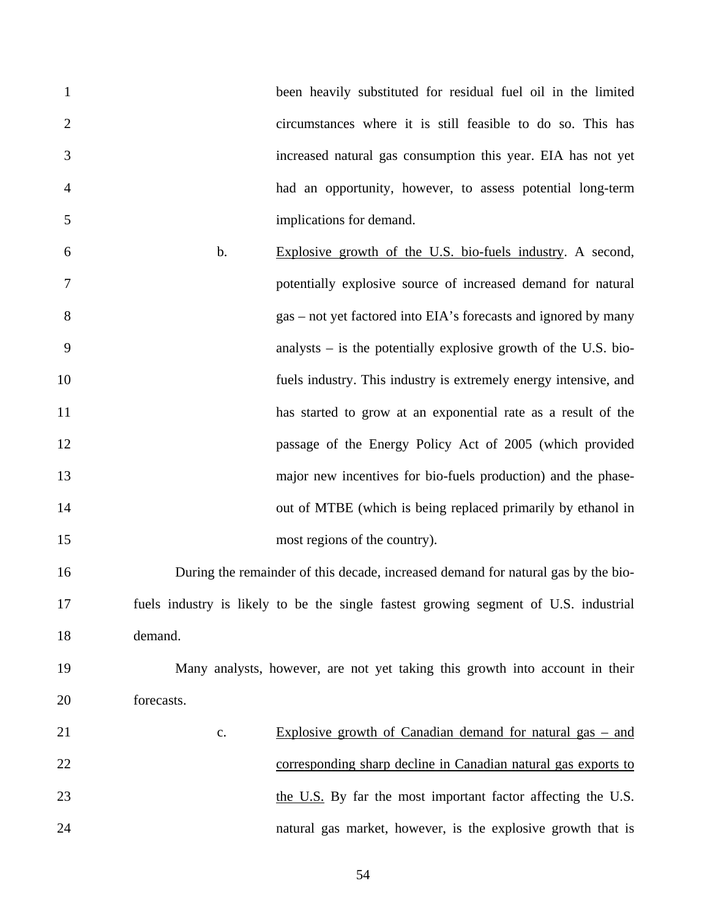|    | been heavily substituted for residual fuel oil in the limited |
|----|---------------------------------------------------------------|
|    | circumstances where it is still feasible to do so. This has   |
|    | increased natural gas consumption this year. EIA has not yet  |
| -4 | had an opportunity, however, to assess potential long-term    |
|    | implications for demand.                                      |

6 b. Explosive growth of the U.S. bio-fuels industry. A second, 7 potentially explosive source of increased demand for natural 8 gas – not yet factored into EIA's forecasts and ignored by many 9 analysts – is the potentially explosive growth of the U.S. bio-10 fuels industry. This industry is extremely energy intensive, and 11 has started to grow at an exponential rate as a result of the 12 passage of the Energy Policy Act of 2005 (which provided 13 major new incentives for bio-fuels production) and the phase-14 out of MTBE (which is being replaced primarily by ethanol in 15 most regions of the country).

16 During the remainder of this decade, increased demand for natural gas by the bio-17 fuels industry is likely to be the single fastest growing segment of U.S. industrial 18 demand.

## 19 Many analysts, however, are not yet taking this growth into account in their 20 forecasts.

21 c. Explosive growth of Canadian demand for natural gas – and 22 corresponding sharp decline in Canadian natural gas exports to 23 the U.S. By far the most important factor affecting the U.S. 24 natural gas market, however, is the explosive growth that is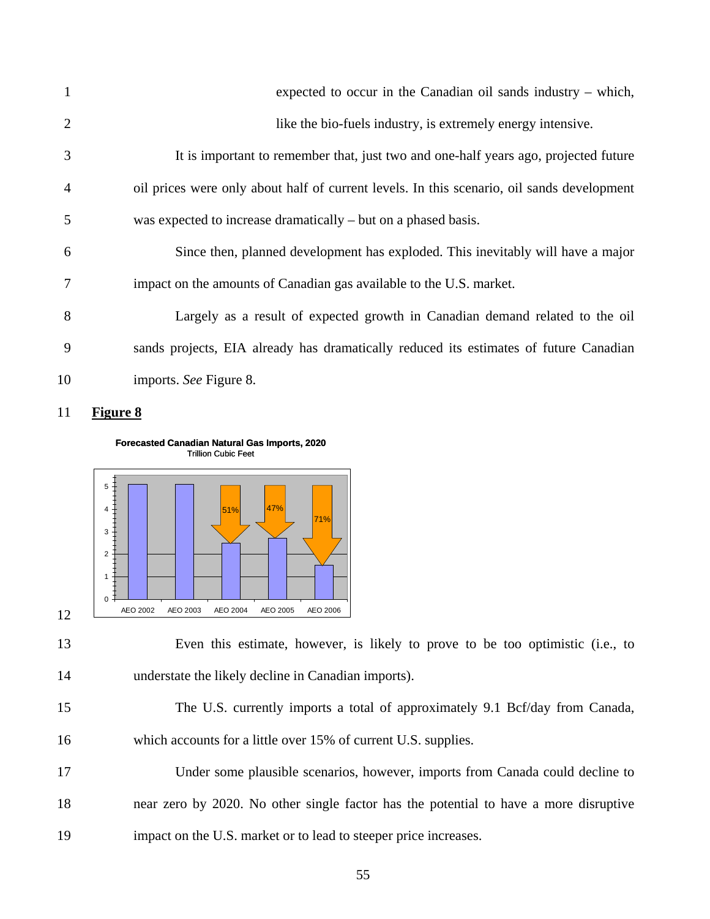| 1              | expected to occur in the Canadian oil sands industry $-$ which,                            |
|----------------|--------------------------------------------------------------------------------------------|
| 2              | like the bio-fuels industry, is extremely energy intensive.                                |
| 3              | It is important to remember that, just two and one-half years ago, projected future        |
| $\overline{4}$ | oil prices were only about half of current levels. In this scenario, oil sands development |
| 5              | was expected to increase dramatically – but on a phased basis.                             |
| 6              | Since then, planned development has exploded. This inevitably will have a major            |
| 7              | impact on the amounts of Canadian gas available to the U.S. market.                        |
| 8              | Largely as a result of expected growth in Canadian demand related to the oil               |
| 9              | sands projects, EIA already has dramatically reduced its estimates of future Canadian      |
| 10             | imports. See Figure 8.                                                                     |

11 **Figure 8**

**Forecasted Canadian Natural Gas Imports, 2020** Trillion Cubic Feet



<sup>13</sup> Even this estimate, however, is likely to prove to be too optimistic (i.e., to 14 understate the likely decline in Canadian imports).

17 Under some plausible scenarios, however, imports from Canada could decline to 18 near zero by 2020. No other single factor has the potential to have a more disruptive 19 impact on the U.S. market or to lead to steeper price increases.

<sup>15</sup> The U.S. currently imports a total of approximately 9.1 Bcf/day from Canada, 16 which accounts for a little over 15% of current U.S. supplies.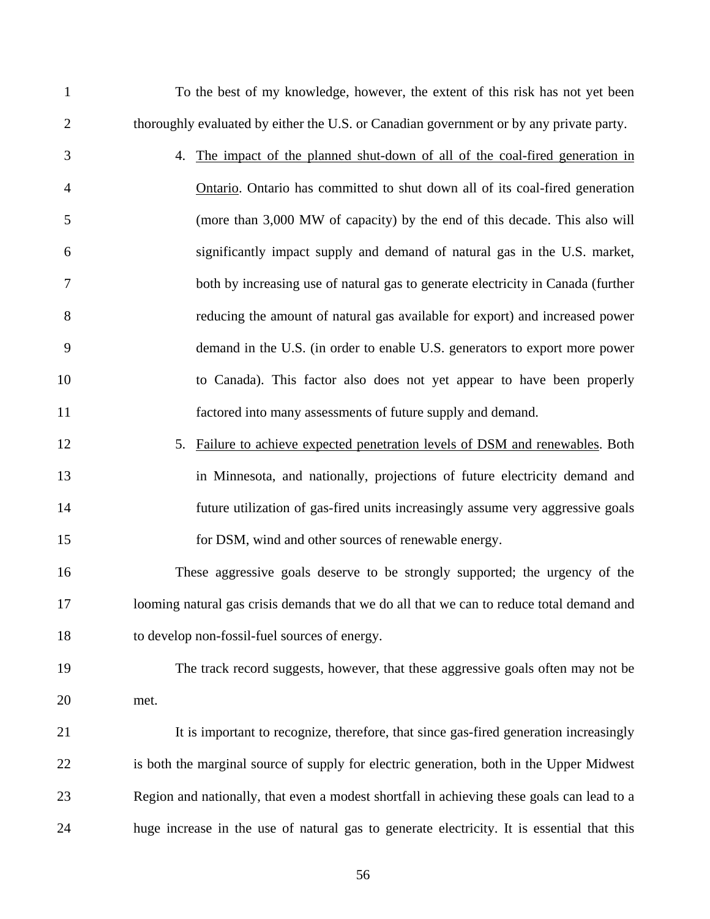| $\mathbf{1}$   | To the best of my knowledge, however, the extent of this risk has not yet been             |
|----------------|--------------------------------------------------------------------------------------------|
| $\overline{2}$ | thoroughly evaluated by either the U.S. or Canadian government or by any private party.    |
| 3              | 4. The impact of the planned shut-down of all of the coal-fired generation in              |
| $\overline{4}$ | Ontario. Ontario has committed to shut down all of its coal-fired generation               |
| 5              | (more than 3,000 MW of capacity) by the end of this decade. This also will                 |
| 6              | significantly impact supply and demand of natural gas in the U.S. market,                  |
| 7              | both by increasing use of natural gas to generate electricity in Canada (further           |
| 8              | reducing the amount of natural gas available for export) and increased power               |
| 9              | demand in the U.S. (in order to enable U.S. generators to export more power                |
| 10             | to Canada). This factor also does not yet appear to have been properly                     |
| 11             | factored into many assessments of future supply and demand.                                |
| 12             | Failure to achieve expected penetration levels of DSM and renewables. Both<br>5.           |
| 13             | in Minnesota, and nationally, projections of future electricity demand and                 |
| 14             | future utilization of gas-fired units increasingly assume very aggressive goals            |
| 15             | for DSM, wind and other sources of renewable energy.                                       |
| 16             | These aggressive goals deserve to be strongly supported; the urgency of the                |
| 17             | looming natural gas crisis demands that we do all that we can to reduce total demand and   |
| 18             | to develop non-fossil-fuel sources of energy.                                              |
| 19             | The track record suggests, however, that these aggressive goals often may not be           |
| 20             | met.                                                                                       |
| 21             | It is important to recognize, therefore, that since gas-fired generation increasingly      |
| 22             | is both the marginal source of supply for electric generation, both in the Upper Midwest   |
| 23             | Region and nationally, that even a modest shortfall in achieving these goals can lead to a |
| 24             | huge increase in the use of natural gas to generate electricity. It is essential that this |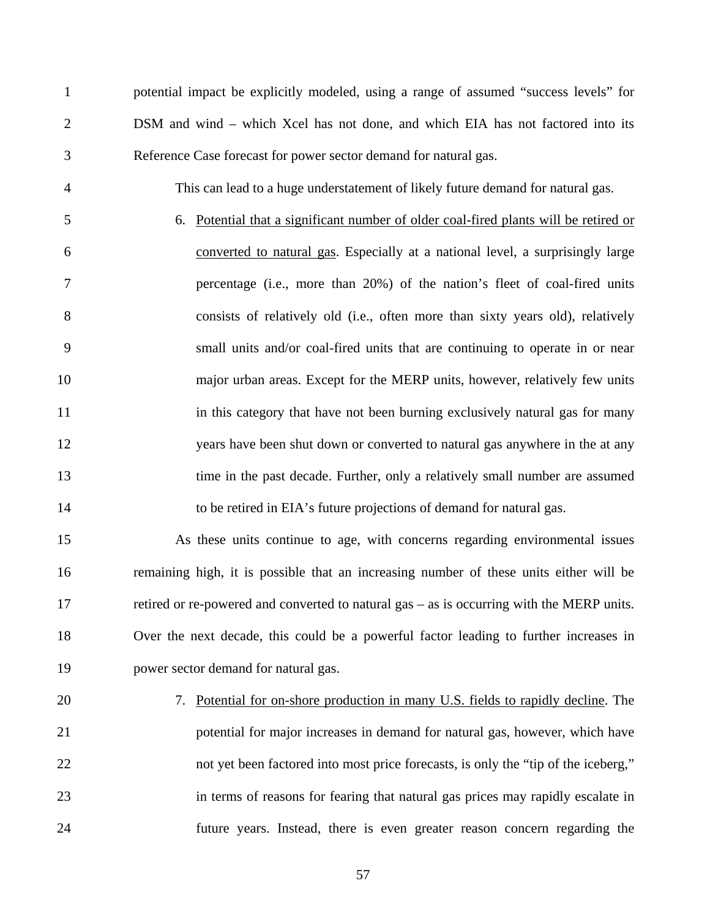1 potential impact be explicitly modeled, using a range of assumed "success levels" for 2 DSM and wind – which Xcel has not done, and which EIA has not factored into its 3 Reference Case forecast for power sector demand for natural gas.

- 4 This can lead to a huge understatement of likely future demand for natural gas.
- 5 6. Potential that a significant number of older coal-fired plants will be retired or 6 converted to natural gas. Especially at a national level, a surprisingly large 7 percentage (i.e., more than 20%) of the nation's fleet of coal-fired units 8 consists of relatively old (i.e., often more than sixty years old), relatively 9 small units and/or coal-fired units that are continuing to operate in or near 10 major urban areas. Except for the MERP units, however, relatively few units 11 in this category that have not been burning exclusively natural gas for many 12 years have been shut down or converted to natural gas anywhere in the at any 13 time in the past decade. Further, only a relatively small number are assumed 14 to be retired in EIA's future projections of demand for natural gas.
- 15 As these units continue to age, with concerns regarding environmental issues 16 remaining high, it is possible that an increasing number of these units either will be 17 retired or re-powered and converted to natural gas – as is occurring with the MERP units. 18 Over the next decade, this could be a powerful factor leading to further increases in 19 power sector demand for natural gas.
- 

20 7. Potential for on-shore production in many U.S. fields to rapidly decline. The 21 potential for major increases in demand for natural gas, however, which have 22 not yet been factored into most price forecasts, is only the "tip of the iceberg," 23 in terms of reasons for fearing that natural gas prices may rapidly escalate in 24 future years. Instead, there is even greater reason concern regarding the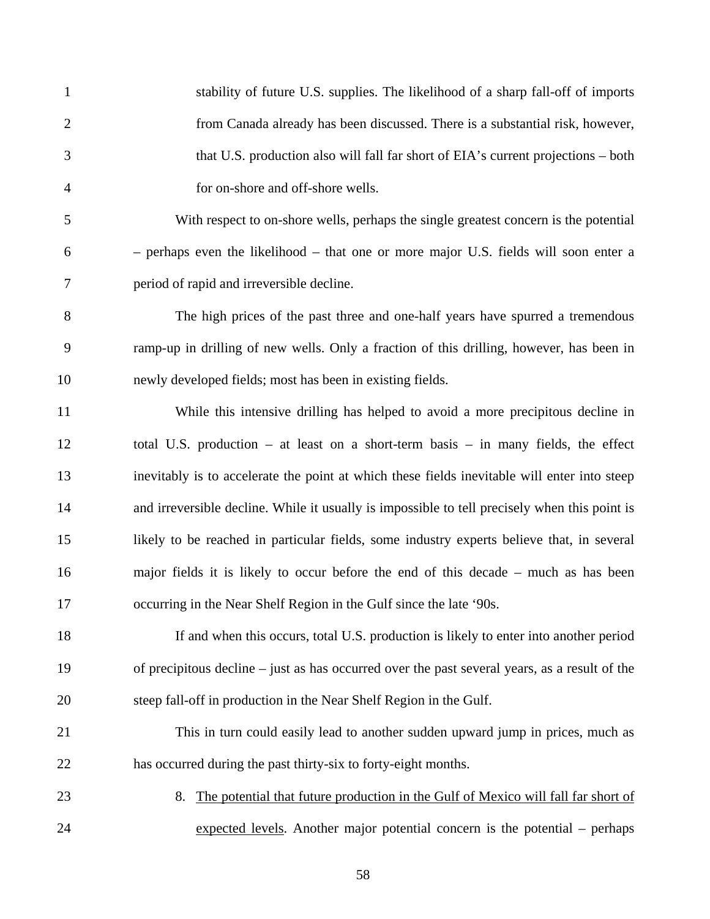| $\mathbf{1}$   | stability of future U.S. supplies. The likelihood of a sharp fall-off of imports              |
|----------------|-----------------------------------------------------------------------------------------------|
| $\overline{2}$ | from Canada already has been discussed. There is a substantial risk, however,                 |
| 3              | that U.S. production also will fall far short of EIA's current projections – both             |
| $\overline{4}$ | for on-shore and off-shore wells.                                                             |
| 5              | With respect to on-shore wells, perhaps the single greatest concern is the potential          |
| 6              | - perhaps even the likelihood - that one or more major U.S. fields will soon enter a          |
| 7              | period of rapid and irreversible decline.                                                     |
| 8              | The high prices of the past three and one-half years have spurred a tremendous                |
| 9              | ramp-up in drilling of new wells. Only a fraction of this drilling, however, has been in      |
| 10             | newly developed fields; most has been in existing fields.                                     |
| 11             | While this intensive drilling has helped to avoid a more precipitous decline in               |
| 12             | total U.S. production – at least on a short-term basis – in many fields, the effect           |
| 13             | inevitably is to accelerate the point at which these fields inevitable will enter into steep  |
| 14             | and irreversible decline. While it usually is impossible to tell precisely when this point is |
| 15             | likely to be reached in particular fields, some industry experts believe that, in several     |
| 16             | major fields it is likely to occur before the end of this decade – much as has been           |
| 17             | occurring in the Near Shelf Region in the Gulf since the late '90s.                           |
| 18             | If and when this occurs, total U.S. production is likely to enter into another period         |
| 19             | of precipitous decline – just as has occurred over the past several years, as a result of the |
| 20             | steep fall-off in production in the Near Shelf Region in the Gulf.                            |
| 21             | This in turn could easily lead to another sudden upward jump in prices, much as               |
| 22             | has occurred during the past thirty-six to forty-eight months.                                |
| 23             | The potential that future production in the Gulf of Mexico will fall far short of<br>8.       |
| 24             | expected levels. Another major potential concern is the potential - perhaps                   |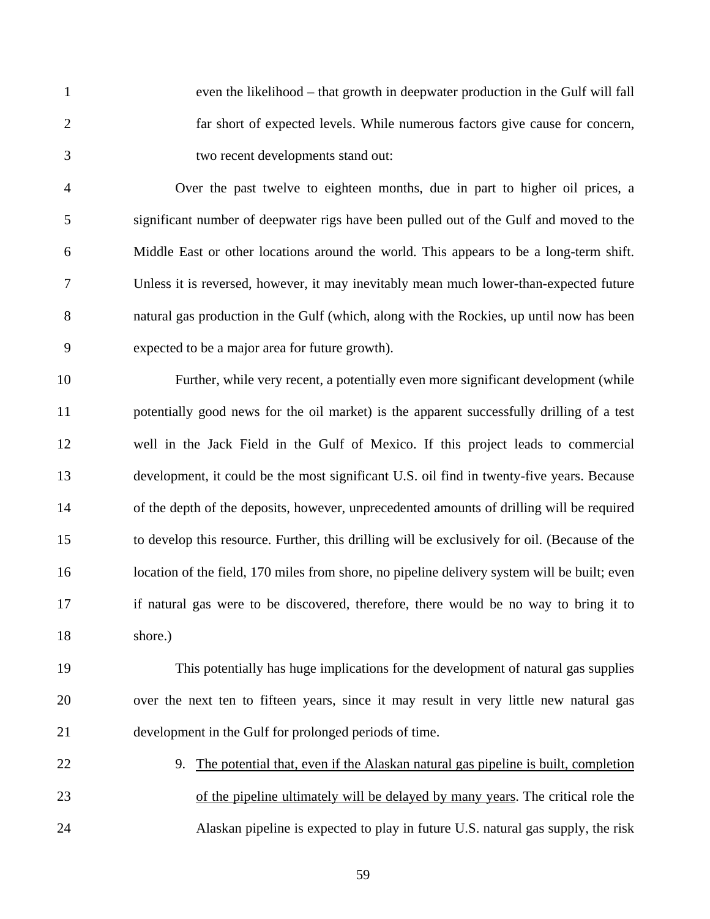1 even the likelihood – that growth in deepwater production in the Gulf will fall 2 far short of expected levels. While numerous factors give cause for concern, 3 two recent developments stand out:

4 Over the past twelve to eighteen months, due in part to higher oil prices, a 5 significant number of deepwater rigs have been pulled out of the Gulf and moved to the 6 Middle East or other locations around the world. This appears to be a long-term shift. 7 Unless it is reversed, however, it may inevitably mean much lower-than-expected future 8 natural gas production in the Gulf (which, along with the Rockies, up until now has been 9 expected to be a major area for future growth).

10 Further, while very recent, a potentially even more significant development (while 11 potentially good news for the oil market) is the apparent successfully drilling of a test 12 well in the Jack Field in the Gulf of Mexico. If this project leads to commercial 13 development, it could be the most significant U.S. oil find in twenty-five years. Because 14 of the depth of the deposits, however, unprecedented amounts of drilling will be required 15 to develop this resource. Further, this drilling will be exclusively for oil. (Because of the 16 location of the field, 170 miles from shore, no pipeline delivery system will be built; even 17 if natural gas were to be discovered, therefore, there would be no way to bring it to 18 shore.)

19 This potentially has huge implications for the development of natural gas supplies 20 over the next ten to fifteen years, since it may result in very little new natural gas 21 development in the Gulf for prolonged periods of time.

22 9. The potential that, even if the Alaskan natural gas pipeline is built, completion 23 of the pipeline ultimately will be delayed by many years. The critical role the 24 Alaskan pipeline is expected to play in future U.S. natural gas supply, the risk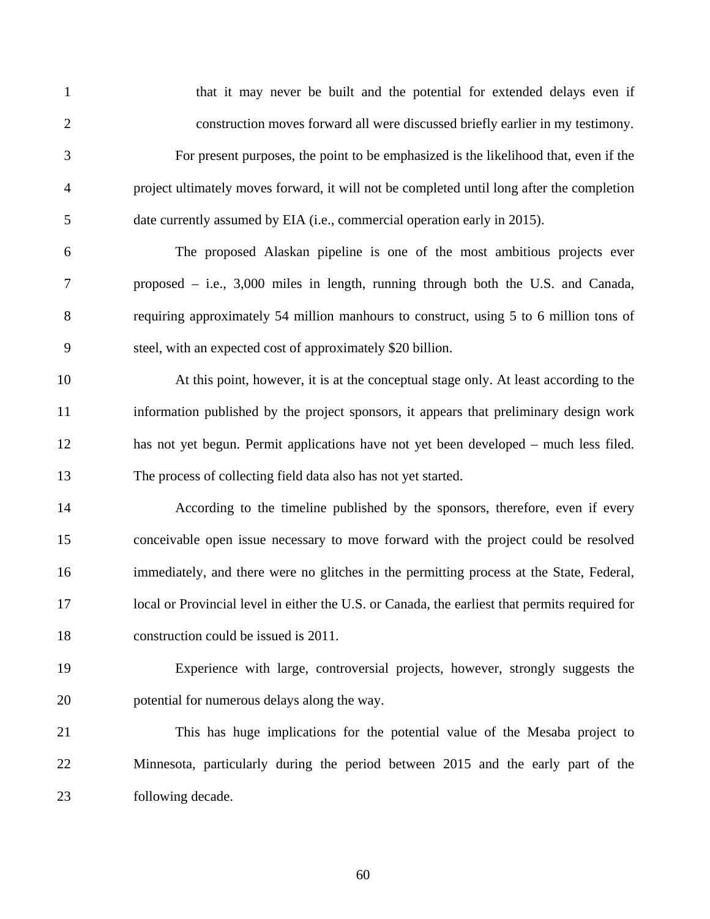| $\mathbf{1}$   | that it may never be built and the potential for extended delays even if                       |
|----------------|------------------------------------------------------------------------------------------------|
| $\overline{2}$ | construction moves forward all were discussed briefly earlier in my testimony.                 |
| 3              | For present purposes, the point to be emphasized is the likelihood that, even if the           |
| $\overline{4}$ | project ultimately moves forward, it will not be completed until long after the completion     |
| 5              | date currently assumed by EIA (i.e., commercial operation early in 2015).                      |
| 6              | The proposed Alaskan pipeline is one of the most ambitious projects ever                       |
| 7              | proposed $-$ i.e., 3,000 miles in length, running through both the U.S. and Canada,            |
| 8              | requiring approximately 54 million manhours to construct, using 5 to 6 million tons of         |
| 9              | steel, with an expected cost of approximately \$20 billion.                                    |
| 10             | At this point, however, it is at the conceptual stage only. At least according to the          |
| 11             | information published by the project sponsors, it appears that preliminary design work         |
| 12             | has not yet begun. Permit applications have not yet been developed – much less filed.          |
| 13             | The process of collecting field data also has not yet started.                                 |
| 14             | According to the timeline published by the sponsors, therefore, even if every                  |
| 15             | conceivable open issue necessary to move forward with the project could be resolved            |
| 16             | immediately, and there were no glitches in the permitting process at the State, Federal,       |
| 17             | local or Provincial level in either the U.S. or Canada, the earliest that permits required for |
| 18             | construction could be issued is 2011.                                                          |
| 19             | Experience with large, controversial projects, however, strongly suggests the                  |
| 20             | potential for numerous delays along the way.                                                   |
| 21             | This has huge implications for the potential value of the Mesaba project to                    |
| 22             | Minnesota, particularly during the period between 2015 and the early part of the               |
| 23             | following decade.                                                                              |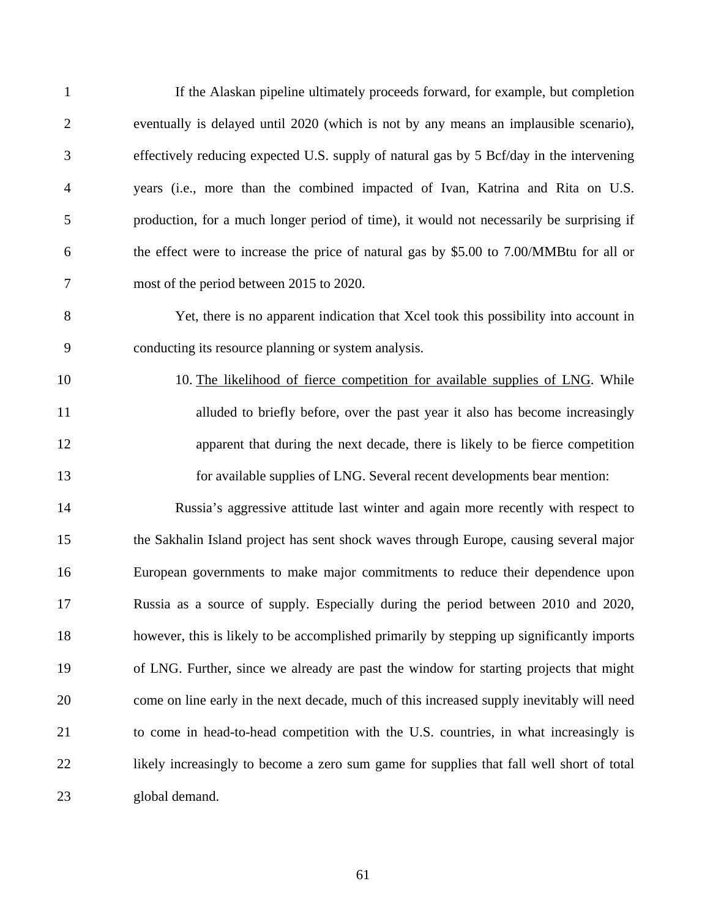| $\mathbf{1}$   | If the Alaskan pipeline ultimately proceeds forward, for example, but completion          |
|----------------|-------------------------------------------------------------------------------------------|
| $\overline{2}$ | eventually is delayed until 2020 (which is not by any means an implausible scenario),     |
| 3              | effectively reducing expected U.S. supply of natural gas by 5 Bcf/day in the intervening  |
| $\overline{4}$ | years (i.e., more than the combined impacted of Ivan, Katrina and Rita on U.S.            |
| 5              | production, for a much longer period of time), it would not necessarily be surprising if  |
| 6              | the effect were to increase the price of natural gas by \$5.00 to 7.00/MMBtu for all or   |
| 7              | most of the period between 2015 to 2020.                                                  |
| 8              | Yet, there is no apparent indication that Xcel took this possibility into account in      |
| 9              | conducting its resource planning or system analysis.                                      |
| 10             | 10. The likelihood of fierce competition for available supplies of LNG. While             |
| 11             | alluded to briefly before, over the past year it also has become increasingly             |
| 12             | apparent that during the next decade, there is likely to be fierce competition            |
| 13             | for available supplies of LNG. Several recent developments bear mention:                  |
| 14             | Russia's aggressive attitude last winter and again more recently with respect to          |
| 15             | the Sakhalin Island project has sent shock waves through Europe, causing several major    |
| 16             | European governments to make major commitments to reduce their dependence upon            |
| 17             | Russia as a source of supply. Especially during the period between 2010 and 2020,         |
| 18             | however, this is likely to be accomplished primarily by stepping up significantly imports |
| 19             | of LNG. Further, since we already are past the window for starting projects that might    |
| 20             | come on line early in the next decade, much of this increased supply inevitably will need |
| 21             | to come in head-to-head competition with the U.S. countries, in what increasingly is      |
| 22             | likely increasingly to become a zero sum game for supplies that fall well short of total  |
| 23             | global demand.                                                                            |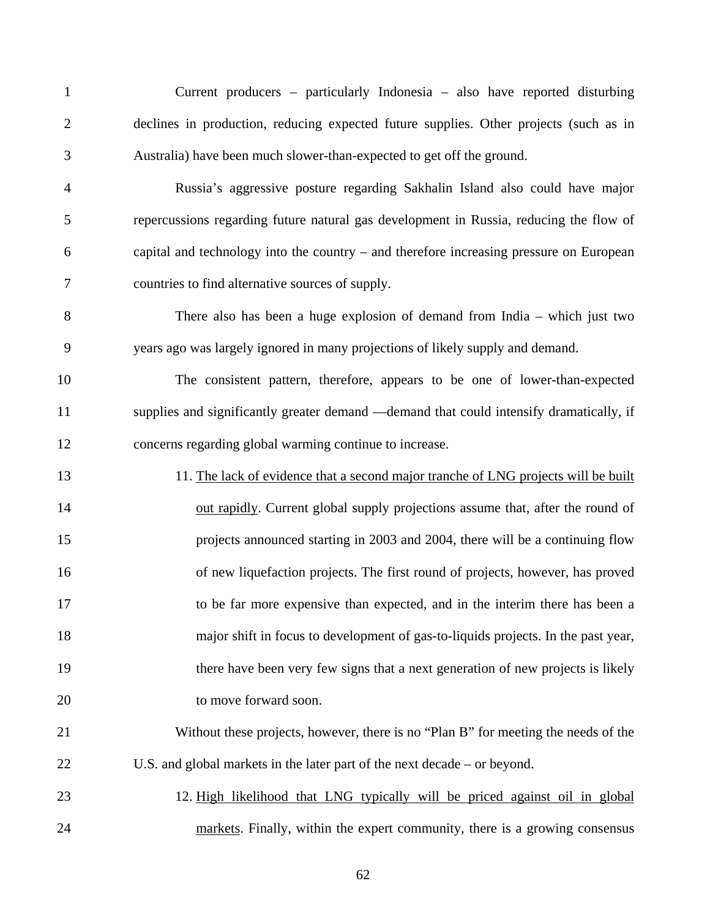1 Current producers – particularly Indonesia – also have reported disturbing 2 declines in production, reducing expected future supplies. Other projects (such as in 3 Australia) have been much slower-than-expected to get off the ground.

4 Russia's aggressive posture regarding Sakhalin Island also could have major 5 repercussions regarding future natural gas development in Russia, reducing the flow of 6 capital and technology into the country – and therefore increasing pressure on European 7 countries to find alternative sources of supply.

8 There also has been a huge explosion of demand from India – which just two 9 years ago was largely ignored in many projections of likely supply and demand.

10 The consistent pattern, therefore, appears to be one of lower-than-expected 11 supplies and significantly greater demand —demand that could intensify dramatically, if 12 concerns regarding global warming continue to increase.

13 11. The lack of evidence that a second major tranche of LNG projects will be built 14 out rapidly. Current global supply projections assume that, after the round of 15 projects announced starting in 2003 and 2004, there will be a continuing flow 16 of new liquefaction projects. The first round of projects, however, has proved 17 to be far more expensive than expected, and in the interim there has been a 18 major shift in focus to development of gas-to-liquids projects. In the past year, 19 there have been very few signs that a next generation of new projects is likely 20 to move forward soon.

21 Without these projects, however, there is no "Plan B" for meeting the needs of the 22 U.S. and global markets in the later part of the next decade – or beyond.

23 12. High likelihood that LNG typically will be priced against oil in global 24 markets. Finally, within the expert community, there is a growing consensus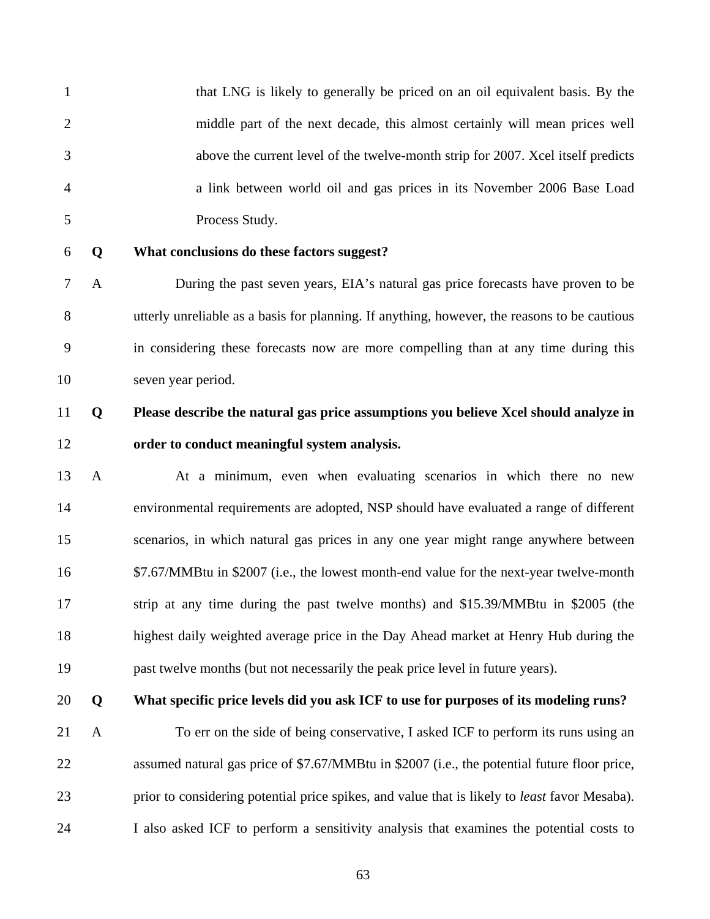1 that LNG is likely to generally be priced on an oil equivalent basis. By the 2 middle part of the next decade, this almost certainly will mean prices well 3 above the current level of the twelve-month strip for 2007. Xcel itself predicts 4 a link between world oil and gas prices in its November 2006 Base Load 5 Process Study.

### 6 **Q What conclusions do these factors suggest?**

7 A During the past seven years, EIA's natural gas price forecasts have proven to be 8 utterly unreliable as a basis for planning. If anything, however, the reasons to be cautious 9 in considering these forecasts now are more compelling than at any time during this 10 seven year period.

## 11 **Q Please describe the natural gas price assumptions you believe Xcel should analyze in**  12 **order to conduct meaningful system analysis.**

13 A At a minimum, even when evaluating scenarios in which there no new 14 environmental requirements are adopted, NSP should have evaluated a range of different 15 scenarios, in which natural gas prices in any one year might range anywhere between 16 \$7.67/MMBtu in \$2007 (i.e., the lowest month-end value for the next-year twelve-month 17 strip at any time during the past twelve months) and \$15.39/MMBtu in \$2005 (the 18 highest daily weighted average price in the Day Ahead market at Henry Hub during the 19 past twelve months (but not necessarily the peak price level in future years).

### 20 **Q What specific price levels did you ask ICF to use for purposes of its modeling runs?**

21 A To err on the side of being conservative, I asked ICF to perform its runs using an 22 assumed natural gas price of \$7.67/MMBtu in \$2007 (i.e., the potential future floor price, 23 prior to considering potential price spikes, and value that is likely to *least* favor Mesaba). 24 I also asked ICF to perform a sensitivity analysis that examines the potential costs to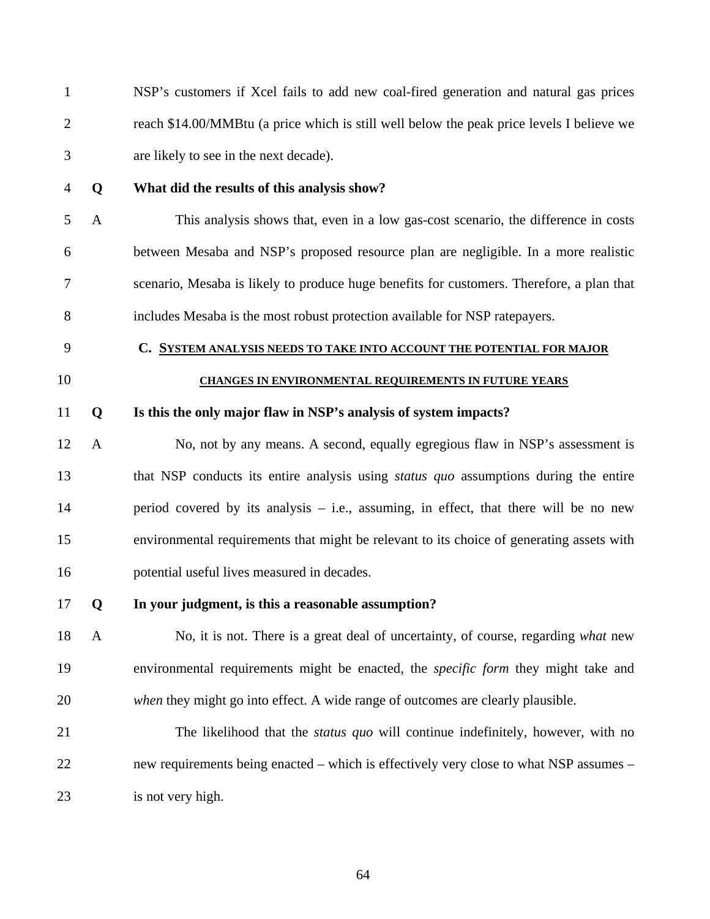1 NSP's customers if Xcel fails to add new coal-fired generation and natural gas prices 2 reach \$14.00/MMBtu (a price which is still well below the peak price levels I believe we 3 are likely to see in the next decade).

### 4 **Q What did the results of this analysis show?**

5 A This analysis shows that, even in a low gas-cost scenario, the difference in costs 6 between Mesaba and NSP's proposed resource plan are negligible. In a more realistic 7 scenario, Mesaba is likely to produce huge benefits for customers. Therefore, a plan that 8 includes Mesaba is the most robust protection available for NSP ratepayers.

- 9 **C. SYSTEM ANALYSIS NEEDS TO TAKE INTO ACCOUNT THE POTENTIAL FOR MAJOR**
- 

### 10 **CHANGES IN ENVIRONMENTAL REQUIREMENTS IN FUTURE YEARS**

#### 11 **Q Is this the only major flaw in NSP's analysis of system impacts?**

12 A No, not by any means. A second, equally egregious flaw in NSP's assessment is 13 that NSP conducts its entire analysis using *status quo* assumptions during the entire 14 period covered by its analysis – i.e., assuming, in effect, that there will be no new 15 environmental requirements that might be relevant to its choice of generating assets with 16 potential useful lives measured in decades.

#### 17 **Q In your judgment, is this a reasonable assumption?**

18 A No, it is not. There is a great deal of uncertainty, of course, regarding *what* new 19 environmental requirements might be enacted, the *specific form* they might take and 20 *when* they might go into effect. A wide range of outcomes are clearly plausible.

21 The likelihood that the *status quo* will continue indefinitely, however, with no 22 new requirements being enacted – which is effectively very close to what NSP assumes – 23 is not very high.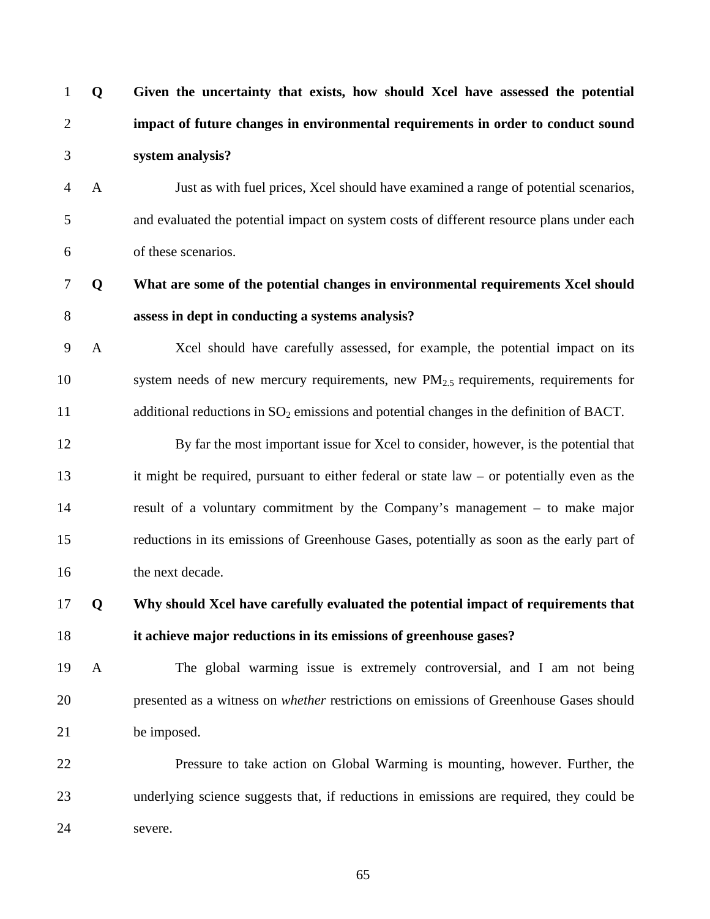| $\mathbf{1}$   | Q            | Given the uncertainty that exists, how should Xcel have assessed the potential               |
|----------------|--------------|----------------------------------------------------------------------------------------------|
| $\overline{2}$ |              | impact of future changes in environmental requirements in order to conduct sound             |
| 3              |              | system analysis?                                                                             |
| $\overline{4}$ | A            | Just as with fuel prices, Xcel should have examined a range of potential scenarios,          |
| 5              |              | and evaluated the potential impact on system costs of different resource plans under each    |
| 6              |              | of these scenarios.                                                                          |
| 7              | Q            | What are some of the potential changes in environmental requirements Xcel should             |
| $8\,$          |              | assess in dept in conducting a systems analysis?                                             |
| 9              | $\mathbf{A}$ | Xcel should have carefully assessed, for example, the potential impact on its                |
| 10             |              | system needs of new mercury requirements, new $PM_{2.5}$ requirements, requirements for      |
| 11             |              | additional reductions in $SO_2$ emissions and potential changes in the definition of BACT.   |
| 12             |              | By far the most important issue for Xcel to consider, however, is the potential that         |
| 13             |              | it might be required, pursuant to either federal or state $law - or$ potentially even as the |
| 14             |              | result of a voluntary commitment by the Company's management – to make major                 |
| 15             |              | reductions in its emissions of Greenhouse Gases, potentially as soon as the early part of    |
| 16             |              | the next decade.                                                                             |
| 17             | Q            | Why should Xcel have carefully evaluated the potential impact of requirements that           |
| 18             |              | it achieve major reductions in its emissions of greenhouse gases?                            |
| 19             | $\mathbf{A}$ | The global warming issue is extremely controversial, and I am not being                      |
| 20             |              | presented as a witness on whether restrictions on emissions of Greenhouse Gases should       |
| 21             |              | be imposed.                                                                                  |
| 22             |              | Pressure to take action on Global Warming is mounting, however. Further, the                 |
| 23             |              | underlying science suggests that, if reductions in emissions are required, they could be     |
| 24             |              | severe.                                                                                      |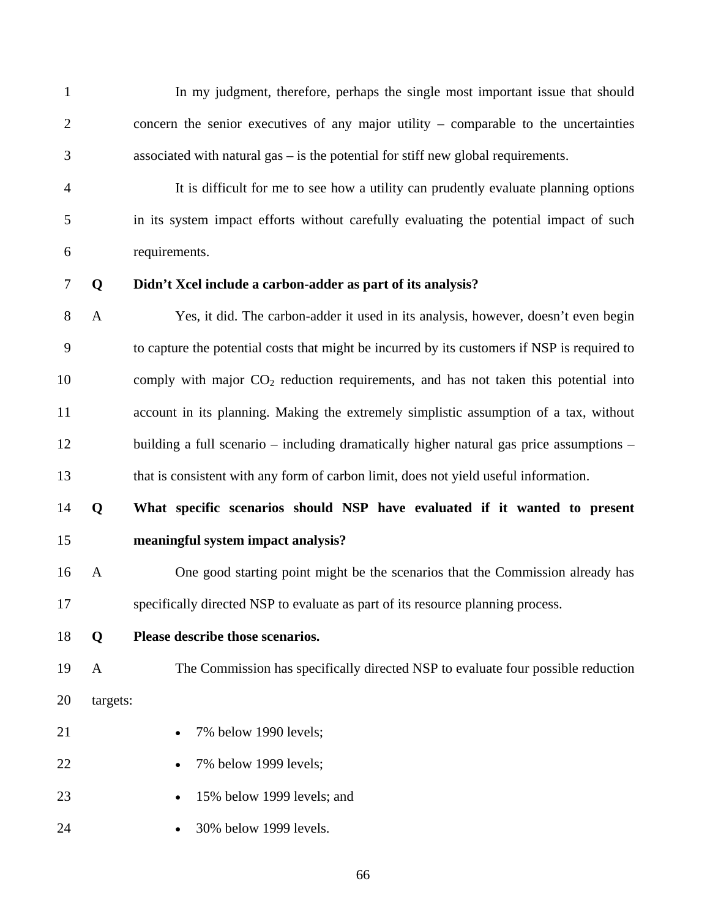1 In my judgment, therefore, perhaps the single most important issue that should 2 concern the senior executives of any major utility – comparable to the uncertainties 3 associated with natural gas – is the potential for stiff new global requirements.

4 It is difficult for me to see how a utility can prudently evaluate planning options 5 in its system impact efforts without carefully evaluating the potential impact of such 6 requirements.

### 7 **Q Didn't Xcel include a carbon-adder as part of its analysis?**

8 A Yes, it did. The carbon-adder it used in its analysis, however, doesn't even begin 9 to capture the potential costs that might be incurred by its customers if NSP is required to 10 comply with major  $CO<sub>2</sub>$  reduction requirements, and has not taken this potential into 11 account in its planning. Making the extremely simplistic assumption of a tax, without 12 building a full scenario – including dramatically higher natural gas price assumptions – 13 that is consistent with any form of carbon limit, does not yield useful information.

## 14 **Q What specific scenarios should NSP have evaluated if it wanted to present**  15 **meaningful system impact analysis?**

- 16 A One good starting point might be the scenarios that the Commission already has 17 specifically directed NSP to evaluate as part of its resource planning process.
- 18 **Q Please describe those scenarios.**
- 19 A The Commission has specifically directed NSP to evaluate four possible reduction
- 
- 
- 20 targets:
- 21 7% below 1990 levels;
- 22 7% below 1999 levels;
- 23 15% below 1999 levels; and
- 24 30% below 1999 levels.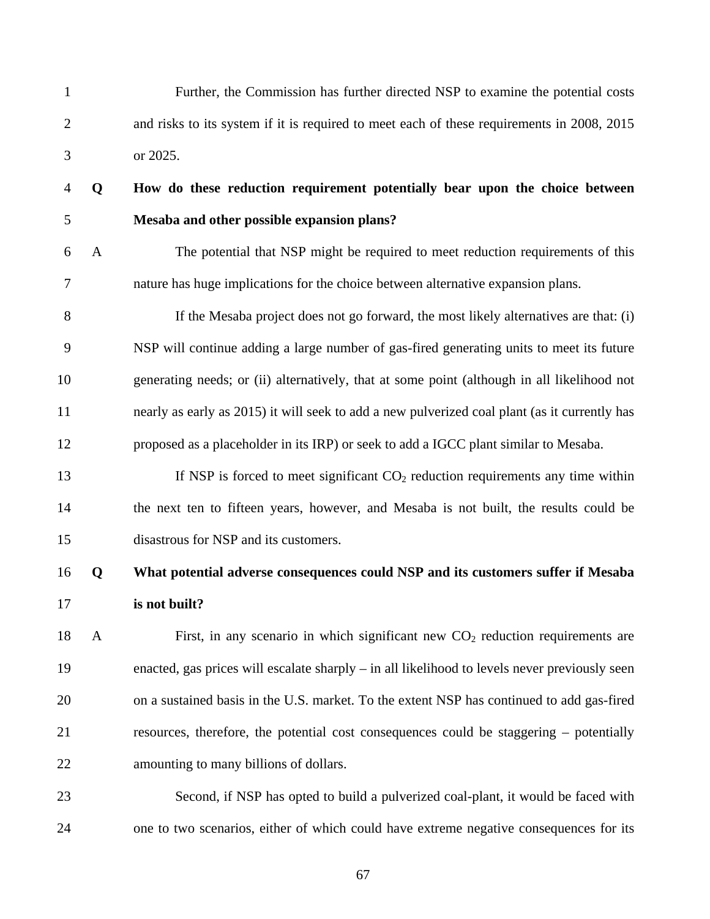- 1 Further, the Commission has further directed NSP to examine the potential costs 2 and risks to its system if it is required to meet each of these requirements in 2008, 2015 3 or 2025.
- 

## 4 **Q How do these reduction requirement potentially bear upon the choice between**  5 **Mesaba and other possible expansion plans?**

6 A The potential that NSP might be required to meet reduction requirements of this 7 nature has huge implications for the choice between alternative expansion plans.

8 If the Mesaba project does not go forward, the most likely alternatives are that: (i) 9 NSP will continue adding a large number of gas-fired generating units to meet its future 10 generating needs; or (ii) alternatively, that at some point (although in all likelihood not 11 nearly as early as 2015) it will seek to add a new pulverized coal plant (as it currently has 12 proposed as a placeholder in its IRP) or seek to add a IGCC plant similar to Mesaba.

13 If NSP is forced to meet significant  $CO<sub>2</sub>$  reduction requirements any time within 14 the next ten to fifteen years, however, and Mesaba is not built, the results could be 15 disastrous for NSP and its customers.

## 16 **Q What potential adverse consequences could NSP and its customers suffer if Mesaba**  17 **is not built?**

18 A First, in any scenario in which significant new CO<sub>2</sub> reduction requirements are 19 enacted, gas prices will escalate sharply – in all likelihood to levels never previously seen 20 on a sustained basis in the U.S. market. To the extent NSP has continued to add gas-fired 21 resources, therefore, the potential cost consequences could be staggering – potentially 22 amounting to many billions of dollars.

23 Second, if NSP has opted to build a pulverized coal-plant, it would be faced with 24 one to two scenarios, either of which could have extreme negative consequences for its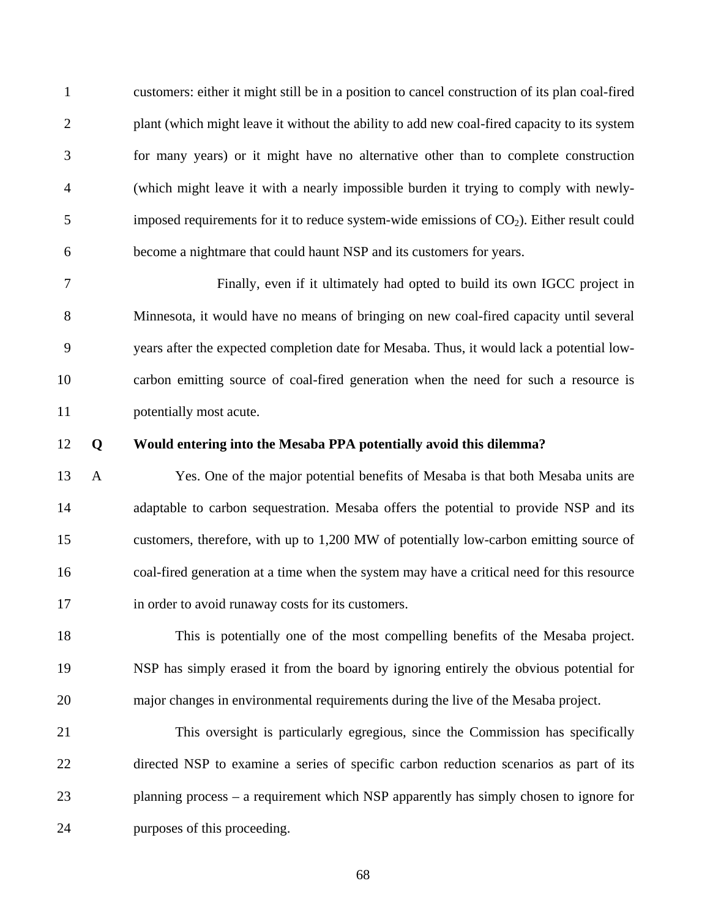1 customers: either it might still be in a position to cancel construction of its plan coal-fired 2 plant (which might leave it without the ability to add new coal-fired capacity to its system 3 for many years) or it might have no alternative other than to complete construction 4 (which might leave it with a nearly impossible burden it trying to comply with newly- $5$  imposed requirements for it to reduce system-wide emissions of  $CO<sub>2</sub>$ ). Either result could 6 become a nightmare that could haunt NSP and its customers for years.

7 Finally, even if it ultimately had opted to build its own IGCC project in 8 Minnesota, it would have no means of bringing on new coal-fired capacity until several 9 years after the expected completion date for Mesaba. Thus, it would lack a potential low-10 carbon emitting source of coal-fired generation when the need for such a resource is 11 potentially most acute.

### 12 **Q Would entering into the Mesaba PPA potentially avoid this dilemma?**

13 A Yes. One of the major potential benefits of Mesaba is that both Mesaba units are 14 adaptable to carbon sequestration. Mesaba offers the potential to provide NSP and its 15 customers, therefore, with up to 1,200 MW of potentially low-carbon emitting source of 16 coal-fired generation at a time when the system may have a critical need for this resource 17 in order to avoid runaway costs for its customers.

18 This is potentially one of the most compelling benefits of the Mesaba project. 19 NSP has simply erased it from the board by ignoring entirely the obvious potential for 20 major changes in environmental requirements during the live of the Mesaba project.

21 This oversight is particularly egregious, since the Commission has specifically 22 directed NSP to examine a series of specific carbon reduction scenarios as part of its 23 planning process – a requirement which NSP apparently has simply chosen to ignore for 24 purposes of this proceeding.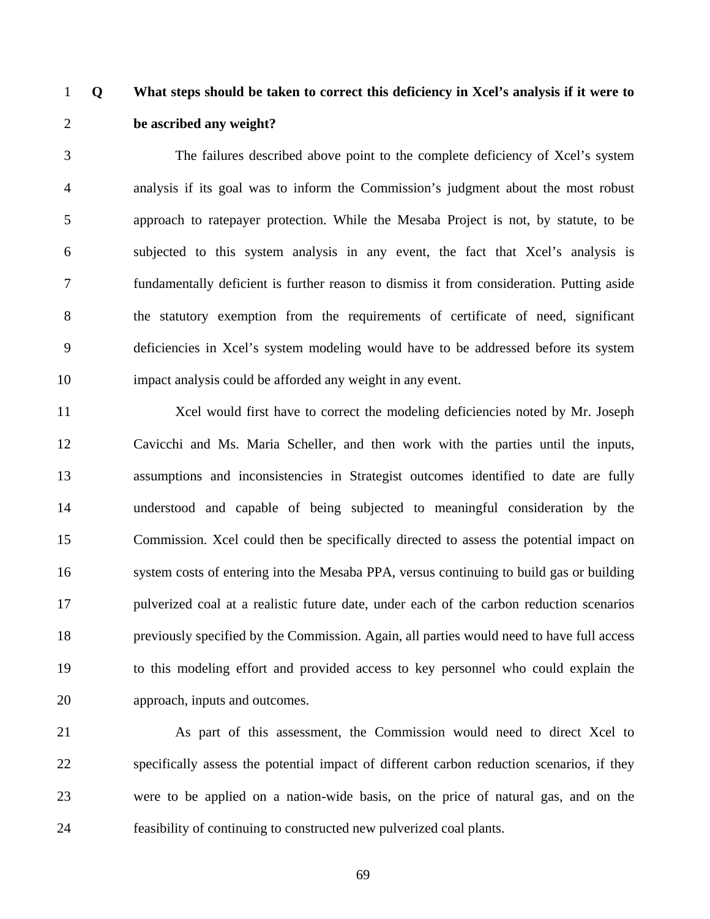1 **Q What steps should be taken to correct this deficiency in Xcel's analysis if it were to**  2 **be ascribed any weight?** 

3 The failures described above point to the complete deficiency of Xcel's system 4 analysis if its goal was to inform the Commission's judgment about the most robust 5 approach to ratepayer protection. While the Mesaba Project is not, by statute, to be 6 subjected to this system analysis in any event, the fact that Xcel's analysis is 7 fundamentally deficient is further reason to dismiss it from consideration. Putting aside 8 the statutory exemption from the requirements of certificate of need, significant 9 deficiencies in Xcel's system modeling would have to be addressed before its system 10 impact analysis could be afforded any weight in any event.

11 Xcel would first have to correct the modeling deficiencies noted by Mr. Joseph 12 Cavicchi and Ms. Maria Scheller, and then work with the parties until the inputs, 13 assumptions and inconsistencies in Strategist outcomes identified to date are fully 14 understood and capable of being subjected to meaningful consideration by the 15 Commission. Xcel could then be specifically directed to assess the potential impact on 16 system costs of entering into the Mesaba PPA, versus continuing to build gas or building 17 pulverized coal at a realistic future date, under each of the carbon reduction scenarios 18 previously specified by the Commission. Again, all parties would need to have full access 19 to this modeling effort and provided access to key personnel who could explain the 20 approach, inputs and outcomes.

21 As part of this assessment, the Commission would need to direct Xcel to 22 specifically assess the potential impact of different carbon reduction scenarios, if they 23 were to be applied on a nation-wide basis, on the price of natural gas, and on the 24 feasibility of continuing to constructed new pulverized coal plants.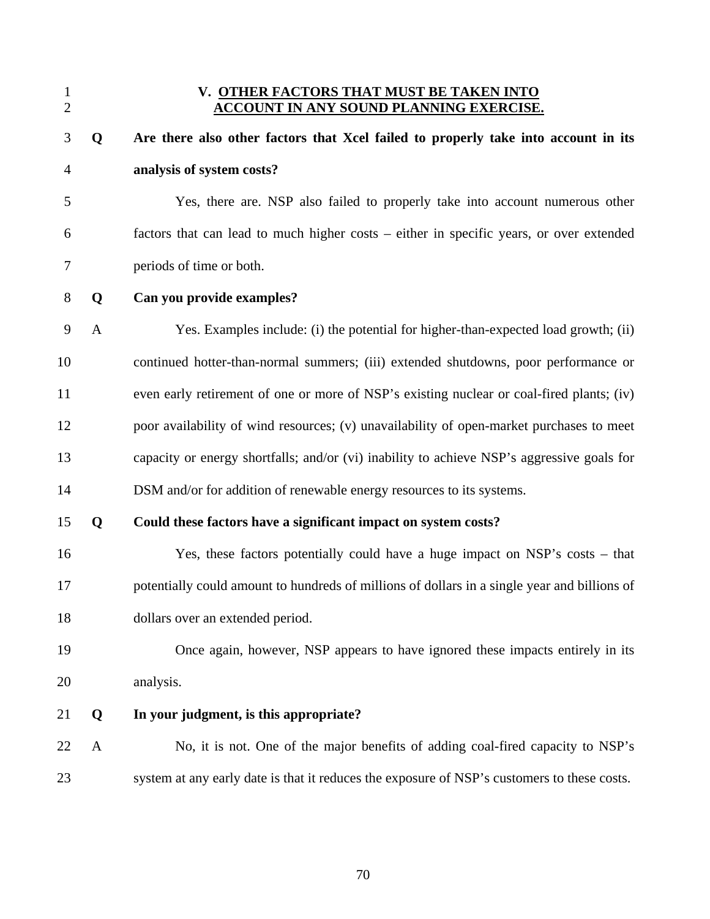### 1 **V. OTHER FACTORS THAT MUST BE TAKEN INTO**  2 **ACCOUNT IN ANY SOUND PLANNING EXERCISE.**

| 3              | Q            | Are there also other factors that Xcel failed to properly take into account in its           |
|----------------|--------------|----------------------------------------------------------------------------------------------|
| $\overline{4}$ |              | analysis of system costs?                                                                    |
| 5              |              | Yes, there are. NSP also failed to properly take into account numerous other                 |
| 6              |              | factors that can lead to much higher costs – either in specific years, or over extended      |
| 7              |              | periods of time or both.                                                                     |
| $8\,$          | Q            | Can you provide examples?                                                                    |
| $\overline{9}$ | A            | Yes. Examples include: (i) the potential for higher-than-expected load growth; (ii)          |
| 10             |              | continued hotter-than-normal summers; (iii) extended shutdowns, poor performance or          |
| 11             |              | even early retirement of one or more of NSP's existing nuclear or coal-fired plants; (iv)    |
| 12             |              | poor availability of wind resources; (v) unavailability of open-market purchases to meet     |
| 13             |              | capacity or energy shortfalls; and/or (vi) inability to achieve NSP's aggressive goals for   |
| 14             |              | DSM and/or for addition of renewable energy resources to its systems.                        |
| 15             | Q            | Could these factors have a significant impact on system costs?                               |
| 16             |              | Yes, these factors potentially could have a huge impact on NSP's costs - that                |
| 17             |              | potentially could amount to hundreds of millions of dollars in a single year and billions of |
| 18             |              | dollars over an extended period.                                                             |
| 19             |              | Once again, however, NSP appears to have ignored these impacts entirely in its               |
| 20             |              | analysis.                                                                                    |
| 21             | Q            | In your judgment, is this appropriate?                                                       |
| 22             | $\mathbf{A}$ | No, it is not. One of the major benefits of adding coal-fired capacity to NSP's              |
| 23             |              | system at any early date is that it reduces the exposure of NSP's customers to these costs.  |